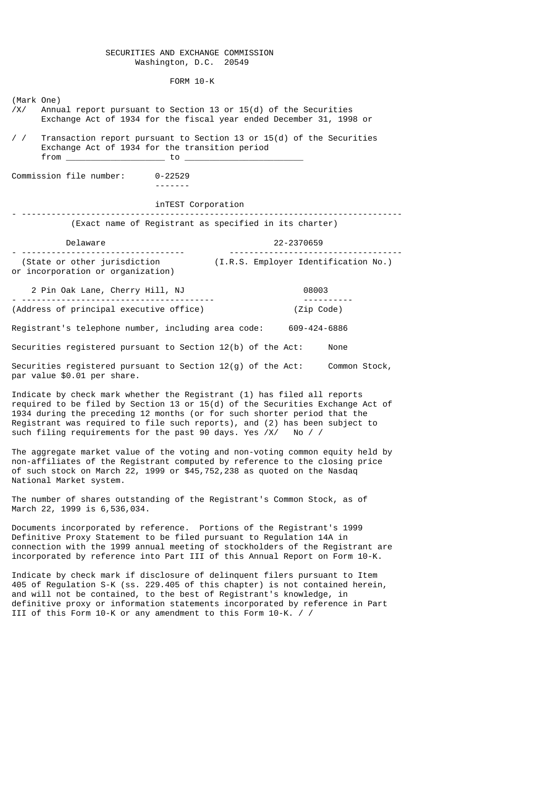## SECURITIES AND EXCHANGE COMMISSION Washington, D.C. 20549

FORM 10-K

(Mark One)

/X/ Annual report pursuant to Section 13 or 15(d) of the Securities Exchange Act of 1934 for the fiscal year ended December 31, 1998 or

/ / Transaction report pursuant to Section 13 or 15(d) of the Securities Exchange Act of 1934 for the transition period  $from$   $\qquad \qquad$  to  $\qquad \qquad$ 

Commission file number: 0-22529

-------

## inTEST Corporation

### - ----------------------------------------------------------------------------- (Exact name of Registrant as specified in its charter)

Delaware 22-2370659

- --------------------------------- ----------------------------------- (State or other jurisdiction (I.R.S. Employer Identification No.) or incorporation or organization)

 2 Pin Oak Lane, Cherry Hill, NJ 08003 - --------------------------------------- ---------- (Address of principal executive office)

Registrant's telephone number, including area code: 609-424-6886

Securities registered pursuant to Section 12(b) of the Act: None

Securities registered pursuant to Section 12(g) of the Act: Common Stock, par value \$0.01 per share.

Indicate by check mark whether the Registrant (1) has filed all reports required to be filed by Section 13 or 15(d) of the Securities Exchange Act of 1934 during the preceding 12 months (or for such shorter period that the Registrant was required to file such reports), and (2) has been subject to such filing requirements for the past 90 days. Yes /X/ No / /

The aggregate market value of the voting and non-voting common equity held by non-affiliates of the Registrant computed by reference to the closing price of such stock on March 22, 1999 or \$45,752,238 as quoted on the Nasdaq National Market system.

The number of shares outstanding of the Registrant's Common Stock, as of March 22, 1999 is 6,536,034.

Documents incorporated by reference. Portions of the Registrant's 1999 Definitive Proxy Statement to be filed pursuant to Regulation 14A in connection with the 1999 annual meeting of stockholders of the Registrant are incorporated by reference into Part III of this Annual Report on Form 10-K.

Indicate by check mark if disclosure of delinquent filers pursuant to Item 405 of Regulation S-K (ss. 229.405 of this chapter) is not contained herein, and will not be contained, to the best of Registrant's knowledge, in definitive proxy or information statements incorporated by reference in Part III of this Form 10-K or any amendment to this Form 10-K. / /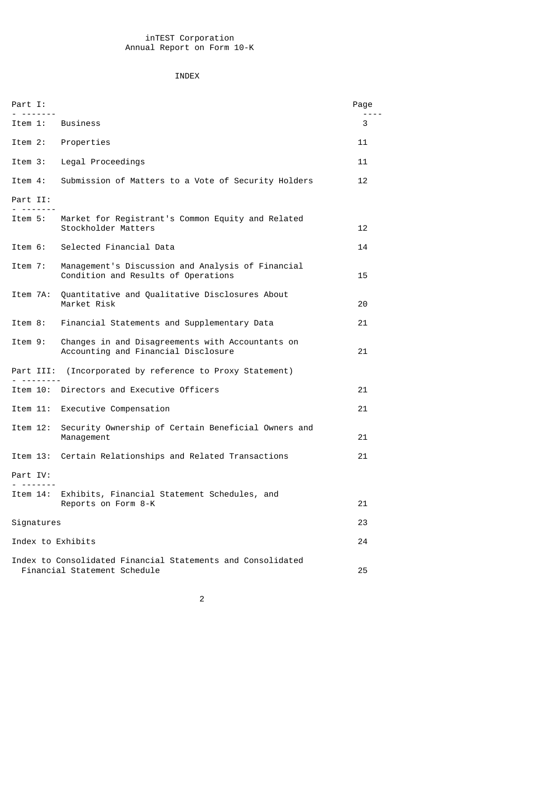## INDEX

| Part I:<br>.         |                                                                                             | Page |
|----------------------|---------------------------------------------------------------------------------------------|------|
| Item 1:              | <b>Business</b>                                                                             | 3    |
| Item 2:              | Properties                                                                                  | 11   |
| Item 3:              | Legal Proceedings                                                                           | 11   |
| Item 4:              | Submission of Matters to a Vote of Security Holders                                         | 12   |
| Part II:<br>.        |                                                                                             |      |
| Item 5:              | Market for Registrant's Common Equity and Related<br>Stockholder Matters                    | 12   |
| Item 6:              | Selected Financial Data                                                                     | 14   |
| Item 7:              | Management's Discussion and Analysis of Financial<br>Condition and Results of Operations    | 15   |
| Item 7A:             | Quantitative and Qualitative Disclosures About<br>Market Risk                               | 20   |
| Item 8:              | Financial Statements and Supplementary Data                                                 | 21   |
| Item 9:              | Changes in and Disagreements with Accountants on<br>Accounting and Financial Disclosure     | 21   |
| Part III:            | (Incorporated by reference to Proxy Statement)                                              |      |
|                      | Item 10: Directors and Executive Officers                                                   | 21   |
| Item 11:             | Executive Compensation                                                                      | 21   |
| Item 12:             | Security Ownership of Certain Beneficial Owners and<br>Management                           | 21   |
| Item 13:             | Certain Relationships and Related Transactions                                              | 21   |
| Part IV:<br>-------- |                                                                                             |      |
| Item 14:             | Exhibits, Financial Statement Schedules, and<br>Reports on Form 8-K                         | 21   |
| Signatures           |                                                                                             | 23   |
| Index to Exhibits    |                                                                                             | 24   |
|                      | Index to Consolidated Financial Statements and Consolidated<br>Financial Statement Schedule | 25   |

2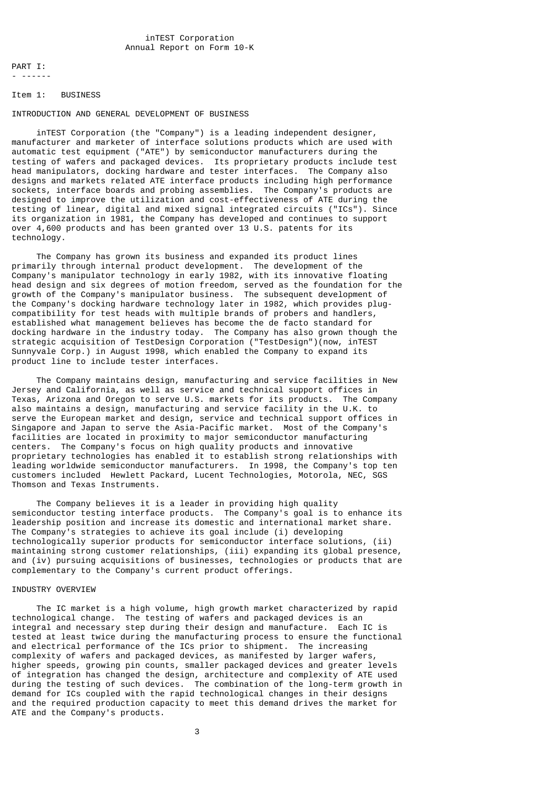PART I: - ------

#### Item 1: BUSINESS

## INTRODUCTION AND GENERAL DEVELOPMENT OF BUSINESS

 inTEST Corporation (the "Company") is a leading independent designer, manufacturer and marketer of interface solutions products which are used with automatic test equipment ("ATE") by semiconductor manufacturers during the testing of wafers and packaged devices. Its proprietary products include test head manipulators, docking hardware and tester interfaces. The Company also designs and markets related ATE interface products including high performance sockets, interface boards and probing assemblies. The Company's products are designed to improve the utilization and cost-effectiveness of ATE during the testing of linear, digital and mixed signal integrated circuits ("ICs"). Since its organization in 1981, the Company has developed and continues to support over 4,600 products and has been granted over 13 U.S. patents for its technology.

 The Company has grown its business and expanded its product lines primarily through internal product development. The development of the Company's manipulator technology in early 1982, with its innovative floating head design and six degrees of motion freedom, served as the foundation for the growth of the Company's manipulator business. The subsequent development of the Company's docking hardware technology later in 1982, which provides plugcompatibility for test heads with multiple brands of probers and handlers, established what management believes has become the de facto standard for docking hardware in the industry today. The Company has also grown though the strategic acquisition of TestDesign Corporation ("TestDesign")(now, inTEST Sunnyvale Corp.) in August 1998, which enabled the Company to expand its product line to include tester interfaces.

 The Company maintains design, manufacturing and service facilities in New Jersey and California, as well as service and technical support offices in Texas, Arizona and Oregon to serve U.S. markets for its products. The Company also maintains a design, manufacturing and service facility in the U.K. to serve the European market and design, service and technical support offices in Singapore and Japan to serve the Asia-Pacific market. Most of the Company's facilities are located in proximity to major semiconductor manufacturing centers. The Company's focus on high quality products and innovative proprietary technologies has enabled it to establish strong relationships with leading worldwide semiconductor manufacturers. In 1998, the Company's top ten customers included Hewlett Packard, Lucent Technologies, Motorola, NEC, SGS Thomson and Texas Instruments.

 The Company believes it is a leader in providing high quality semiconductor testing interface products. The Company's goal is to enhance its leadership position and increase its domestic and international market share. The Company's strategies to achieve its goal include (i) developing technologically superior products for semiconductor interface solutions, (ii) maintaining strong customer relationships, (iii) expanding its global presence, and (iv) pursuing acquisitions of businesses, technologies or products that are complementary to the Company's current product offerings.

#### INDUSTRY OVERVIEW

 The IC market is a high volume, high growth market characterized by rapid technological change. The testing of wafers and packaged devices is an integral and necessary step during their design and manufacture. Each IC is tested at least twice during the manufacturing process to ensure the functional and electrical performance of the ICs prior to shipment. The increasing complexity of wafers and packaged devices, as manifested by larger wafers, higher speeds, growing pin counts, smaller packaged devices and greater levels of integration has changed the design, architecture and complexity of ATE used during the testing of such devices. The combination of the long-term growth in demand for ICs coupled with the rapid technological changes in their designs and the required production capacity to meet this demand drives the market for ATE and the Company's products.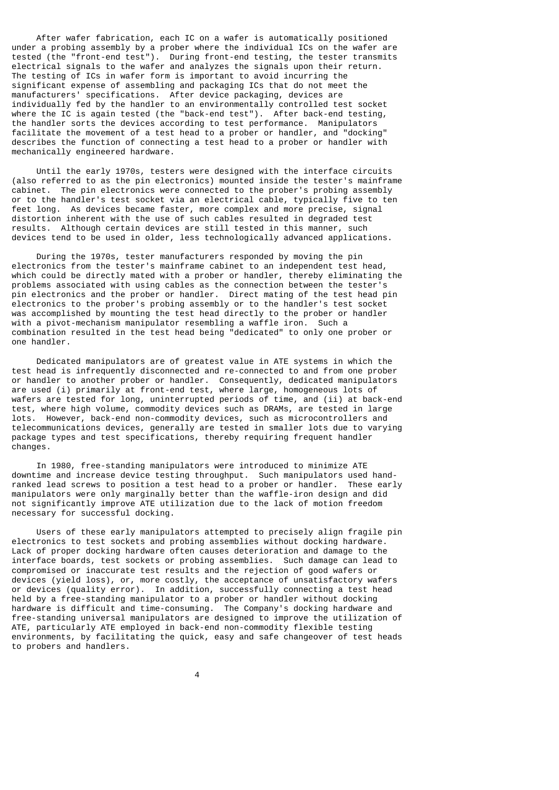After wafer fabrication, each IC on a wafer is automatically positioned under a probing assembly by a prober where the individual ICs on the wafer are tested (the "front-end test"). During front-end testing, the tester transmits electrical signals to the wafer and analyzes the signals upon their return. The testing of ICs in wafer form is important to avoid incurring the significant expense of assembling and packaging ICs that do not meet the manufacturers' specifications. After device packaging, devices are individually fed by the handler to an environmentally controlled test socket where the IC is again tested (the "back-end test"). After back-end testing, the handler sorts the devices according to test performance. Manipulators facilitate the movement of a test head to a prober or handler, and "docking" describes the function of connecting a test head to a prober or handler with mechanically engineered hardware.

 Until the early 1970s, testers were designed with the interface circuits (also referred to as the pin electronics) mounted inside the tester's mainframe cabinet. The pin electronics were connected to the prober's probing assembly or to the handler's test socket via an electrical cable, typically five to ten feet long. As devices became faster, more complex and more precise, signal distortion inherent with the use of such cables resulted in degraded test results. Although certain devices are still tested in this manner, such devices tend to be used in older, less technologically advanced applications.

 During the 1970s, tester manufacturers responded by moving the pin electronics from the tester's mainframe cabinet to an independent test head, which could be directly mated with a prober or handler, thereby eliminating the problems associated with using cables as the connection between the tester's pin electronics and the prober or handler. Direct mating of the test head pin electronics to the prober's probing assembly or to the handler's test socket was accomplished by mounting the test head directly to the prober or handler with a pivot-mechanism manipulator resembling a waffle iron. Such a combination resulted in the test head being "dedicated" to only one prober or one handler.

 Dedicated manipulators are of greatest value in ATE systems in which the test head is infrequently disconnected and re-connected to and from one prober or handler to another prober or handler. Consequently, dedicated manipulators are used (i) primarily at front-end test, where large, homogeneous lots of wafers are tested for long, uninterrupted periods of time, and (ii) at back-end test, where high volume, commodity devices such as DRAMs, are tested in large lots. However, back-end non-commodity devices, such as microcontrollers and telecommunications devices, generally are tested in smaller lots due to varying package types and test specifications, thereby requiring frequent handler changes.

 In 1980, free-standing manipulators were introduced to minimize ATE downtime and increase device testing throughput. Such manipulators used handranked lead screws to position a test head to a prober or handler. These early manipulators were only marginally better than the waffle-iron design and did not significantly improve ATE utilization due to the lack of motion freedom necessary for successful docking.

 Users of these early manipulators attempted to precisely align fragile pin electronics to test sockets and probing assemblies without docking hardware. Lack of proper docking hardware often causes deterioration and damage to the interface boards, test sockets or probing assemblies. Such damage can lead to compromised or inaccurate test results and the rejection of good wafers or devices (yield loss), or, more costly, the acceptance of unsatisfactory wafers or devices (quality error). In addition, successfully connecting a test head held by a free-standing manipulator to a prober or handler without docking hardware is difficult and time-consuming. The Company's docking hardware and free-standing universal manipulators are designed to improve the utilization of ATE, particularly ATE employed in back-end non-commodity flexible testing environments, by facilitating the quick, easy and safe changeover of test heads to probers and handlers.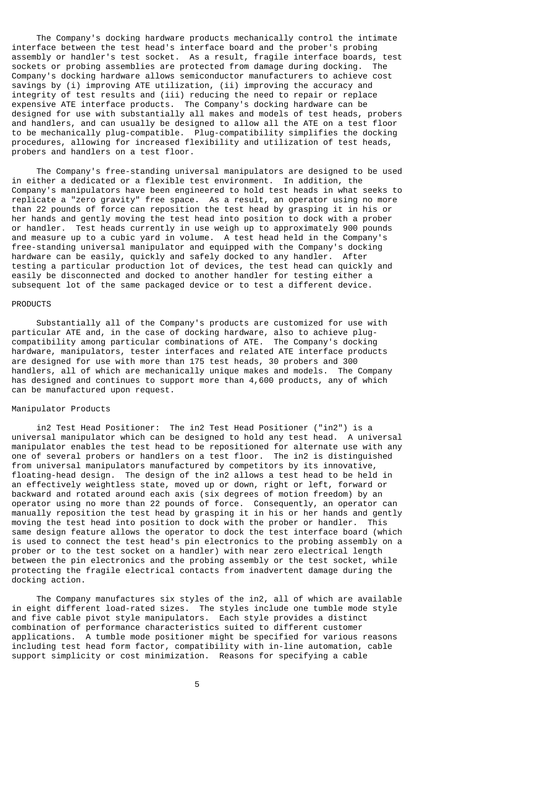The Company's docking hardware products mechanically control the intimate interface between the test head's interface board and the prober's probing assembly or handler's test socket. As a result, fragile interface boards, test sockets or probing assemblies are protected from damage during docking. The Company's docking hardware allows semiconductor manufacturers to achieve cost savings by (i) improving ATE utilization, (ii) improving the accuracy and integrity of test results and (iii) reducing the need to repair or replace expensive ATE interface products. The Company's docking hardware can be designed for use with substantially all makes and models of test heads, probers and handlers, and can usually be designed to allow all the ATE on a test floor to be mechanically plug-compatible. Plug-compatibility simplifies the docking procedures, allowing for increased flexibility and utilization of test heads, probers and handlers on a test floor.

 The Company's free-standing universal manipulators are designed to be used in either a dedicated or a flexible test environment. In addition, the Company's manipulators have been engineered to hold test heads in what seeks to replicate a "zero gravity" free space. As a result, an operator using no more than 22 pounds of force can reposition the test head by grasping it in his or her hands and gently moving the test head into position to dock with a prober or handler. Test heads currently in use weigh up to approximately 900 pounds and measure up to a cubic yard in volume. A test head held in the Company's free-standing universal manipulator and equipped with the Company's docking hardware can be easily, quickly and safely docked to any handler. After testing a particular production lot of devices, the test head can quickly and easily be disconnected and docked to another handler for testing either a subsequent lot of the same packaged device or to test a different device.

## PRODUCTS

 Substantially all of the Company's products are customized for use with particular ATE and, in the case of docking hardware, also to achieve plugcompatibility among particular combinations of ATE. The Company's docking hardware, manipulators, tester interfaces and related ATE interface products are designed for use with more than 175 test heads, 30 probers and 300 handlers, all of which are mechanically unique makes and models. The Company has designed and continues to support more than 4,600 products, any of which can be manufactured upon request.

## Manipulator Products

 in2 Test Head Positioner: The in2 Test Head Positioner ("in2") is a universal manipulator which can be designed to hold any test head. A universal manipulator enables the test head to be repositioned for alternate use with any one of several probers or handlers on a test floor. The in2 is distinguished from universal manipulators manufactured by competitors by its innovative, floating-head design. The design of the in2 allows a test head to be held in an effectively weightless state, moved up or down, right or left, forward or backward and rotated around each axis (six degrees of motion freedom) by an operator using no more than 22 pounds of force. Consequently, an operator can manually reposition the test head by grasping it in his or her hands and gently moving the test head into position to dock with the prober or handler. This same design feature allows the operator to dock the test interface board (which is used to connect the test head's pin electronics to the probing assembly on a prober or to the test socket on a handler) with near zero electrical length between the pin electronics and the probing assembly or the test socket, while protecting the fragile electrical contacts from inadvertent damage during the docking action.

 The Company manufactures six styles of the in2, all of which are available in eight different load-rated sizes. The styles include one tumble mode style and five cable pivot style manipulators. Each style provides a distinct combination of performance characteristics suited to different customer applications. A tumble mode positioner might be specified for various reasons including test head form factor, compatibility with in-line automation, cable support simplicity or cost minimization. Reasons for specifying a cable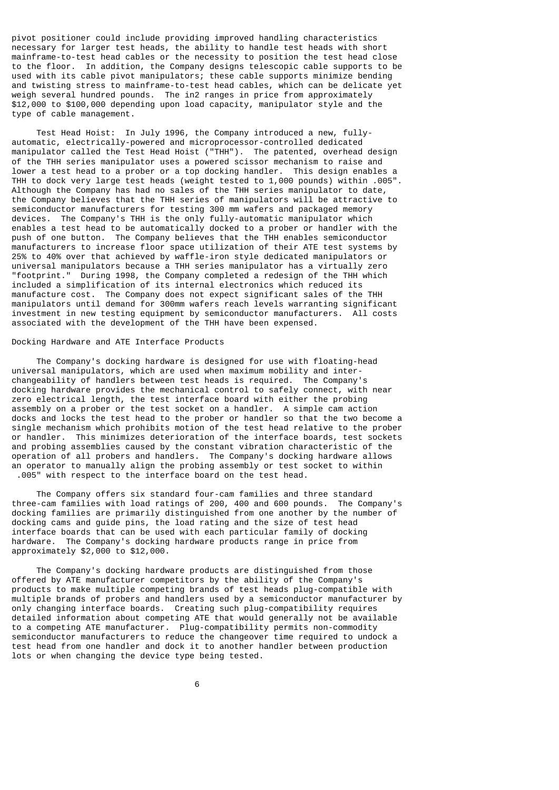pivot positioner could include providing improved handling characteristics necessary for larger test heads, the ability to handle test heads with short mainframe-to-test head cables or the necessity to position the test head close to the floor. In addition, the Company designs telescopic cable supports to be used with its cable pivot manipulators; these cable supports minimize bending and twisting stress to mainframe-to-test head cables, which can be delicate yet weigh several hundred pounds. The in2 ranges in price from approximately \$12,000 to \$100,000 depending upon load capacity, manipulator style and the type of cable management.

 Test Head Hoist: In July 1996, the Company introduced a new, fullyautomatic, electrically-powered and microprocessor-controlled dedicated manipulator called the Test Head Hoist ("THH"). The patented, overhead design of the THH series manipulator uses a powered scissor mechanism to raise and lower a test head to a prober or a top docking handler. This design enables a THH to dock very large test heads (weight tested to 1,000 pounds) within .005". Although the Company has had no sales of the THH series manipulator to date, the Company believes that the THH series of manipulators will be attractive to semiconductor manufacturers for testing 300 mm wafers and packaged memory devices. The Company's THH is the only fully-automatic manipulator which enables a test head to be automatically docked to a prober or handler with the push of one button. The Company believes that the THH enables semiconductor manufacturers to increase floor space utilization of their ATE test systems by 25% to 40% over that achieved by waffle-iron style dedicated manipulators or universal manipulators because a THH series manipulator has a virtually zero "footprint." During 1998, the Company completed a redesign of the THH which included a simplification of its internal electronics which reduced its manufacture cost. The Company does not expect significant sales of the THH manipulators until demand for 300mm wafers reach levels warranting significant investment in new testing equipment by semiconductor manufacturers. All costs associated with the development of the THH have been expensed.

#### Docking Hardware and ATE Interface Products

 The Company's docking hardware is designed for use with floating-head universal manipulators, which are used when maximum mobility and interchangeability of handlers between test heads is required. The Company's docking hardware provides the mechanical control to safely connect, with near zero electrical length, the test interface board with either the probing assembly on a prober or the test socket on a handler. A simple cam action docks and locks the test head to the prober or handler so that the two become a single mechanism which prohibits motion of the test head relative to the prober or handler. This minimizes deterioration of the interface boards, test sockets and probing assemblies caused by the constant vibration characteristic of the operation of all probers and handlers. The Company's docking hardware allows an operator to manually align the probing assembly or test socket to within .005" with respect to the interface board on the test head.

 The Company offers six standard four-cam families and three standard three-cam families with load ratings of 200, 400 and 600 pounds. The Company's docking families are primarily distinguished from one another by the number of docking cams and guide pins, the load rating and the size of test head interface boards that can be used with each particular family of docking hardware. The Company's docking hardware products range in price from approximately \$2,000 to \$12,000.

 The Company's docking hardware products are distinguished from those offered by ATE manufacturer competitors by the ability of the Company's products to make multiple competing brands of test heads plug-compatible with multiple brands of probers and handlers used by a semiconductor manufacturer by only changing interface boards. Creating such plug-compatibility requires detailed information about competing ATE that would generally not be available to a competing ATE manufacturer. Plug-compatibility permits non-commodity semiconductor manufacturers to reduce the changeover time required to undock a test head from one handler and dock it to another handler between production lots or when changing the device type being tested.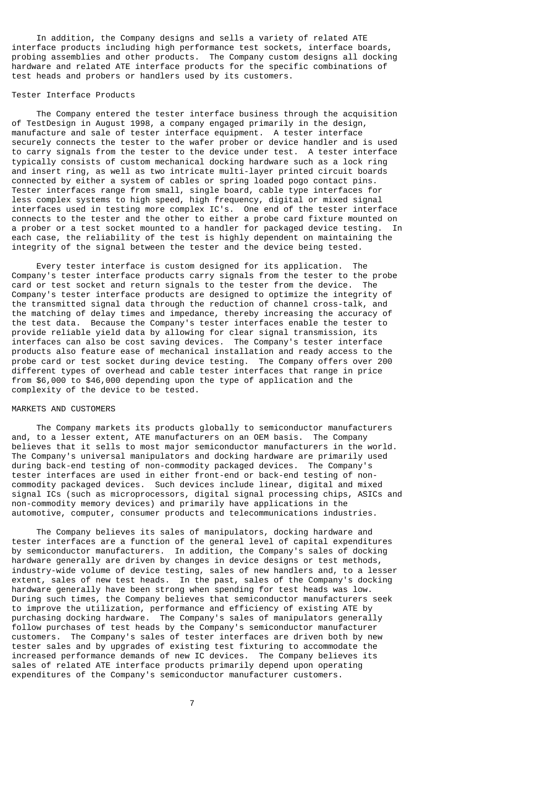In addition, the Company designs and sells a variety of related ATE interface products including high performance test sockets, interface boards, probing assemblies and other products. The Company custom designs all docking hardware and related ATE interface products for the specific combinations of test heads and probers or handlers used by its customers.

#### Tester Interface Products

 The Company entered the tester interface business through the acquisition of TestDesign in August 1998, a company engaged primarily in the design, manufacture and sale of tester interface equipment. A tester interface securely connects the tester to the wafer prober or device handler and is used to carry signals from the tester to the device under test. A tester interface typically consists of custom mechanical docking hardware such as a lock ring and insert ring, as well as two intricate multi-layer printed circuit boards connected by either a system of cables or spring loaded pogo contact pins. Tester interfaces range from small, single board, cable type interfaces for less complex systems to high speed, high frequency, digital or mixed signal interfaces used in testing more complex IC's. One end of the tester interface connects to the tester and the other to either a probe card fixture mounted on a prober or a test socket mounted to a handler for packaged device testing. In each case, the reliability of the test is highly dependent on maintaining the integrity of the signal between the tester and the device being tested.

 Every tester interface is custom designed for its application. The Company's tester interface products carry signals from the tester to the probe card or test socket and return signals to the tester from the device. The Company's tester interface products are designed to optimize the integrity of the transmitted signal data through the reduction of channel cross-talk, and the matching of delay times and impedance, thereby increasing the accuracy of the test data. Because the Company's tester interfaces enable the tester to provide reliable yield data by allowing for clear signal transmission, its interfaces can also be cost saving devices. The Company's tester interface products also feature ease of mechanical installation and ready access to the probe card or test socket during device testing. The Company offers over 200 different types of overhead and cable tester interfaces that range in price from \$6,000 to \$46,000 depending upon the type of application and the complexity of the device to be tested.

#### MARKETS AND CUSTOMERS

 The Company markets its products globally to semiconductor manufacturers and, to a lesser extent, ATE manufacturers on an OEM basis. The Company believes that it sells to most major semiconductor manufacturers in the world. The Company's universal manipulators and docking hardware are primarily used during back-end testing of non-commodity packaged devices. The Company's tester interfaces are used in either front-end or back-end testing of noncommodity packaged devices. Such devices include linear, digital and mixed signal ICs (such as microprocessors, digital signal processing chips, ASICs and non-commodity memory devices) and primarily have applications in the automotive, computer, consumer products and telecommunications industries.

 The Company believes its sales of manipulators, docking hardware and tester interfaces are a function of the general level of capital expenditures by semiconductor manufacturers. In addition, the Company's sales of docking hardware generally are driven by changes in device designs or test methods, industry-wide volume of device testing, sales of new handlers and, to a lesser extent, sales of new test heads. In the past, sales of the Company's docking hardware generally have been strong when spending for test heads was low. During such times, the Company believes that semiconductor manufacturers seek to improve the utilization, performance and efficiency of existing ATE by purchasing docking hardware. The Company's sales of manipulators generally follow purchases of test heads by the Company's semiconductor manufacturer customers. The Company's sales of tester interfaces are driven both by new tester sales and by upgrades of existing test fixturing to accommodate the increased performance demands of new IC devices. The Company believes its sales of related ATE interface products primarily depend upon operating expenditures of the Company's semiconductor manufacturer customers.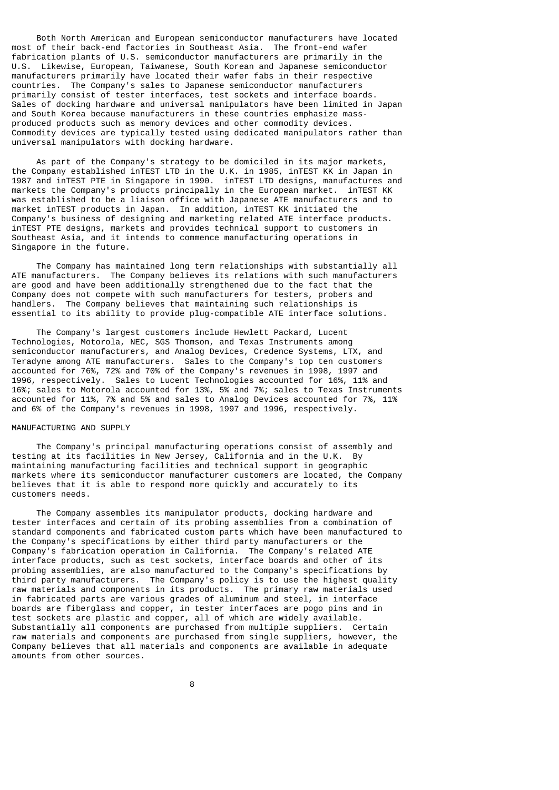Both North American and European semiconductor manufacturers have located most of their back-end factories in Southeast Asia. The front-end wafer fabrication plants of U.S. semiconductor manufacturers are primarily in the U.S. Likewise, European, Taiwanese, South Korean and Japanese semiconductor manufacturers primarily have located their wafer fabs in their respective countries. The Company's sales to Japanese semiconductor manufacturers primarily consist of tester interfaces, test sockets and interface boards. Sales of docking hardware and universal manipulators have been limited in Japan and South Korea because manufacturers in these countries emphasize massproduced products such as memory devices and other commodity devices. Commodity devices are typically tested using dedicated manipulators rather than universal manipulators with docking hardware.

 As part of the Company's strategy to be domiciled in its major markets, the Company established inTEST LTD in the U.K. in 1985, inTEST KK in Japan in 1987 and inTEST PTE in Singapore in 1990. inTEST LTD designs, manufactures and markets the Company's products principally in the European market. inTEST KK was established to be a liaison office with Japanese ATE manufacturers and to market inTEST products in Japan. In addition, inTEST KK initiated the Company's business of designing and marketing related ATE interface products. inTEST PTE designs, markets and provides technical support to customers in Southeast Asia, and it intends to commence manufacturing operations in Singapore in the future.

 The Company has maintained long term relationships with substantially all ATE manufacturers. The Company believes its relations with such manufacturers are good and have been additionally strengthened due to the fact that the Company does not compete with such manufacturers for testers, probers and handlers. The Company believes that maintaining such relationships is essential to its ability to provide plug-compatible ATE interface solutions.

 The Company's largest customers include Hewlett Packard, Lucent Technologies, Motorola, NEC, SGS Thomson, and Texas Instruments among semiconductor manufacturers, and Analog Devices, Credence Systems, LTX, and Teradyne among ATE manufacturers. Sales to the Company's top ten customers accounted for 76%, 72% and 70% of the Company's revenues in 1998, 1997 and 1996, respectively. Sales to Lucent Technologies accounted for 16%, 11% and 16%; sales to Motorola accounted for 13%, 5% and 7%; sales to Texas Instruments accounted for 11%, 7% and 5% and sales to Analog Devices accounted for 7%, 11% and 6% of the Company's revenues in 1998, 1997 and 1996, respectively.

## MANUFACTURING AND SUPPLY

 The Company's principal manufacturing operations consist of assembly and testing at its facilities in New Jersey, California and in the U.K. By maintaining manufacturing facilities and technical support in geographic markets where its semiconductor manufacturer customers are located, the Company believes that it is able to respond more quickly and accurately to its customers needs.

 The Company assembles its manipulator products, docking hardware and tester interfaces and certain of its probing assemblies from a combination of standard components and fabricated custom parts which have been manufactured to the Company's specifications by either third party manufacturers or the Company's fabrication operation in California. The Company's related ATE interface products, such as test sockets, interface boards and other of its probing assemblies, are also manufactured to the Company's specifications by third party manufacturers. The Company's policy is to use the highest quality raw materials and components in its products. The primary raw materials used in fabricated parts are various grades of aluminum and steel, in interface boards are fiberglass and copper, in tester interfaces are pogo pins and in test sockets are plastic and copper, all of which are widely available. Substantially all components are purchased from multiple suppliers. Certain raw materials and components are purchased from single suppliers, however, the Company believes that all materials and components are available in adequate amounts from other sources.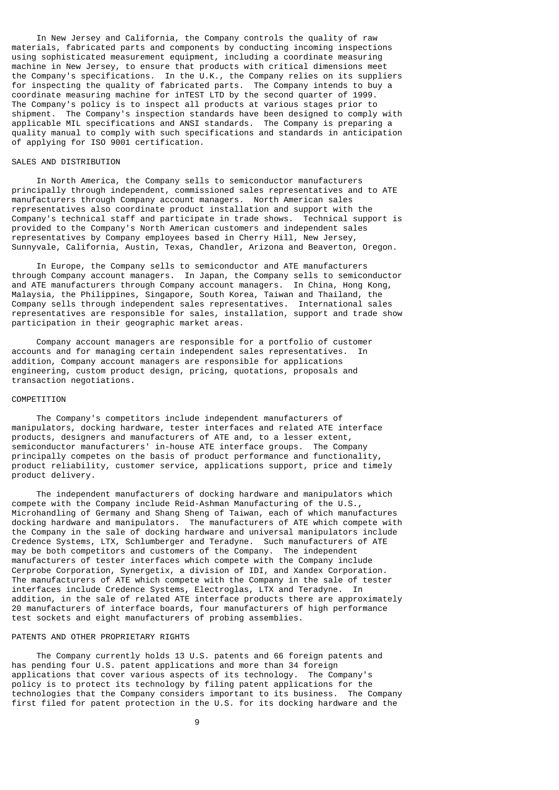In New Jersey and California, the Company controls the quality of raw materials, fabricated parts and components by conducting incoming inspections using sophisticated measurement equipment, including a coordinate measuring machine in New Jersey, to ensure that products with critical dimensions meet the Company's specifications. In the U.K., the Company relies on its suppliers for inspecting the quality of fabricated parts. The Company intends to buy a coordinate measuring machine for inTEST LTD by the second quarter of 1999. The Company's policy is to inspect all products at various stages prior to shipment. The Company's inspection standards have been designed to comply with applicable MIL specifications and ANSI standards. The Company is preparing a quality manual to comply with such specifications and standards in anticipation of applying for ISO 9001 certification.

## SALES AND DISTRIBUTION

 In North America, the Company sells to semiconductor manufacturers principally through independent, commissioned sales representatives and to ATE manufacturers through Company account managers. North American sales representatives also coordinate product installation and support with the Company's technical staff and participate in trade shows. Technical support is provided to the Company's North American customers and independent sales representatives by Company employees based in Cherry Hill, New Jersey, Sunnyvale, California, Austin, Texas, Chandler, Arizona and Beaverton, Oregon.

 In Europe, the Company sells to semiconductor and ATE manufacturers through Company account managers. In Japan, the Company sells to semiconductor and ATE manufacturers through Company account managers. In China, Hong Kong, Malaysia, the Philippines, Singapore, South Korea, Taiwan and Thailand, the Company sells through independent sales representatives. International sales representatives are responsible for sales, installation, support and trade show participation in their geographic market areas.

 Company account managers are responsible for a portfolio of customer accounts and for managing certain independent sales representatives. In addition, Company account managers are responsible for applications engineering, custom product design, pricing, quotations, proposals and transaction negotiations.

## **COMPETITION**

 The Company's competitors include independent manufacturers of manipulators, docking hardware, tester interfaces and related ATE interface products, designers and manufacturers of ATE and, to a lesser extent, semiconductor manufacturers' in-house ATE interface groups. The Company principally competes on the basis of product performance and functionality, product reliability, customer service, applications support, price and timely product delivery.

 The independent manufacturers of docking hardware and manipulators which compete with the Company include Reid-Ashman Manufacturing of the U.S., Microhandling of Germany and Shang Sheng of Taiwan, each of which manufactures docking hardware and manipulators. The manufacturers of ATE which compete with the Company in the sale of docking hardware and universal manipulators include Credence Systems, LTX, Schlumberger and Teradyne. Such manufacturers of ATE may be both competitors and customers of the Company. The independent manufacturers of tester interfaces which compete with the Company include Cerprobe Corporation, Synergetix, a division of IDI, and Xandex Corporation. The manufacturers of ATE which compete with the Company in the sale of tester interfaces include Credence Systems, Electroglas, LTX and Teradyne. In addition, in the sale of related ATE interface products there are approximately 20 manufacturers of interface boards, four manufacturers of high performance test sockets and eight manufacturers of probing assemblies.

#### PATENTS AND OTHER PROPRIETARY RIGHTS

 The Company currently holds 13 U.S. patents and 66 foreign patents and has pending four U.S. patent applications and more than 34 foreign applications that cover various aspects of its technology. The Company's policy is to protect its technology by filing patent applications for the technologies that the Company considers important to its business. The Company first filed for patent protection in the U.S. for its docking hardware and the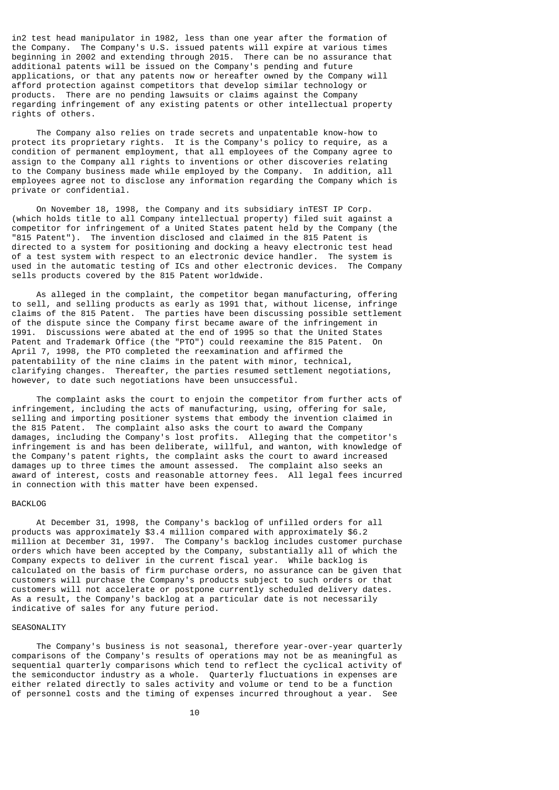in2 test head manipulator in 1982, less than one year after the formation of the Company. The Company's U.S. issued patents will expire at various times beginning in 2002 and extending through 2015. There can be no assurance that additional patents will be issued on the Company's pending and future applications, or that any patents now or hereafter owned by the Company will afford protection against competitors that develop similar technology or products. There are no pending lawsuits or claims against the Company regarding infringement of any existing patents or other intellectual property rights of others.

 The Company also relies on trade secrets and unpatentable know-how to protect its proprietary rights. It is the Company's policy to require, as a condition of permanent employment, that all employees of the Company agree to assign to the Company all rights to inventions or other discoveries relating to the Company business made while employed by the Company. In addition, all employees agree not to disclose any information regarding the Company which is private or confidential.

 On November 18, 1998, the Company and its subsidiary inTEST IP Corp. (which holds title to all Company intellectual property) filed suit against a competitor for infringement of a United States patent held by the Company (the "815 Patent"). The invention disclosed and claimed in the 815 Patent is directed to a system for positioning and docking a heavy electronic test head of a test system with respect to an electronic device handler. The system is used in the automatic testing of ICs and other electronic devices. The Company sells products covered by the 815 Patent worldwide.

 As alleged in the complaint, the competitor began manufacturing, offering to sell, and selling products as early as 1991 that, without license, infringe claims of the 815 Patent. The parties have been discussing possible settlement of the dispute since the Company first became aware of the infringement in 1991. Discussions were abated at the end of 1995 so that the United States Patent and Trademark Office (the "PTO") could reexamine the 815 Patent. On April 7, 1998, the PTO completed the reexamination and affirmed the patentability of the nine claims in the patent with minor, technical, clarifying changes. Thereafter, the parties resumed settlement negotiations, however, to date such negotiations have been unsuccessful.

 The complaint asks the court to enjoin the competitor from further acts of infringement, including the acts of manufacturing, using, offering for sale, selling and importing positioner systems that embody the invention claimed in the 815 Patent. The complaint also asks the court to award the Company damages, including the Company's lost profits. Alleging that the competitor's infringement is and has been deliberate, willful, and wanton, with knowledge of the Company's patent rights, the complaint asks the court to award increased damages up to three times the amount assessed. The complaint also seeks an award of interest, costs and reasonable attorney fees. All legal fees incurred in connection with this matter have been expensed.

### BACKLOG

 At December 31, 1998, the Company's backlog of unfilled orders for all products was approximately \$3.4 million compared with approximately \$6.2 million at December 31, 1997. The Company's backlog includes customer purchase orders which have been accepted by the Company, substantially all of which the Company expects to deliver in the current fiscal year. While backlog is calculated on the basis of firm purchase orders, no assurance can be given that customers will purchase the Company's products subject to such orders or that customers will not accelerate or postpone currently scheduled delivery dates. As a result, the Company's backlog at a particular date is not necessarily indicative of sales for any future period.

## SEASONALITY

 The Company's business is not seasonal, therefore year-over-year quarterly comparisons of the Company's results of operations may not be as meaningful as sequential quarterly comparisons which tend to reflect the cyclical activity of the semiconductor industry as a whole. Quarterly fluctuations in expenses are either related directly to sales activity and volume or tend to be a function of personnel costs and the timing of expenses incurred throughout a year. See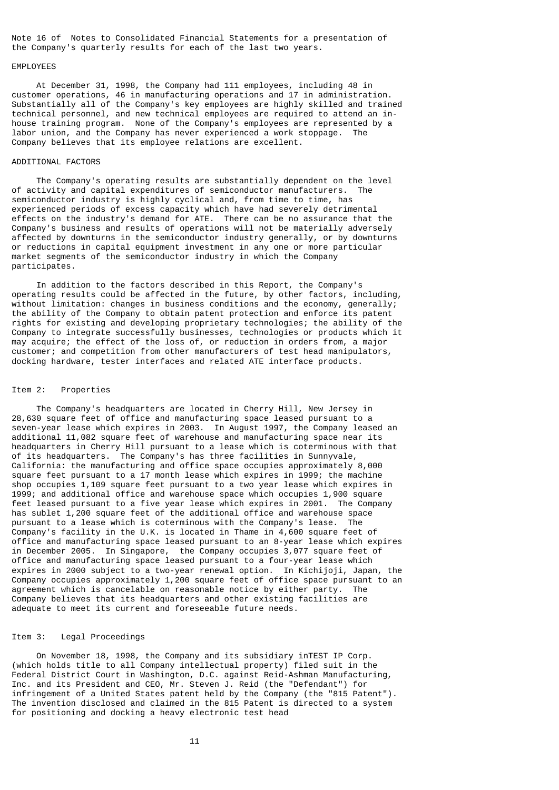Note 16 of Notes to Consolidated Financial Statements for a presentation of the Company's quarterly results for each of the last two years.

## EMPLOYEES

 At December 31, 1998, the Company had 111 employees, including 48 in customer operations, 46 in manufacturing operations and 17 in administration. Substantially all of the Company's key employees are highly skilled and trained technical personnel, and new technical employees are required to attend an inhouse training program. None of the Company's employees are represented by a labor union, and the Company has never experienced a work stoppage. The Company believes that its employee relations are excellent.

## ADDITIONAL FACTORS

 The Company's operating results are substantially dependent on the level of activity and capital expenditures of semiconductor manufacturers. semiconductor industry is highly cyclical and, from time to time, has experienced periods of excess capacity which have had severely detrimental effects on the industry's demand for ATE. There can be no assurance that the Company's business and results of operations will not be materially adversely affected by downturns in the semiconductor industry generally, or by downturns or reductions in capital equipment investment in any one or more particular market segments of the semiconductor industry in which the Company participates.

 In addition to the factors described in this Report, the Company's operating results could be affected in the future, by other factors, including, without limitation: changes in business conditions and the economy, generally; the ability of the Company to obtain patent protection and enforce its patent rights for existing and developing proprietary technologies; the ability of the Company to integrate successfully businesses, technologies or products which it may acquire; the effect of the loss of, or reduction in orders from, a major customer; and competition from other manufacturers of test head manipulators, docking hardware, tester interfaces and related ATE interface products.

#### Item 2: Properties

 The Company's headquarters are located in Cherry Hill, New Jersey in 28,630 square feet of office and manufacturing space leased pursuant to a seven-year lease which expires in 2003. In August 1997, the Company leased an additional 11,082 square feet of warehouse and manufacturing space near its headquarters in Cherry Hill pursuant to a lease which is coterminous with that of its headquarters. The Company's has three facilities in Sunnyvale, California: the manufacturing and office space occupies approximately 8,000 square feet pursuant to a 17 month lease which expires in 1999; the machine shop occupies 1,109 square feet pursuant to a two year lease which expires in 1999; and additional office and warehouse space which occupies 1,900 square feet leased pursuant to a five year lease which expires in 2001. The Company has sublet 1,200 square feet of the additional office and warehouse space pursuant to a lease which is coterminous with the Company's lease. The Company's facility in the U.K. is located in Thame in 4,600 square feet of office and manufacturing space leased pursuant to an 8-year lease which expires in December 2005. In Singapore, the Company occupies 3,077 square feet of office and manufacturing space leased pursuant to a four-year lease which expires in 2000 subject to a two-year renewal option. In Kichijoji, Japan, the Company occupies approximately 1,200 square feet of office space pursuant to an agreement which is cancelable on reasonable notice by either party. The Company believes that its headquarters and other existing facilities are adequate to meet its current and foreseeable future needs.

## Item 3: Legal Proceedings

 On November 18, 1998, the Company and its subsidiary inTEST IP Corp. (which holds title to all Company intellectual property) filed suit in the Federal District Court in Washington, D.C. against Reid-Ashman Manufacturing, Inc. and its President and CEO, Mr. Steven J. Reid (the "Defendant") for infringement of a United States patent held by the Company (the "815 Patent"). The invention disclosed and claimed in the 815 Patent is directed to a system for positioning and docking a heavy electronic test head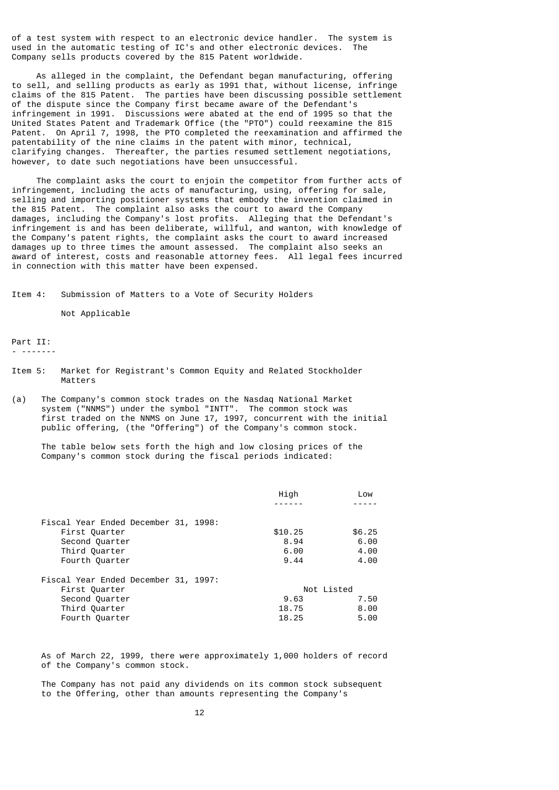of a test system with respect to an electronic device handler. The system is used in the automatic testing of IC's and other electronic devices. The Company sells products covered by the 815 Patent worldwide.

 As alleged in the complaint, the Defendant began manufacturing, offering to sell, and selling products as early as 1991 that, without license, infringe claims of the 815 Patent. The parties have been discussing possible settlement of the dispute since the Company first became aware of the Defendant's infringement in 1991. Discussions were abated at the end of 1995 so that the United States Patent and Trademark Office (the "PTO") could reexamine the 815 Patent. On April 7, 1998, the PTO completed the reexamination and affirmed the patentability of the nine claims in the patent with minor, technical, clarifying changes. Thereafter, the parties resumed settlement negotiations, however, to date such negotiations have been unsuccessful.

 The complaint asks the court to enjoin the competitor from further acts of infringement, including the acts of manufacturing, using, offering for sale, selling and importing positioner systems that embody the invention claimed in the 815 Patent. The complaint also asks the court to award the Company damages, including the Company's lost profits. Alleging that the Defendant's infringement is and has been deliberate, willful, and wanton, with knowledge of the Company's patent rights, the complaint asks the court to award increased damages up to three times the amount assessed. The complaint also seeks an award of interest, costs and reasonable attorney fees. All legal fees incurred in connection with this matter have been expensed.

Item 4: Submission of Matters to a Vote of Security Holders

Not Applicable

Part II:

- -------

- Item 5: Market for Registrant's Common Equity and Related Stockholder Matters
- (a) The Company's common stock trades on the Nasdaq National Market system ("NNMS") under the symbol "INTT". The common stock was first traded on the NNMS on June 17, 1997, concurrent with the initial public offering, (the "Offering") of the Company's common stock.

 The table below sets forth the high and low closing prices of the Company's common stock during the fiscal periods indicated:

|                                      | High       | Low    |
|--------------------------------------|------------|--------|
|                                      |            |        |
| Fiscal Year Ended December 31, 1998: |            |        |
| First Quarter                        | \$10.25    | \$6.25 |
| Second Quarter                       | 8.94       | 6.00   |
| Third Quarter                        | 6.00       | 4.00   |
| Fourth Quarter                       | 9.44       | 4.00   |
| Fiscal Year Ended December 31, 1997: |            |        |
| First Quarter                        | Not Listed |        |
| Second Quarter                       | 9.63       | 7.50   |
| Third Quarter                        | 18.75      | 8.00   |
| Fourth Quarter                       | 18.25      | 5.00   |

 As of March 22, 1999, there were approximately 1,000 holders of record of the Company's common stock.

 The Company has not paid any dividends on its common stock subsequent to the Offering, other than amounts representing the Company's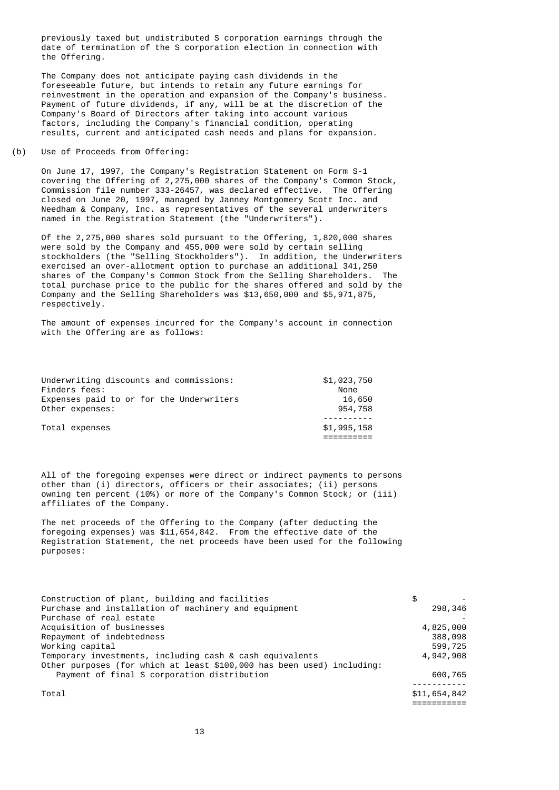previously taxed but undistributed S corporation earnings through the date of termination of the S corporation election in connection with the Offering.

 The Company does not anticipate paying cash dividends in the foreseeable future, but intends to retain any future earnings for reinvestment in the operation and expansion of the Company's business. Payment of future dividends, if any, will be at the discretion of the Company's Board of Directors after taking into account various factors, including the Company's financial condition, operating results, current and anticipated cash needs and plans for expansion.

## (b) Use of Proceeds from Offering:

 On June 17, 1997, the Company's Registration Statement on Form S-1 covering the Offering of 2,275,000 shares of the Company's Common Stock, Commission file number 333-26457, was declared effective. The Offering closed on June 20, 1997, managed by Janney Montgomery Scott Inc. and Needham & Company, Inc. as representatives of the several underwriters named in the Registration Statement (the "Underwriters").

 Of the 2,275,000 shares sold pursuant to the Offering, 1,820,000 shares were sold by the Company and 455,000 were sold by certain selling stockholders (the "Selling Stockholders"). In addition, the Underwriters exercised an over-allotment option to purchase an additional 341,250 shares of the Company's Common Stock from the Selling Shareholders. The total purchase price to the public for the shares offered and sold by the Company and the Selling Shareholders was \$13,650,000 and \$5,971,875, respectively.

 The amount of expenses incurred for the Company's account in connection with the Offering are as follows:

| Underwriting discounts and commissions:  | \$1,023,750 |
|------------------------------------------|-------------|
| Finders fees:                            | None        |
| Expenses paid to or for the Underwriters | 16,650      |
| Other expenses:                          | 954,758     |
|                                          |             |
| Total expenses                           | \$1,995,158 |
|                                          |             |

 All of the foregoing expenses were direct or indirect payments to persons other than (i) directors, officers or their associates; (ii) persons owning ten percent (10%) or more of the Company's Common Stock; or (iii) affiliates of the Company.

 The net proceeds of the Offering to the Company (after deducting the foregoing expenses) was \$11,654,842. From the effective date of the Registration Statement, the net proceeds have been used for the following purposes:

| Construction of plant, building and facilities                         | \$           |  |
|------------------------------------------------------------------------|--------------|--|
| Purchase and installation of machinery and equipment                   | 298,346      |  |
| Purchase of real estate                                                |              |  |
| Acquisition of businesses                                              | 4,825,000    |  |
| Repayment of indebtedness                                              | 388,098      |  |
| Working capital                                                        | 599,725      |  |
| Temporary investments, including cash & cash equivalents               | 4,942,908    |  |
| Other purposes (for which at least \$100,000 has been used) including: |              |  |
| Payment of final S corporation distribution                            | 600,765      |  |
|                                                                        |              |  |
| Total                                                                  | \$11,654,842 |  |
|                                                                        |              |  |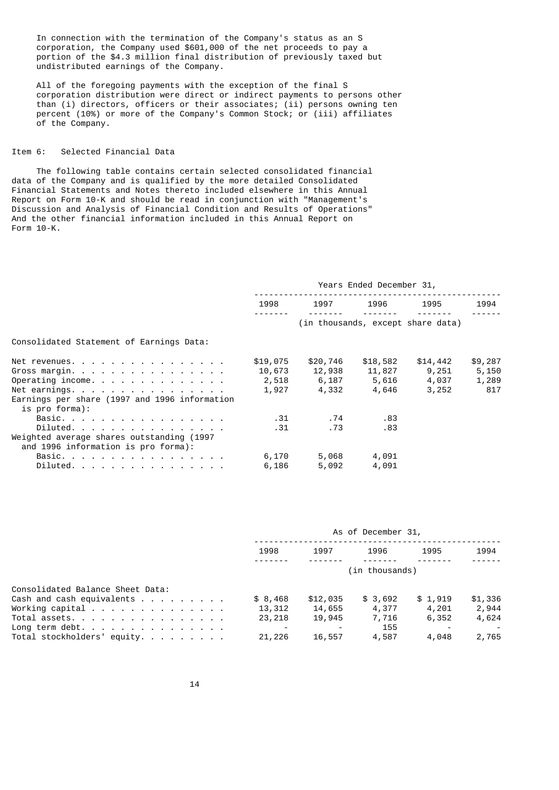In connection with the termination of the Company's status as an S corporation, the Company used \$601,000 of the net proceeds to pay a portion of the \$4.3 million final distribution of previously taxed but undistributed earnings of the Company.

 All of the foregoing payments with the exception of the final S corporation distribution were direct or indirect payments to persons other than (i) directors, officers or their associates; (ii) persons owning ten percent (10%) or more of the Company's Common Stock; or (iii) affiliates of the Company.

## Item 6: Selected Financial Data

 The following table contains certain selected consolidated financial data of the Company and is qualified by the more detailed Consolidated Financial Statements and Notes thereto included elsewhere in this Annual Report on Form 10-K and should be read in conjunction with "Management's Discussion and Analysis of Financial Condition and Results of Operations" And the other financial information included in this Annual Report on Form 10-K.

|                                                                                  | Years Ended December 31, |                                   |          |          |         |  |
|----------------------------------------------------------------------------------|--------------------------|-----------------------------------|----------|----------|---------|--|
|                                                                                  | 1998                     | 1997                              | 1996     | 1995     | 1994    |  |
|                                                                                  |                          | (in thousands, except share data) |          |          |         |  |
| Consolidated Statement of Earnings Data:                                         |                          |                                   |          |          |         |  |
| Net revenues.                                                                    | \$19,075                 | \$20,746                          | \$18,582 | \$14,442 | \$9,287 |  |
| Gross margin.                                                                    | 10,673                   | 12,938                            | 11,827   | 9,251    | 5,150   |  |
| Operating income.                                                                |                          | 2,518 6,187                       | 5,616    | 4,037    | 1,289   |  |
| Net earnings.                                                                    | 1,927                    | 4,332                             | 4,646    | 3,252    | 817     |  |
| Earnings per share (1997 and 1996 information<br>is pro forma):                  |                          |                                   |          |          |         |  |
| Basic.                                                                           | .31                      | . 74                              | .83      |          |         |  |
| Diluted.                                                                         | . 31                     | .73                               | .83      |          |         |  |
| Weighted average shares outstanding (1997<br>and 1996 information is pro forma): |                          |                                   |          |          |         |  |
| Basic.                                                                           | 6,170                    | 5,068                             | 4,091    |          |         |  |
| Diluted.                                                                         | 6,186                    | 5,092                             | 4,091    |          |         |  |

|                                                                                                                                                                  | As of December 31,           |                              |                           |                           |                           |  |
|------------------------------------------------------------------------------------------------------------------------------------------------------------------|------------------------------|------------------------------|---------------------------|---------------------------|---------------------------|--|
|                                                                                                                                                                  | 1998                         | 1997                         | 1996                      | 1995                      | 1994                      |  |
|                                                                                                                                                                  |                              |                              |                           |                           |                           |  |
| Consolidated Balance Sheet Data:<br>Cash and cash equivalents $\ldots$<br>Working capital $\ldots$ $\ldots$ $\ldots$ $\ldots$ $\ldots$ $\ldots$<br>Total assets. | \$8,468<br>13,312<br>23, 218 | \$12,035<br>14,655<br>19,945 | \$3,692<br>4,377<br>7,716 | \$1,919<br>4,201<br>6,352 | \$1,336<br>2,944<br>4,624 |  |
| Long term debt.<br>Total stockholders' equity.                                                                                                                   | 21,226                       | 16,557                       | 155<br>4,587              | 4,048                     | 2,765                     |  |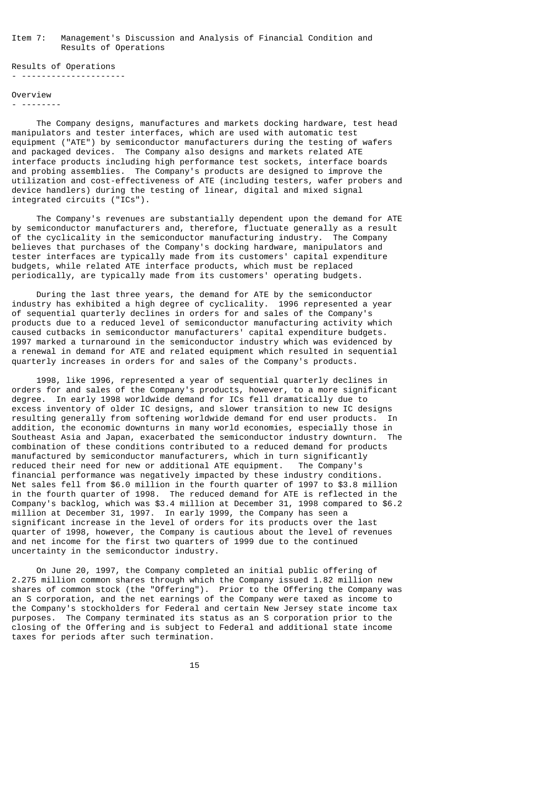#### Item 7: Management's Discussion and Analysis of Financial Condition and Results of Operations

Results of Operations - ---------------------

#### Overview

- --------

 The Company designs, manufactures and markets docking hardware, test head manipulators and tester interfaces, which are used with automatic test equipment ("ATE") by semiconductor manufacturers during the testing of wafers and packaged devices. The Company also designs and markets related ATE interface products including high performance test sockets, interface boards and probing assemblies. The Company's products are designed to improve the utilization and cost-effectiveness of ATE (including testers, wafer probers and device handlers) during the testing of linear, digital and mixed signal integrated circuits ("ICs").

 The Company's revenues are substantially dependent upon the demand for ATE by semiconductor manufacturers and, therefore, fluctuate generally as a result of the cyclicality in the semiconductor manufacturing industry. The Company believes that purchases of the Company's docking hardware, manipulators and tester interfaces are typically made from its customers' capital expenditure budgets, while related ATE interface products, which must be replaced periodically, are typically made from its customers' operating budgets.

 During the last three years, the demand for ATE by the semiconductor industry has exhibited a high degree of cyclicality. 1996 represented a year of sequential quarterly declines in orders for and sales of the Company's products due to a reduced level of semiconductor manufacturing activity which caused cutbacks in semiconductor manufacturers' capital expenditure budgets. 1997 marked a turnaround in the semiconductor industry which was evidenced by a renewal in demand for ATE and related equipment which resulted in sequential quarterly increases in orders for and sales of the Company's products.

 1998, like 1996, represented a year of sequential quarterly declines in orders for and sales of the Company's products, however, to a more significant degree. In early 1998 worldwide demand for ICs fell dramatically due to excess inventory of older IC designs, and slower transition to new IC designs resulting generally from softening worldwide demand for end user products. In addition, the economic downturns in many world economies, especially those in Southeast Asia and Japan, exacerbated the semiconductor industry downturn. combination of these conditions contributed to a reduced demand for products manufactured by semiconductor manufacturers, which in turn significantly reduced their need for new or additional ATE equipment. The Company's reduced their need for new or additional ATE equipment. financial performance was negatively impacted by these industry conditions. Net sales fell from \$6.0 million in the fourth quarter of 1997 to \$3.8 million in the fourth quarter of 1998. The reduced demand for ATE is reflected in the Company's backlog, which was \$3.4 million at December 31, 1998 compared to \$6.2 million at December 31, 1997. In early 1999, the Company has seen a significant increase in the level of orders for its products over the last quarter of 1998, however, the Company is cautious about the level of revenues and net income for the first two quarters of 1999 due to the continued uncertainty in the semiconductor industry.

 On June 20, 1997, the Company completed an initial public offering of 2.275 million common shares through which the Company issued 1.82 million new shares of common stock (the "Offering"). Prior to the Offering the Company was an S corporation, and the net earnings of the Company were taxed as income to the Company's stockholders for Federal and certain New Jersey state income tax purposes. The Company terminated its status as an S corporation prior to the closing of the Offering and is subject to Federal and additional state income taxes for periods after such termination.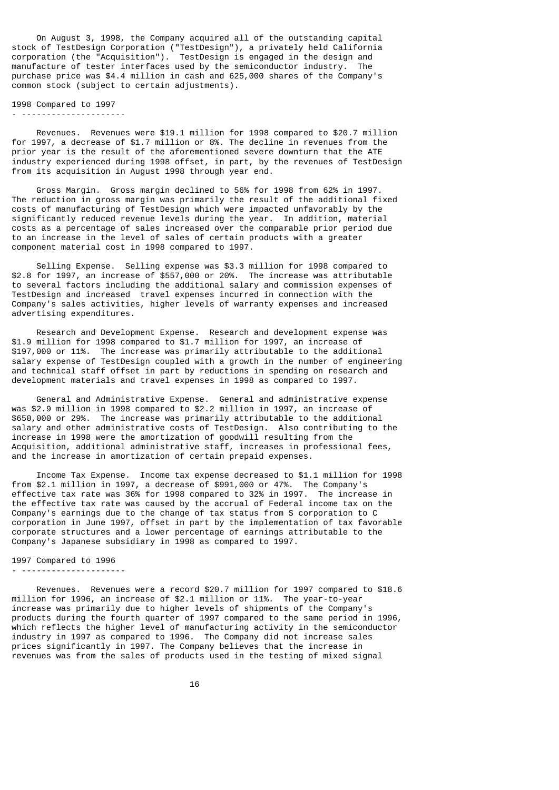On August 3, 1998, the Company acquired all of the outstanding capital stock of TestDesign Corporation ("TestDesign"), a privately held California corporation (the "Acquisition"). TestDesign is engaged in the design and manufacture of tester interfaces used by the semiconductor industry. The purchase price was \$4.4 million in cash and 625,000 shares of the Company's common stock (subject to certain adjustments).

1998 Compared to 1997 - ---------------------

 Revenues. Revenues were \$19.1 million for 1998 compared to \$20.7 million for 1997, a decrease of \$1.7 million or 8%. The decline in revenues from the prior year is the result of the aforementioned severe downturn that the ATE industry experienced during 1998 offset, in part, by the revenues of TestDesign from its acquisition in August 1998 through year end.

 Gross Margin. Gross margin declined to 56% for 1998 from 62% in 1997. The reduction in gross margin was primarily the result of the additional fixed costs of manufacturing of TestDesign which were impacted unfavorably by the significantly reduced revenue levels during the year. In addition, material costs as a percentage of sales increased over the comparable prior period due to an increase in the level of sales of certain products with a greater component material cost in 1998 compared to 1997.

 Selling Expense. Selling expense was \$3.3 million for 1998 compared to \$2.8 for 1997, an increase of \$557,000 or 20%. The increase was attributable to several factors including the additional salary and commission expenses of TestDesign and increased travel expenses incurred in connection with the Company's sales activities, higher levels of warranty expenses and increased advertising expenditures.

 Research and Development Expense. Research and development expense was \$1.9 million for 1998 compared to \$1.7 million for 1997, an increase of \$197,000 or 11%. The increase was primarily attributable to the additional salary expense of TestDesign coupled with a growth in the number of engineering and technical staff offset in part by reductions in spending on research and development materials and travel expenses in 1998 as compared to 1997.

 General and Administrative Expense. General and administrative expense was \$2.9 million in 1998 compared to \$2.2 million in 1997, an increase of \$650,000 or 29%. The increase was primarily attributable to the additional salary and other administrative costs of TestDesign. Also contributing to the increase in 1998 were the amortization of goodwill resulting from the Acquisition, additional administrative staff, increases in professional fees, and the increase in amortization of certain prepaid expenses.

 Income Tax Expense. Income tax expense decreased to \$1.1 million for 1998 from \$2.1 million in 1997, a decrease of \$991,000 or 47%. The Company's effective tax rate was 36% for 1998 compared to 32% in 1997. The increase in the effective tax rate was caused by the accrual of Federal income tax on the Company's earnings due to the change of tax status from S corporation to C corporation in June 1997, offset in part by the implementation of tax favorable corporate structures and a lower percentage of earnings attributable to the Company's Japanese subsidiary in 1998 as compared to 1997.

## 1997 Compared to 1996

- ---------------------

 Revenues. Revenues were a record \$20.7 million for 1997 compared to \$18.6 million for 1996, an increase of \$2.1 million or 11%. The year-to-year increase was primarily due to higher levels of shipments of the Company's products during the fourth quarter of 1997 compared to the same period in 1996, which reflects the higher level of manufacturing activity in the semiconductor industry in 1997 as compared to 1996. The Company did not increase sales prices significantly in 1997. The Company believes that the increase in revenues was from the sales of products used in the testing of mixed signal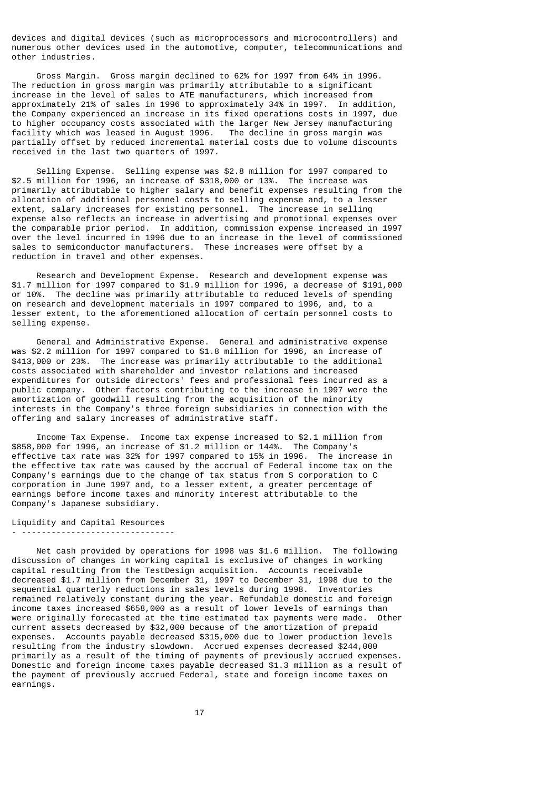devices and digital devices (such as microprocessors and microcontrollers) and numerous other devices used in the automotive, computer, telecommunications and other industries.

 Gross Margin. Gross margin declined to 62% for 1997 from 64% in 1996. The reduction in gross margin was primarily attributable to a significant increase in the level of sales to ATE manufacturers, which increased from approximately 21% of sales in 1996 to approximately 34% in 1997. In addition, the Company experienced an increase in its fixed operations costs in 1997, due to higher occupancy costs associated with the larger New Jersey manufacturing facility which was leased in August 1996. The decline in gross margin was partially offset by reduced incremental material costs due to volume discounts received in the last two quarters of 1997.

 Selling Expense. Selling expense was \$2.8 million for 1997 compared to \$2.5 million for 1996, an increase of \$318,000 or 13%. The increase was primarily attributable to higher salary and benefit expenses resulting from the allocation of additional personnel costs to selling expense and, to a lesser extent, salary increases for existing personnel. The increase in selling expense also reflects an increase in advertising and promotional expenses over the comparable prior period. In addition, commission expense increased in 1997 over the level incurred in 1996 due to an increase in the level of commissioned sales to semiconductor manufacturers. These increases were offset by a reduction in travel and other expenses.

 Research and Development Expense. Research and development expense was \$1.7 million for 1997 compared to \$1.9 million for 1996, a decrease of \$191,000 or 10%. The decline was primarily attributable to reduced levels of spending on research and development materials in 1997 compared to 1996, and, to a lesser extent, to the aforementioned allocation of certain personnel costs to selling expense.

 General and Administrative Expense. General and administrative expense was \$2.2 million for 1997 compared to \$1.8 million for 1996, an increase of \$413,000 or 23%. The increase was primarily attributable to the additional costs associated with shareholder and investor relations and increased expenditures for outside directors' fees and professional fees incurred as a public company. Other factors contributing to the increase in 1997 were the amortization of goodwill resulting from the acquisition of the minority interests in the Company's three foreign subsidiaries in connection with the offering and salary increases of administrative staff.

 Income Tax Expense. Income tax expense increased to \$2.1 million from \$858,000 for 1996, an increase of \$1.2 million or 144%. The Company's effective tax rate was 32% for 1997 compared to 15% in 1996. The increase in the effective tax rate was caused by the accrual of Federal income tax on the Company's earnings due to the change of tax status from S corporation to C corporation in June 1997 and, to a lesser extent, a greater percentage of earnings before income taxes and minority interest attributable to the Company's Japanese subsidiary.

## Liquidity and Capital Resources

- -------------------------------

 Net cash provided by operations for 1998 was \$1.6 million. The following discussion of changes in working capital is exclusive of changes in working capital resulting from the TestDesign acquisition. Accounts receivable decreased \$1.7 million from December 31, 1997 to December 31, 1998 due to the sequential quarterly reductions in sales levels during 1998. Inventories remained relatively constant during the year. Refundable domestic and foreign income taxes increased \$658,000 as a result of lower levels of earnings than were originally forecasted at the time estimated tax payments were made. Other current assets decreased by \$32,000 because of the amortization of prepaid expenses. Accounts payable decreased \$315,000 due to lower production levels resulting from the industry slowdown. Accrued expenses decreased \$244,000 primarily as a result of the timing of payments of previously accrued expenses. Domestic and foreign income taxes payable decreased \$1.3 million as a result of the payment of previously accrued Federal, state and foreign income taxes on earnings.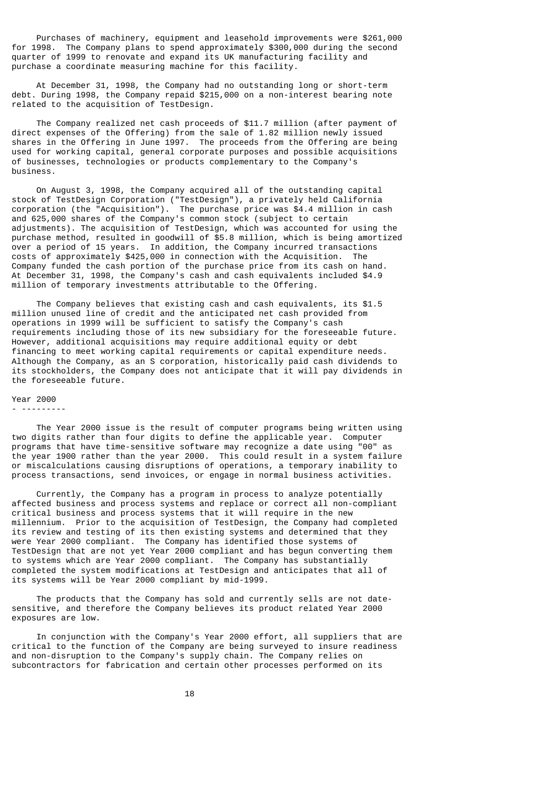Purchases of machinery, equipment and leasehold improvements were \$261,000 for 1998. The Company plans to spend approximately \$300,000 during the second quarter of 1999 to renovate and expand its UK manufacturing facility and purchase a coordinate measuring machine for this facility.

 At December 31, 1998, the Company had no outstanding long or short-term debt. During 1998, the Company repaid \$215,000 on a non-interest bearing note related to the acquisition of TestDesign.

 The Company realized net cash proceeds of \$11.7 million (after payment of direct expenses of the Offering) from the sale of 1.82 million newly issued shares in the Offering in June 1997. The proceeds from the Offering are being used for working capital, general corporate purposes and possible acquisitions of businesses, technologies or products complementary to the Company's business.

 On August 3, 1998, the Company acquired all of the outstanding capital stock of TestDesign Corporation ("TestDesign"), a privately held California corporation (the "Acquisition"). The purchase price was \$4.4 million in cash and 625,000 shares of the Company's common stock (subject to certain adjustments). The acquisition of TestDesign, which was accounted for using the purchase method, resulted in goodwill of \$5.8 million, which is being amortized over a period of 15 years. In addition, the Company incurred transactions costs of approximately \$425,000 in connection with the Acquisition. The Company funded the cash portion of the purchase price from its cash on hand. At December 31, 1998, the Company's cash and cash equivalents included \$4.9 million of temporary investments attributable to the Offering.

 The Company believes that existing cash and cash equivalents, its \$1.5 million unused line of credit and the anticipated net cash provided from operations in 1999 will be sufficient to satisfy the Company's cash requirements including those of its new subsidiary for the foreseeable future. However, additional acquisitions may require additional equity or debt financing to meet working capital requirements or capital expenditure needs. Although the Company, as an S corporation, historically paid cash dividends to its stockholders, the Company does not anticipate that it will pay dividends in the foreseeable future.

#### Year 2000

- ---------

 The Year 2000 issue is the result of computer programs being written using two digits rather than four digits to define the applicable year. Computer programs that have time-sensitive software may recognize a date using "00" as the year 1900 rather than the year 2000. This could result in a system failure or miscalculations causing disruptions of operations, a temporary inability to process transactions, send invoices, or engage in normal business activities.

 Currently, the Company has a program in process to analyze potentially affected business and process systems and replace or correct all non-compliant critical business and process systems that it will require in the new millennium. Prior to the acquisition of TestDesign, the Company had completed its review and testing of its then existing systems and determined that they were Year 2000 compliant. The Company has identified those systems of TestDesign that are not yet Year 2000 compliant and has begun converting them to systems which are Year 2000 compliant. The Company has substantially completed the system modifications at TestDesign and anticipates that all of its systems will be Year 2000 compliant by mid-1999.

 The products that the Company has sold and currently sells are not datesensitive, and therefore the Company believes its product related Year 2000 exposures are low.

 In conjunction with the Company's Year 2000 effort, all suppliers that are critical to the function of the Company are being surveyed to insure readiness and non-disruption to the Company's supply chain. The Company relies on subcontractors for fabrication and certain other processes performed on its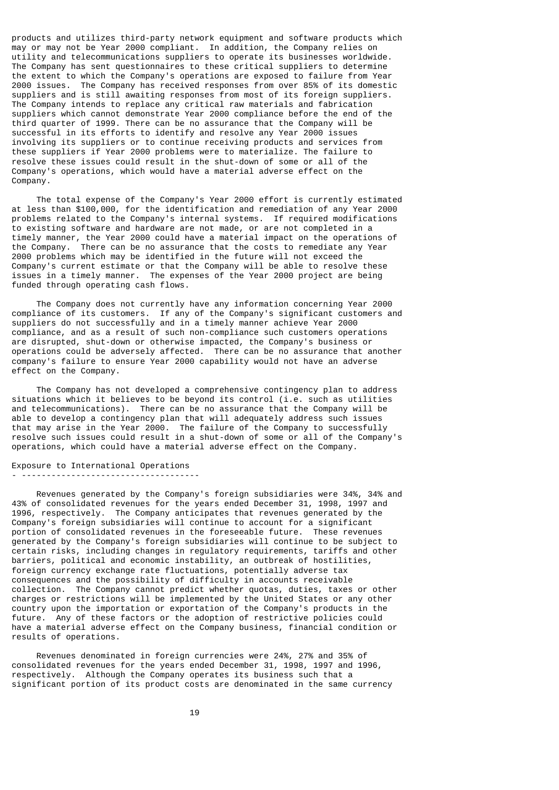products and utilizes third-party network equipment and software products which may or may not be Year 2000 compliant. In addition, the Company relies on utility and telecommunications suppliers to operate its businesses worldwide. The Company has sent questionnaires to these critical suppliers to determine the extent to which the Company's operations are exposed to failure from Year 2000 issues. The Company has received responses from over 85% of its domestic suppliers and is still awaiting responses from most of its foreign suppliers. The Company intends to replace any critical raw materials and fabrication suppliers which cannot demonstrate Year 2000 compliance before the end of the third quarter of 1999. There can be no assurance that the Company will be successful in its efforts to identify and resolve any Year 2000 issues involving its suppliers or to continue receiving products and services from these suppliers if Year 2000 problems were to materialize. The failure to resolve these issues could result in the shut-down of some or all of the Company's operations, which would have a material adverse effect on the Company.

 The total expense of the Company's Year 2000 effort is currently estimated at less than \$100,000, for the identification and remediation of any Year 2000 problems related to the Company's internal systems. If required modifications to existing software and hardware are not made, or are not completed in a timely manner, the Year 2000 could have a material impact on the operations of the Company. There can be no assurance that the costs to remediate any Year 2000 problems which may be identified in the future will not exceed the Company's current estimate or that the Company will be able to resolve these issues in a timely manner. The expenses of the Year 2000 project are being funded through operating cash flows.

 The Company does not currently have any information concerning Year 2000 compliance of its customers. If any of the Company's significant customers and suppliers do not successfully and in a timely manner achieve Year 2000 compliance, and as a result of such non-compliance such customers operations are disrupted, shut-down or otherwise impacted, the Company's business or operations could be adversely affected. There can be no assurance that another company's failure to ensure Year 2000 capability would not have an adverse effect on the Company.

 The Company has not developed a comprehensive contingency plan to address situations which it believes to be beyond its control (i.e. such as utilities and telecommunications). There can be no assurance that the Company will be able to develop a contingency plan that will adequately address such issues that may arise in the Year 2000. The failure of the Company to successfully resolve such issues could result in a shut-down of some or all of the Company's operations, which could have a material adverse effect on the Company.

Exposure to International Operations - ------------------------------------

 Revenues generated by the Company's foreign subsidiaries were 34%, 34% and 43% of consolidated revenues for the years ended December 31, 1998, 1997 and 1996, respectively. The Company anticipates that revenues generated by the Company's foreign subsidiaries will continue to account for a significant portion of consolidated revenues in the foreseeable future. These revenues generated by the Company's foreign subsidiaries will continue to be subject to certain risks, including changes in regulatory requirements, tariffs and other barriers, political and economic instability, an outbreak of hostilities, foreign currency exchange rate fluctuations, potentially adverse tax consequences and the possibility of difficulty in accounts receivable collection. The Company cannot predict whether quotas, duties, taxes or other charges or restrictions will be implemented by the United States or any other country upon the importation or exportation of the Company's products in the future. Any of these factors or the adoption of restrictive policies could have a material adverse effect on the Company business, financial condition or results of operations.

 Revenues denominated in foreign currencies were 24%, 27% and 35% of consolidated revenues for the years ended December 31, 1998, 1997 and 1996, respectively. Although the Company operates its business such that a significant portion of its product costs are denominated in the same currency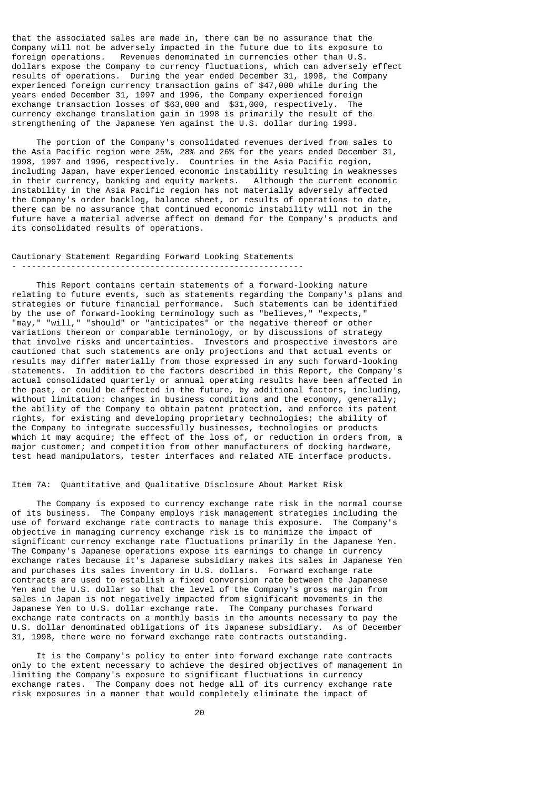that the associated sales are made in, there can be no assurance that the Company will not be adversely impacted in the future due to its exposure to foreign operations. Revenues denominated in currencies other than U.S. dollars expose the Company to currency fluctuations, which can adversely effect results of operations. During the year ended December 31, 1998, the Company experienced foreign currency transaction gains of \$47,000 while during the years ended December 31, 1997 and 1996, the Company experienced foreign exchange transaction losses of \$63,000 and \$31,000, respectively. The currency exchange translation gain in 1998 is primarily the result of the strengthening of the Japanese Yen against the U.S. dollar during 1998.

 The portion of the Company's consolidated revenues derived from sales to the Asia Pacific region were 25%, 28% and 26% for the years ended December 31, 1998, 1997 and 1996, respectively. Countries in the Asia Pacific region, including Japan, have experienced economic instability resulting in weaknesses in their currency, banking and equity markets. Although the current economic instability in the Asia Pacific region has not materially adversely affected the Company's order backlog, balance sheet, or results of operations to date, there can be no assurance that continued economic instability will not in the future have a material adverse affect on demand for the Company's products and its consolidated results of operations.

Cautionary Statement Regarding Forward Looking Statements - ---------------------------------------------------------

 This Report contains certain statements of a forward-looking nature relating to future events, such as statements regarding the Company's plans and strategies or future financial performance. Such statements can be identified by the use of forward-looking terminology such as "believes," "expects," "may," "will," "should" or "anticipates" or the negative thereof or other variations thereon or comparable terminology, or by discussions of strategy that involve risks and uncertainties. Investors and prospective investors are cautioned that such statements are only projections and that actual events or results may differ materially from those expressed in any such forward-looking statements. In addition to the factors described in this Report, the Company's actual consolidated quarterly or annual operating results have been affected in the past, or could be affected in the future, by additional factors, including, without limitation: changes in business conditions and the economy, generally; the ability of the Company to obtain patent protection, and enforce its patent rights, for existing and developing proprietary technologies; the ability of the Company to integrate successfully businesses, technologies or products which it may acquire; the effect of the loss of, or reduction in orders from, a major customer; and competition from other manufacturers of docking hardware, test head manipulators, tester interfaces and related ATE interface products.

## Item 7A: Quantitative and Qualitative Disclosure About Market Risk

 The Company is exposed to currency exchange rate risk in the normal course of its business. The Company employs risk management strategies including the use of forward exchange rate contracts to manage this exposure. The Company's objective in managing currency exchange risk is to minimize the impact of significant currency exchange rate fluctuations primarily in the Japanese Yen. The Company's Japanese operations expose its earnings to change in currency exchange rates because it's Japanese subsidiary makes its sales in Japanese Yen and purchases its sales inventory in U.S. dollars. Forward exchange rate contracts are used to establish a fixed conversion rate between the Japanese Yen and the U.S. dollar so that the level of the Company's gross margin from sales in Japan is not negatively impacted from significant movements in the Japanese Yen to U.S. dollar exchange rate. The Company purchases forward exchange rate contracts on a monthly basis in the amounts necessary to pay the U.S. dollar denominated obligations of its Japanese subsidiary. As of December 31, 1998, there were no forward exchange rate contracts outstanding.

 It is the Company's policy to enter into forward exchange rate contracts only to the extent necessary to achieve the desired objectives of management in limiting the Company's exposure to significant fluctuations in currency exchange rates. The Company does not hedge all of its currency exchange rate risk exposures in a manner that would completely eliminate the impact of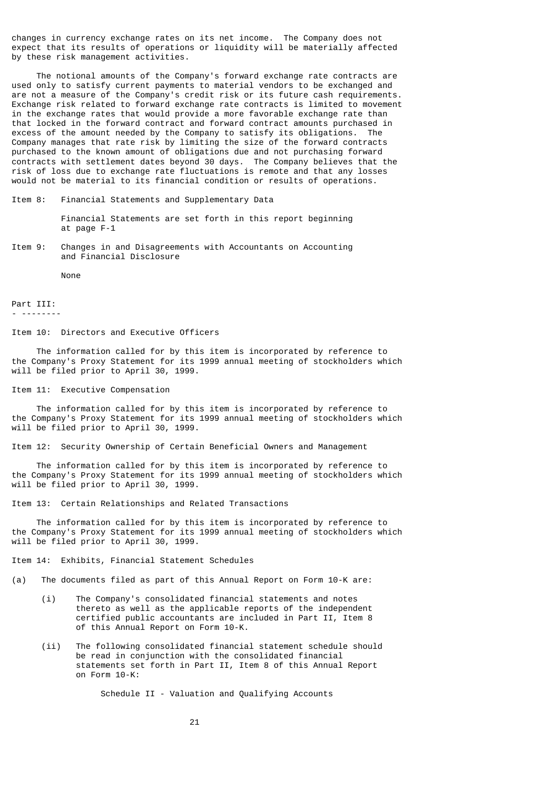changes in currency exchange rates on its net income. The Company does not expect that its results of operations or liquidity will be materially affected by these risk management activities.

 The notional amounts of the Company's forward exchange rate contracts are used only to satisfy current payments to material vendors to be exchanged and are not a measure of the Company's credit risk or its future cash requirements. Exchange risk related to forward exchange rate contracts is limited to movement in the exchange rates that would provide a more favorable exchange rate than that locked in the forward contract and forward contract amounts purchased in excess of the amount needed by the Company to satisfy its obligations. The Company manages that rate risk by limiting the size of the forward contracts purchased to the known amount of obligations due and not purchasing forward contracts with settlement dates beyond 30 days. The Company believes that the risk of loss due to exchange rate fluctuations is remote and that any losses would not be material to its financial condition or results of operations.

Item 8: Financial Statements and Supplementary Data

 Financial Statements are set forth in this report beginning at page F-1

Item 9: Changes in and Disagreements with Accountants on Accounting and Financial Disclosure

None

Part III: - --------

Item 10: Directors and Executive Officers

 The information called for by this item is incorporated by reference to the Company's Proxy Statement for its 1999 annual meeting of stockholders which will be filed prior to April 30, 1999.

Item 11: Executive Compensation

 The information called for by this item is incorporated by reference to the Company's Proxy Statement for its 1999 annual meeting of stockholders which will be filed prior to April 30, 1999.

Item 12: Security Ownership of Certain Beneficial Owners and Management

 The information called for by this item is incorporated by reference to the Company's Proxy Statement for its 1999 annual meeting of stockholders which will be filed prior to April 30, 1999.

Item 13: Certain Relationships and Related Transactions

 The information called for by this item is incorporated by reference to the Company's Proxy Statement for its 1999 annual meeting of stockholders which will be filed prior to April 30, 1999.

Item 14: Exhibits, Financial Statement Schedules

(a) The documents filed as part of this Annual Report on Form 10-K are:

- (i) The Company's consolidated financial statements and notes thereto as well as the applicable reports of the independent certified public accountants are included in Part II, Item 8 of this Annual Report on Form 10-K.
- (ii) The following consolidated financial statement schedule should be read in conjunction with the consolidated financial statements set forth in Part II, Item 8 of this Annual Report on Form 10-K:

Schedule II - Valuation and Qualifying Accounts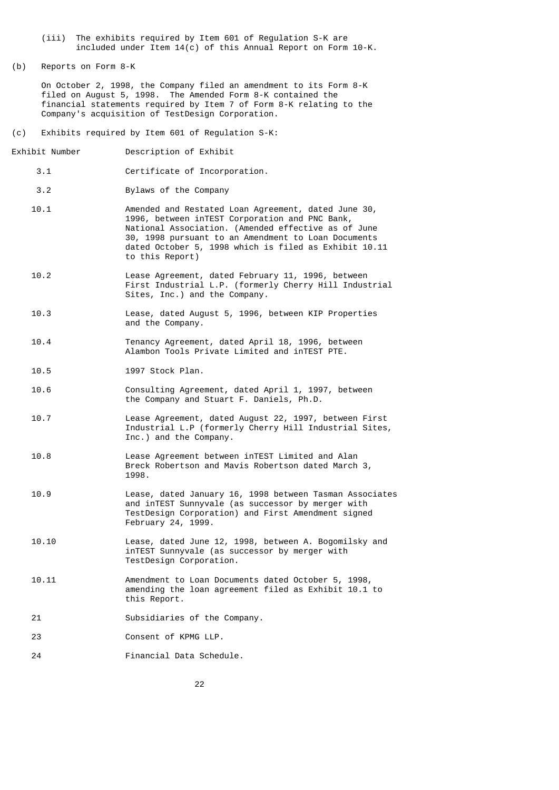- (iii) The exhibits required by Item 601 of Regulation S-K are included under Item 14(c) of this Annual Report on Form 10-K.
- (b) Reports on Form 8-K

 On October 2, 1998, the Company filed an amendment to its Form 8-K filed on August 5, 1998. The Amended Form 8-K contained the financial statements required by Item 7 of Form 8-K relating to the Company's acquisition of TestDesign Corporation.

- (c) Exhibits required by Item 601 of Regulation S-K:
- Exhibit Number Description of Exhibit
	- 3.1 Certificate of Incorporation.
	- 3.2 Bylaws of the Company
	- 10.1 Amended and Restated Loan Agreement, dated June 30, 1996, between inTEST Corporation and PNC Bank, National Association. (Amended effective as of June 30, 1998 pursuant to an Amendment to Loan Documents dated October 5, 1998 which is filed as Exhibit 10.11 to this Report)
	- 10.2 Lease Agreement, dated February 11, 1996, between First Industrial L.P. (formerly Cherry Hill Industrial Sites, Inc.) and the Company.
	- 10.3 Lease, dated August 5, 1996, between KIP Properties and the Company.
	- 10.4 Tenancy Agreement, dated April 18, 1996, between Alambon Tools Private Limited and inTEST PTE.
	- 10.5 1997 Stock Plan.
	- 10.6 Consulting Agreement, dated April 1, 1997, between the Company and Stuart F. Daniels, Ph.D.
	- 10.7 Lease Agreement, dated August 22, 1997, between First Industrial L.P (formerly Cherry Hill Industrial Sites, Inc.) and the Company.
	- 10.8 Lease Agreement between inTEST Limited and Alan Breck Robertson and Mavis Robertson dated March 3, 1998.
	- 10.9 Lease, dated January 16, 1998 between Tasman Associates and inTEST Sunnyvale (as successor by merger with TestDesign Corporation) and First Amendment signed February 24, 1999.
	- 10.10 Lease, dated June 12, 1998, between A. Bogomilsky and inTEST Sunnyvale (as successor by merger with TestDesign Corporation.
	- 10.11 Amendment to Loan Documents dated October 5, 1998, amending the loan agreement filed as Exhibit 10.1 to this Report.
	- 21 Subsidiaries of the Company.
	- 23 Consent of KPMG LLP.
	- 24 Financial Data Schedule.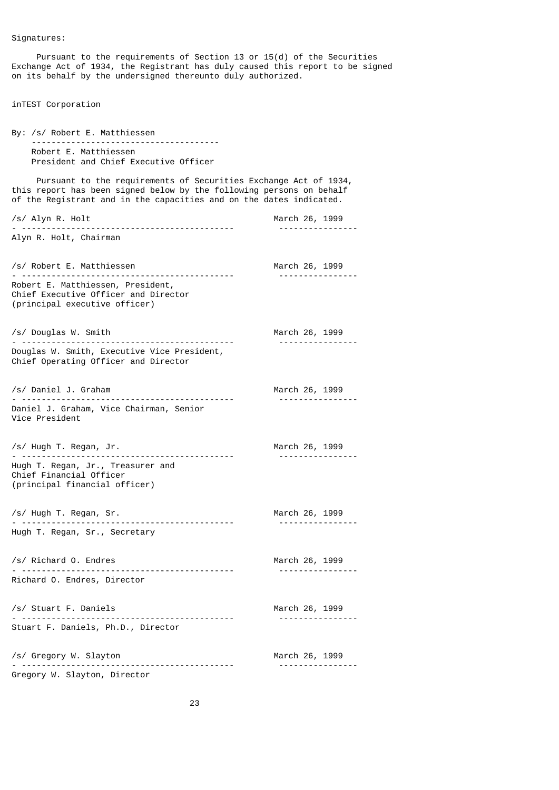Pursuant to the requirements of Section 13 or 15(d) of the Securities Exchange Act of 1934, the Registrant has duly caused this report to be signed on its behalf by the undersigned thereunto duly authorized.

inTEST Corporation

By: /s/ Robert E. Matthiessen -------------------------------------- Robert E. Matthiessen President and Chief Executive Officer Pursuant to the requirements of Securities Exchange Act of 1934, this report has been signed below by the following persons on behalf of the Registrant and in the capacities and on the dates indicated. /s/ Alyn R. Holt March 26, 1999 - ------------------------------------------- ---------------- Alyn R. Holt, Chairman /s/ Robert E. Matthiessen March 26, 1999 - ------------------------------------------- ---------------- Robert E. Matthiessen, President, Chief Executive Officer and Director (principal executive officer) /s/ Douglas W. Smith March 26, 1999 - ------------------------------------------- ---------------- Douglas W. Smith, Executive Vice President, Chief Operating Officer and Director /s/ Daniel J. Graham March 26, 1999 - ------------------------------------------- ---------------- Daniel J. Graham, Vice Chairman, Senior Vice President /s/ Hugh T. Regan, Jr. March 26, 1999 - ------------------------------------------- ---------------- Hugh T. Regan, Jr., Treasurer and Chief Financial Officer (principal financial officer) /s/ Hugh T. Regan, Sr. March 26, 1999 - ------------------------------------------- ---------------- Hugh T. Regan, Sr., Secretary /s/ Richard O. Endres March 26, 1999 - ------------------------------------------- ---------------- Richard O. Endres, Director /s/ Stuart F. Daniels March 26, 1999 - ------------------------------------------- ---------------- Stuart F. Daniels, Ph.D., Director /s/ Gregory W. Slayton March 26, 1999 - ------------------------------------------- ---------------- Gregory W. Slayton, Director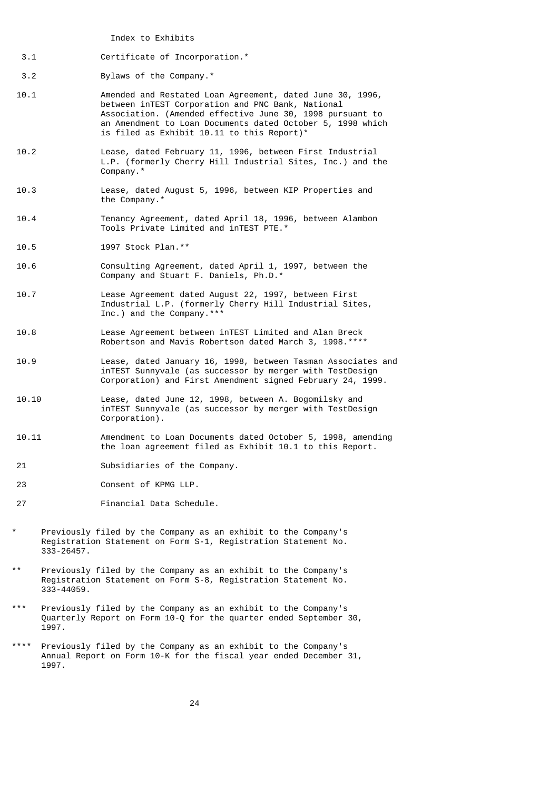Index to Exhibits

3.1 Certificate of Incorporation.\*

3.2 Bylaws of the Company.\*

- 10.1 Amended and Restated Loan Agreement, dated June 30, 1996, between inTEST Corporation and PNC Bank, National Association. (Amended effective June 30, 1998 pursuant to an Amendment to Loan Documents dated October 5, 1998 which is filed as Exhibit 10.11 to this Report)\*
- 10.2 Lease, dated February 11, 1996, between First Industrial L.P. (formerly Cherry Hill Industrial Sites, Inc.) and the Company.\*
- 10.3 Lease, dated August 5, 1996, between KIP Properties and the Company.\*
- 10.4 Tenancy Agreement, dated April 18, 1996, between Alambon Tools Private Limited and inTEST PTE.\*
- 10.5 1997 Stock Plan.\*\*
- 10.6 Consulting Agreement, dated April 1, 1997, between the Company and Stuart F. Daniels, Ph.D.\*
- 10.7 Lease Agreement dated August 22, 1997, between First Industrial L.P. (formerly Cherry Hill Industrial Sites, Inc.) and the Company. $***$
- 10.8 Lease Agreement between inTEST Limited and Alan Breck Robertson and Mavis Robertson dated March 3, 1998.\*\*\*\*
- 10.9 Lease, dated January 16, 1998, between Tasman Associates and inTEST Sunnyvale (as successor by merger with TestDesign Corporation) and First Amendment signed February 24, 1999.
- 10.10 Lease, dated June 12, 1998, between A. Bogomilsky and inTEST Sunnyvale (as successor by merger with TestDesign Corporation).
- 10.11 Amendment to Loan Documents dated October 5, 1998, amending the loan agreement filed as Exhibit 10.1 to this Report.
- 21 Subsidiaries of the Company.
- 23 Consent of KPMG LLP.
- 27 Financial Data Schedule.
- Previously filed by the Company as an exhibit to the Company's Registration Statement on Form S-1, Registration Statement No. 333-26457.
- Previously filed by the Company as an exhibit to the Company's Registration Statement on Form S-8, Registration Statement No. 333-44059.
- \*\*\* Previously filed by the Company as an exhibit to the Company's Quarterly Report on Form 10-Q for the quarter ended September 30, 1997.
- Previously filed by the Company as an exhibit to the Company's Annual Report on Form 10-K for the fiscal year ended December 31, 1997.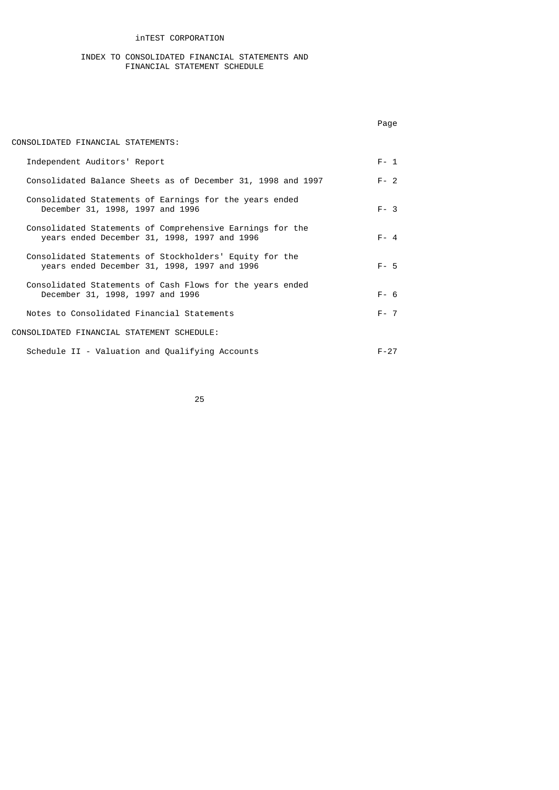## inTEST CORPORATION

#### INDEX TO CONSOLIDATED FINANCIAL STATEMENTS AND FINANCIAL STATEMENT SCHEDULE

|                                                                                                           | Page     |
|-----------------------------------------------------------------------------------------------------------|----------|
| CONSOLIDATED FINANCIAL STATEMENTS:                                                                        |          |
| Independent Auditors' Report                                                                              | $F - 1$  |
| Consolidated Balance Sheets as of December 31, 1998 and 1997                                              | $F - 2$  |
| Consolidated Statements of Earnings for the years ended<br>December 31, 1998, 1997 and 1996               | $F - 3$  |
| Consolidated Statements of Comprehensive Earnings for the<br>years ended December 31, 1998, 1997 and 1996 | $F - 4$  |
| Consolidated Statements of Stockholders' Equity for the<br>years ended December 31, 1998, 1997 and 1996   | $F - 5$  |
| Consolidated Statements of Cash Flows for the years ended<br>December 31, 1998, 1997 and 1996             | $F - 6$  |
| Notes to Consolidated Financial Statements                                                                | $F - 7$  |
| CONSOLIDATED FINANCIAL STATEMENT SCHEDULE:                                                                |          |
| Schedule II - Valuation and Qualifying Accounts                                                           | $F - 27$ |

<u>25 and 25</u>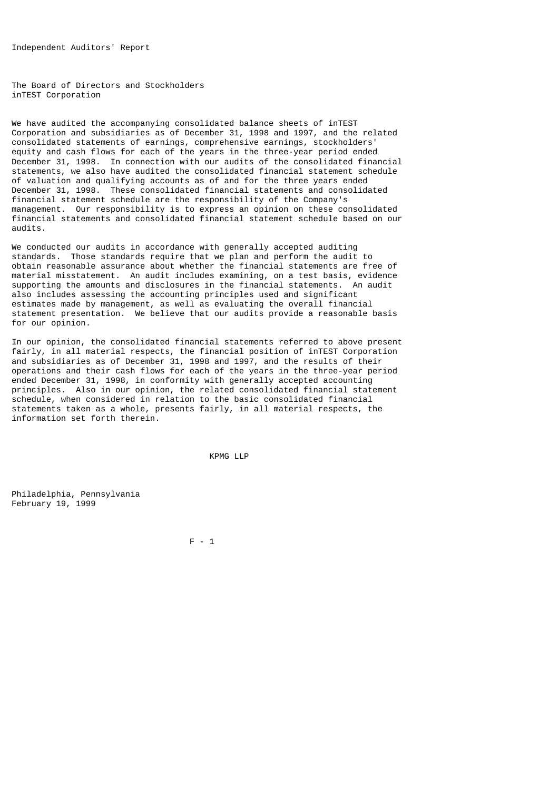Independent Auditors' Report

The Board of Directors and Stockholders inTEST Corporation

We have audited the accompanying consolidated balance sheets of inTEST Corporation and subsidiaries as of December 31, 1998 and 1997, and the related consolidated statements of earnings, comprehensive earnings, stockholders' equity and cash flows for each of the years in the three-year period ended December 31, 1998. In connection with our audits of the consolidated financial statements, we also have audited the consolidated financial statement schedule of valuation and qualifying accounts as of and for the three years ended December 31, 1998. These consolidated financial statements and consolidated financial statement schedule are the responsibility of the Company's management. Our responsibility is to express an opinion on these consolidated financial statements and consolidated financial statement schedule based on our audits.

We conducted our audits in accordance with generally accepted auditing standards. Those standards require that we plan and perform the audit to obtain reasonable assurance about whether the financial statements are free of material misstatement. An audit includes examining, on a test basis, evidence supporting the amounts and disclosures in the financial statements. An audit also includes assessing the accounting principles used and significant estimates made by management, as well as evaluating the overall financial statement presentation. We believe that our audits provide a reasonable basis for our opinion.

In our opinion, the consolidated financial statements referred to above present fairly, in all material respects, the financial position of inTEST Corporation and subsidiaries as of December 31, 1998 and 1997, and the results of their operations and their cash flows for each of the years in the three-year period ended December 31, 1998, in conformity with generally accepted accounting principles. Also in our opinion, the related consolidated financial statement schedule, when considered in relation to the basic consolidated financial statements taken as a whole, presents fairly, in all material respects, the information set forth therein.

KPMG LLP

Philadelphia, Pennsylvania February 19, 1999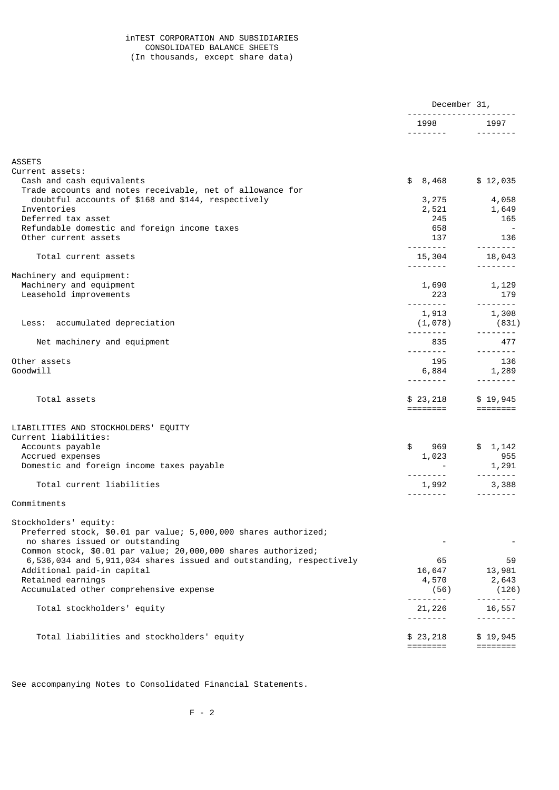## inTEST CORPORATION AND SUBSIDIARIES CONSOLIDATED BALANCE SHEETS (In thousands, except share data)

|                                                                     | December 31,                                                            |                                                                                                                                                                                                                                                                                                                                                                                                                                                                                        |
|---------------------------------------------------------------------|-------------------------------------------------------------------------|----------------------------------------------------------------------------------------------------------------------------------------------------------------------------------------------------------------------------------------------------------------------------------------------------------------------------------------------------------------------------------------------------------------------------------------------------------------------------------------|
|                                                                     | 1998                                                                    | 1997                                                                                                                                                                                                                                                                                                                                                                                                                                                                                   |
|                                                                     |                                                                         | $\begin{array}{cccccccccccccc} \multicolumn{2}{c}{} & \multicolumn{2}{c}{} & \multicolumn{2}{c}{} & \multicolumn{2}{c}{} & \multicolumn{2}{c}{} & \multicolumn{2}{c}{} & \multicolumn{2}{c}{} & \multicolumn{2}{c}{} & \multicolumn{2}{c}{} & \multicolumn{2}{c}{} & \multicolumn{2}{c}{} & \multicolumn{2}{c}{} & \multicolumn{2}{c}{} & \multicolumn{2}{c}{} & \multicolumn{2}{c}{} & \multicolumn{2}{c}{} & \multicolumn{2}{c}{} & \multicolumn{2}{c}{} & \multicolumn{2}{c}{} & \$ |
| <b>ASSETS</b>                                                       |                                                                         |                                                                                                                                                                                                                                                                                                                                                                                                                                                                                        |
| Current assets:                                                     |                                                                         |                                                                                                                                                                                                                                                                                                                                                                                                                                                                                        |
| Cash and cash equivalents                                           | 8,468<br>\$                                                             | \$12,035                                                                                                                                                                                                                                                                                                                                                                                                                                                                               |
| Trade accounts and notes receivable, net of allowance for           |                                                                         |                                                                                                                                                                                                                                                                                                                                                                                                                                                                                        |
| doubtful accounts of \$168 and \$144, respectively                  | 3,275                                                                   | 4,058                                                                                                                                                                                                                                                                                                                                                                                                                                                                                  |
| Inventories                                                         | 2,521                                                                   | 1,649                                                                                                                                                                                                                                                                                                                                                                                                                                                                                  |
| Deferred tax asset                                                  | 245                                                                     | 165                                                                                                                                                                                                                                                                                                                                                                                                                                                                                    |
| Refundable domestic and foreign income taxes                        | 658                                                                     | $\sim$                                                                                                                                                                                                                                                                                                                                                                                                                                                                                 |
| Other current assets                                                | 137<br><u>.</u> .                                                       | 136                                                                                                                                                                                                                                                                                                                                                                                                                                                                                    |
| Total current assets                                                |                                                                         |                                                                                                                                                                                                                                                                                                                                                                                                                                                                                        |
|                                                                     | 15,304                                                                  | 18,043                                                                                                                                                                                                                                                                                                                                                                                                                                                                                 |
| Machinery and equipment:                                            |                                                                         |                                                                                                                                                                                                                                                                                                                                                                                                                                                                                        |
| Machinery and equipment                                             | 1,690                                                                   | 1,129                                                                                                                                                                                                                                                                                                                                                                                                                                                                                  |
| Leasehold improvements                                              | 223                                                                     | 179                                                                                                                                                                                                                                                                                                                                                                                                                                                                                    |
|                                                                     | ---------                                                               | --------                                                                                                                                                                                                                                                                                                                                                                                                                                                                               |
|                                                                     | 1,913                                                                   | 1,308                                                                                                                                                                                                                                                                                                                                                                                                                                                                                  |
| Less: accumulated depreciation                                      | (1,078)                                                                 | (831)                                                                                                                                                                                                                                                                                                                                                                                                                                                                                  |
|                                                                     |                                                                         | <u> - - - - - - - -</u>                                                                                                                                                                                                                                                                                                                                                                                                                                                                |
| Net machinery and equipment                                         | 835                                                                     | 477                                                                                                                                                                                                                                                                                                                                                                                                                                                                                    |
|                                                                     | <u>.</u>                                                                | <u> - - - - - - - -</u>                                                                                                                                                                                                                                                                                                                                                                                                                                                                |
| Other assets                                                        | 195                                                                     | 136                                                                                                                                                                                                                                                                                                                                                                                                                                                                                    |
| Goodwill                                                            | 6,884                                                                   | 1,289                                                                                                                                                                                                                                                                                                                                                                                                                                                                                  |
|                                                                     |                                                                         |                                                                                                                                                                                                                                                                                                                                                                                                                                                                                        |
| Total assets                                                        |                                                                         | \$19,945                                                                                                                                                                                                                                                                                                                                                                                                                                                                               |
|                                                                     | \$23,218<br>$=$ $=$ $=$ $=$ $=$ $=$ $=$ $=$ $=$                         |                                                                                                                                                                                                                                                                                                                                                                                                                                                                                        |
|                                                                     |                                                                         |                                                                                                                                                                                                                                                                                                                                                                                                                                                                                        |
| LIABILITIES AND STOCKHOLDERS' EQUITY                                |                                                                         |                                                                                                                                                                                                                                                                                                                                                                                                                                                                                        |
| Current liabilities:                                                |                                                                         |                                                                                                                                                                                                                                                                                                                                                                                                                                                                                        |
| Accounts payable                                                    | \$<br>969                                                               | \$1,142                                                                                                                                                                                                                                                                                                                                                                                                                                                                                |
| Accrued expenses                                                    | 1,023                                                                   | 955                                                                                                                                                                                                                                                                                                                                                                                                                                                                                    |
| Domestic and foreign income taxes payable                           |                                                                         | 1,291                                                                                                                                                                                                                                                                                                                                                                                                                                                                                  |
|                                                                     | <u>.</u> .                                                              |                                                                                                                                                                                                                                                                                                                                                                                                                                                                                        |
| Total current liabilities                                           | 1,992                                                                   | 3,388                                                                                                                                                                                                                                                                                                                                                                                                                                                                                  |
| Commitments                                                         |                                                                         |                                                                                                                                                                                                                                                                                                                                                                                                                                                                                        |
|                                                                     |                                                                         |                                                                                                                                                                                                                                                                                                                                                                                                                                                                                        |
| Stockholders' equity:                                               |                                                                         |                                                                                                                                                                                                                                                                                                                                                                                                                                                                                        |
| Preferred stock, \$0.01 par value; 5,000,000 shares authorized;     |                                                                         |                                                                                                                                                                                                                                                                                                                                                                                                                                                                                        |
| no shares issued or outstanding                                     |                                                                         |                                                                                                                                                                                                                                                                                                                                                                                                                                                                                        |
| Common stock, \$0.01 par value; 20,000,000 shares authorized;       |                                                                         |                                                                                                                                                                                                                                                                                                                                                                                                                                                                                        |
| 6,536,034 and 5,911,034 shares issued and outstanding, respectively | 65                                                                      | 59                                                                                                                                                                                                                                                                                                                                                                                                                                                                                     |
| Additional paid-in capital                                          | 16,647                                                                  | 13,981                                                                                                                                                                                                                                                                                                                                                                                                                                                                                 |
| Retained earnings                                                   | 4,570                                                                   | 2,643                                                                                                                                                                                                                                                                                                                                                                                                                                                                                  |
| Accumulated other comprehensive expense                             | (56)                                                                    | (126)                                                                                                                                                                                                                                                                                                                                                                                                                                                                                  |
|                                                                     |                                                                         | - - - - - - - -                                                                                                                                                                                                                                                                                                                                                                                                                                                                        |
| Total stockholders' equity                                          | 21,226                                                                  | 16,557                                                                                                                                                                                                                                                                                                                                                                                                                                                                                 |
|                                                                     |                                                                         |                                                                                                                                                                                                                                                                                                                                                                                                                                                                                        |
| Total liabilities and stockholders' equity                          | \$23,218                                                                | \$19,945                                                                                                                                                                                                                                                                                                                                                                                                                                                                               |
|                                                                     | $\qquad \qquad \equiv \equiv \equiv \equiv \equiv \equiv \equiv \equiv$ |                                                                                                                                                                                                                                                                                                                                                                                                                                                                                        |
|                                                                     |                                                                         |                                                                                                                                                                                                                                                                                                                                                                                                                                                                                        |

See accompanying Notes to Consolidated Financial Statements.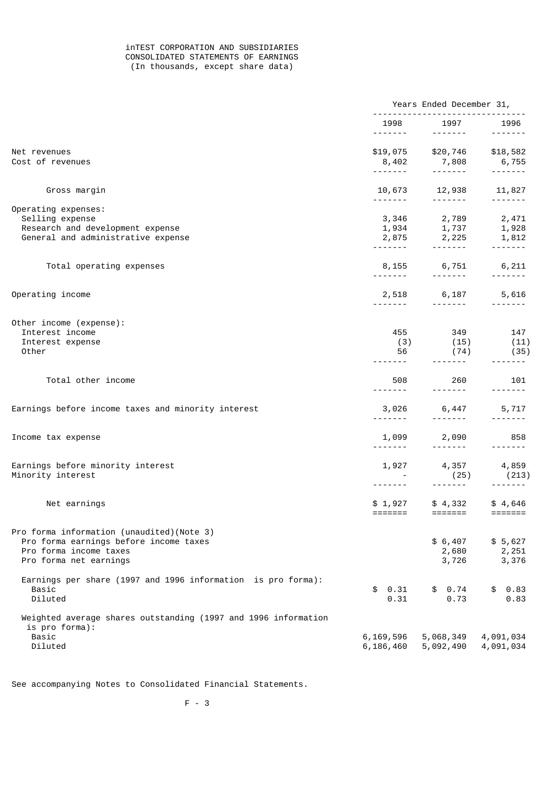## inTEST CORPORATION AND SUBSIDIARIES CONSOLIDATED STATEMENTS OF EARNINGS (In thousands, except share data)

|                                                                  | Years Ended December 31,                                                                                                                                                                                                                                                                                                                                                                                                                                                                        |                                                                                                                                                                                                                                                                                                                                                                                                                                                                                                     |                           |  |
|------------------------------------------------------------------|-------------------------------------------------------------------------------------------------------------------------------------------------------------------------------------------------------------------------------------------------------------------------------------------------------------------------------------------------------------------------------------------------------------------------------------------------------------------------------------------------|-----------------------------------------------------------------------------------------------------------------------------------------------------------------------------------------------------------------------------------------------------------------------------------------------------------------------------------------------------------------------------------------------------------------------------------------------------------------------------------------------------|---------------------------|--|
|                                                                  |                                                                                                                                                                                                                                                                                                                                                                                                                                                                                                 | 1998 1997<br>$\begin{array}{cccccccccccccc} \multicolumn{2}{c}{} & \multicolumn{2}{c}{} & \multicolumn{2}{c}{} & \multicolumn{2}{c}{} & \multicolumn{2}{c}{} & \multicolumn{2}{c}{} & \multicolumn{2}{c}{} & \multicolumn{2}{c}{} & \multicolumn{2}{c}{} & \multicolumn{2}{c}{} & \multicolumn{2}{c}{} & \multicolumn{2}{c}{} & \multicolumn{2}{c}{} & \multicolumn{2}{c}{} & \multicolumn{2}{c}{} & \multicolumn{2}{c}{} & \multicolumn{2}{c}{} & \multicolumn{2}{c}{} & \multicolumn{2}{c}{} & \$ | 1996<br>$- - - - - - - -$ |  |
| Net revenues                                                     |                                                                                                                                                                                                                                                                                                                                                                                                                                                                                                 | \$19,075 \$20,746 \$18,582                                                                                                                                                                                                                                                                                                                                                                                                                                                                          |                           |  |
| Cost of revenues                                                 |                                                                                                                                                                                                                                                                                                                                                                                                                                                                                                 | $8,402$ $7,808$ $6,755$                                                                                                                                                                                                                                                                                                                                                                                                                                                                             |                           |  |
| Gross margin                                                     | 10,673                                                                                                                                                                                                                                                                                                                                                                                                                                                                                          | 12,938 11,827                                                                                                                                                                                                                                                                                                                                                                                                                                                                                       |                           |  |
|                                                                  | -------                                                                                                                                                                                                                                                                                                                                                                                                                                                                                         | . <b>.</b> .                                                                                                                                                                                                                                                                                                                                                                                                                                                                                        | . <b>.</b>                |  |
| Operating expenses:<br>Selling expense                           |                                                                                                                                                                                                                                                                                                                                                                                                                                                                                                 |                                                                                                                                                                                                                                                                                                                                                                                                                                                                                                     |                           |  |
| Research and development expense                                 |                                                                                                                                                                                                                                                                                                                                                                                                                                                                                                 | $\begin{array}{llll} 3,346 & \quad & 2,789 & \quad & 2,471 \\ 1,934 & \quad & 1,737 & \quad & 1,928 \\ 2,875 & \quad & 2,225 & \quad & 1,812 \end{array}$                                                                                                                                                                                                                                                                                                                                           |                           |  |
| General and administrative expense                               |                                                                                                                                                                                                                                                                                                                                                                                                                                                                                                 |                                                                                                                                                                                                                                                                                                                                                                                                                                                                                                     |                           |  |
|                                                                  |                                                                                                                                                                                                                                                                                                                                                                                                                                                                                                 |                                                                                                                                                                                                                                                                                                                                                                                                                                                                                                     |                           |  |
| Total operating expenses                                         |                                                                                                                                                                                                                                                                                                                                                                                                                                                                                                 | 8,155 6,751 6,211                                                                                                                                                                                                                                                                                                                                                                                                                                                                                   |                           |  |
|                                                                  |                                                                                                                                                                                                                                                                                                                                                                                                                                                                                                 |                                                                                                                                                                                                                                                                                                                                                                                                                                                                                                     | $- - - - - - - -$         |  |
| Operating income                                                 |                                                                                                                                                                                                                                                                                                                                                                                                                                                                                                 | 2,518 6,187 5,616                                                                                                                                                                                                                                                                                                                                                                                                                                                                                   |                           |  |
|                                                                  |                                                                                                                                                                                                                                                                                                                                                                                                                                                                                                 | $\begin{array}{cccccccccccccc} \multicolumn{2}{c}{} & \multicolumn{2}{c}{} & \multicolumn{2}{c}{} & \multicolumn{2}{c}{} & \multicolumn{2}{c}{} & \multicolumn{2}{c}{} & \multicolumn{2}{c}{} & \multicolumn{2}{c}{} & \multicolumn{2}{c}{} & \multicolumn{2}{c}{} & \multicolumn{2}{c}{} & \multicolumn{2}{c}{} & \multicolumn{2}{c}{} & \multicolumn{2}{c}{} & \multicolumn{2}{c}{} & \multicolumn{2}{c}{} & \multicolumn{2}{c}{} & \multicolumn{2}{c}{} & \multicolumn{2}{c}{} & \$              |                           |  |
| Other income (expense):                                          |                                                                                                                                                                                                                                                                                                                                                                                                                                                                                                 |                                                                                                                                                                                                                                                                                                                                                                                                                                                                                                     |                           |  |
| Interest income                                                  |                                                                                                                                                                                                                                                                                                                                                                                                                                                                                                 | 455 349 147                                                                                                                                                                                                                                                                                                                                                                                                                                                                                         |                           |  |
| Interest expense                                                 | (3)                                                                                                                                                                                                                                                                                                                                                                                                                                                                                             | (15)                                                                                                                                                                                                                                                                                                                                                                                                                                                                                                | (11)                      |  |
| Other                                                            | 56                                                                                                                                                                                                                                                                                                                                                                                                                                                                                              | (74)                                                                                                                                                                                                                                                                                                                                                                                                                                                                                                | (35)                      |  |
|                                                                  |                                                                                                                                                                                                                                                                                                                                                                                                                                                                                                 | -------                                                                                                                                                                                                                                                                                                                                                                                                                                                                                             |                           |  |
| Total other income                                               | 508                                                                                                                                                                                                                                                                                                                                                                                                                                                                                             | 260<br>$- - - - - - -$                                                                                                                                                                                                                                                                                                                                                                                                                                                                              | 101<br>-------            |  |
| Earnings before income taxes and minority interest               | 3,026<br>$\begin{array}{cccccccccccccc} \multicolumn{2}{c}{} & \multicolumn{2}{c}{} & \multicolumn{2}{c}{} & \multicolumn{2}{c}{} & \multicolumn{2}{c}{} & \multicolumn{2}{c}{} & \multicolumn{2}{c}{} & \multicolumn{2}{c}{} & \multicolumn{2}{c}{} & \multicolumn{2}{c}{} & \multicolumn{2}{c}{} & \multicolumn{2}{c}{} & \multicolumn{2}{c}{} & \multicolumn{2}{c}{} & \multicolumn{2}{c}{} & \multicolumn{2}{c}{} & \multicolumn{2}{c}{} & \multicolumn{2}{c}{} & \multicolumn{2}{c}{} & \$ | 6,447<br>$- - - - - - - -$                                                                                                                                                                                                                                                                                                                                                                                                                                                                          | 5,717                     |  |
|                                                                  |                                                                                                                                                                                                                                                                                                                                                                                                                                                                                                 |                                                                                                                                                                                                                                                                                                                                                                                                                                                                                                     |                           |  |
| Income tax expense                                               | 1,099<br>-------                                                                                                                                                                                                                                                                                                                                                                                                                                                                                | 2,090<br>$\begin{array}{cccccccccccccc} \multicolumn{2}{c}{} & \multicolumn{2}{c}{} & \multicolumn{2}{c}{} & \multicolumn{2}{c}{} & \multicolumn{2}{c}{} & \multicolumn{2}{c}{} & \multicolumn{2}{c}{} & \multicolumn{2}{c}{} & \multicolumn{2}{c}{} & \multicolumn{2}{c}{} & \multicolumn{2}{c}{} & \multicolumn{2}{c}{} & \multicolumn{2}{c}{} & \multicolumn{2}{c}{} & \multicolumn{2}{c}{} & \multicolumn{2}{c}{} & \multicolumn{2}{c}{} & \multicolumn{2}{c}{} & \multicolumn{2}{c}{} & \$     | 858                       |  |
|                                                                  |                                                                                                                                                                                                                                                                                                                                                                                                                                                                                                 |                                                                                                                                                                                                                                                                                                                                                                                                                                                                                                     |                           |  |
| Earnings before minority interest                                | 1,927                                                                                                                                                                                                                                                                                                                                                                                                                                                                                           | 4,357                                                                                                                                                                                                                                                                                                                                                                                                                                                                                               | 4,859                     |  |
| Minority interest                                                |                                                                                                                                                                                                                                                                                                                                                                                                                                                                                                 | (25)<br>$- - - - - - - -$                                                                                                                                                                                                                                                                                                                                                                                                                                                                           | (213)                     |  |
|                                                                  |                                                                                                                                                                                                                                                                                                                                                                                                                                                                                                 |                                                                                                                                                                                                                                                                                                                                                                                                                                                                                                     |                           |  |
| Net earnings                                                     |                                                                                                                                                                                                                                                                                                                                                                                                                                                                                                 |                                                                                                                                                                                                                                                                                                                                                                                                                                                                                                     |                           |  |
|                                                                  |                                                                                                                                                                                                                                                                                                                                                                                                                                                                                                 |                                                                                                                                                                                                                                                                                                                                                                                                                                                                                                     |                           |  |
| Pro forma information (unaudited) (Note 3)                       |                                                                                                                                                                                                                                                                                                                                                                                                                                                                                                 |                                                                                                                                                                                                                                                                                                                                                                                                                                                                                                     |                           |  |
| Pro forma earnings before income taxes<br>Pro forma income taxes |                                                                                                                                                                                                                                                                                                                                                                                                                                                                                                 | \$6,407                                                                                                                                                                                                                                                                                                                                                                                                                                                                                             | \$5,627                   |  |
| Pro forma net earnings                                           |                                                                                                                                                                                                                                                                                                                                                                                                                                                                                                 | 2,680<br>3,726                                                                                                                                                                                                                                                                                                                                                                                                                                                                                      | 2,251<br>3,376            |  |
|                                                                  |                                                                                                                                                                                                                                                                                                                                                                                                                                                                                                 |                                                                                                                                                                                                                                                                                                                                                                                                                                                                                                     |                           |  |
| Earnings per share (1997 and 1996 information is pro forma):     |                                                                                                                                                                                                                                                                                                                                                                                                                                                                                                 |                                                                                                                                                                                                                                                                                                                                                                                                                                                                                                     |                           |  |
| Basic                                                            | \$0.31                                                                                                                                                                                                                                                                                                                                                                                                                                                                                          | \$0.74                                                                                                                                                                                                                                                                                                                                                                                                                                                                                              | \$<br>0.83                |  |
| Diluted                                                          | 0.31                                                                                                                                                                                                                                                                                                                                                                                                                                                                                            | 0.73                                                                                                                                                                                                                                                                                                                                                                                                                                                                                                | 0.83                      |  |
| Weighted average shares outstanding (1997 and 1996 information   |                                                                                                                                                                                                                                                                                                                                                                                                                                                                                                 |                                                                                                                                                                                                                                                                                                                                                                                                                                                                                                     |                           |  |
| is pro forma):<br>Basic                                          | 6,169,596                                                                                                                                                                                                                                                                                                                                                                                                                                                                                       |                                                                                                                                                                                                                                                                                                                                                                                                                                                                                                     | 4,091,034                 |  |
| Diluted                                                          | 6, 186, 460                                                                                                                                                                                                                                                                                                                                                                                                                                                                                     | 5,068,349<br>5,092,490                                                                                                                                                                                                                                                                                                                                                                                                                                                                              | 4,091,034                 |  |
|                                                                  |                                                                                                                                                                                                                                                                                                                                                                                                                                                                                                 |                                                                                                                                                                                                                                                                                                                                                                                                                                                                                                     |                           |  |

See accompanying Notes to Consolidated Financial Statements.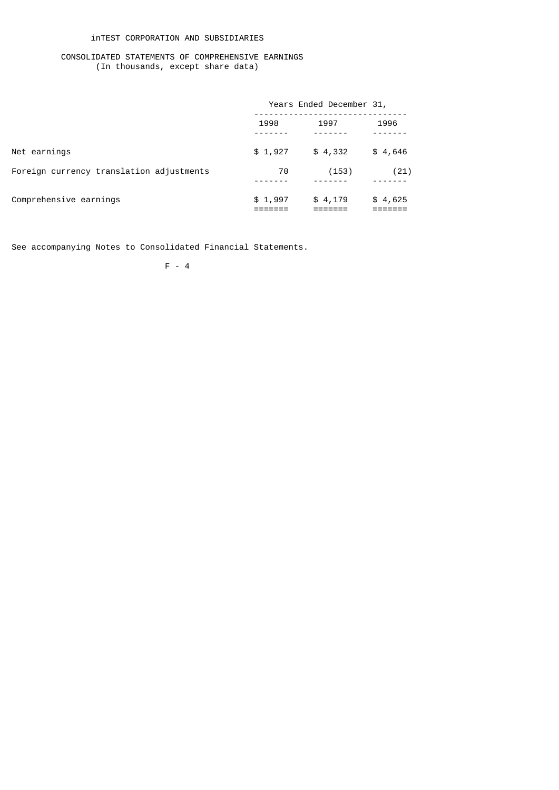## inTEST CORPORATION AND SUBSIDIARIES

## CONSOLIDATED STATEMENTS OF COMPREHENSIVE EARNINGS (In thousands, except share data)

|                                          | Years Ended December 31, |         |         |  |
|------------------------------------------|--------------------------|---------|---------|--|
|                                          | 1998                     | 1997    | 1996    |  |
| Net earnings                             | \$1,927                  | \$4,332 | \$4,646 |  |
| Foreign currency translation adjustments | 70                       | (153)   | (21)    |  |
| Comprehensive earnings                   | \$1,997                  | \$4,179 | \$4,625 |  |

See accompanying Notes to Consolidated Financial Statements.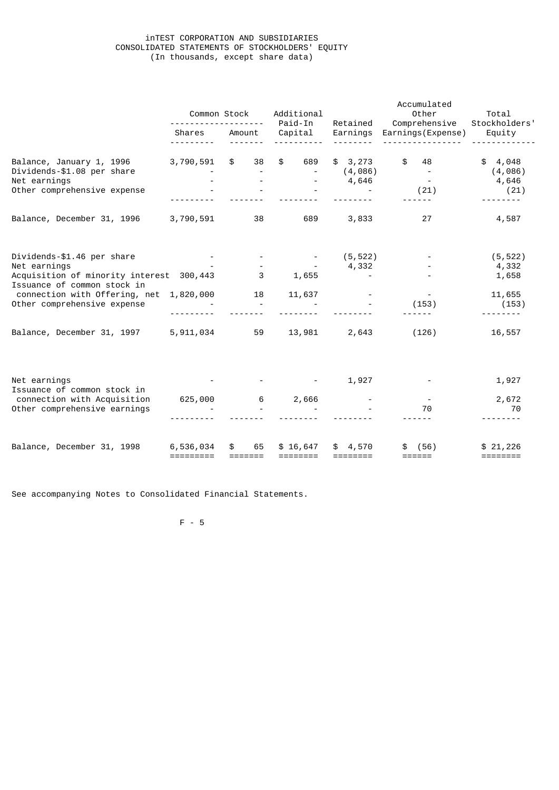## inTEST CORPORATION AND SUBSIDIARIES CONSOLIDATED STATEMENTS OF STOCKHOLDERS' EQUITY (In thousands, except share data)

|                                                                                                                                                                                       | Common Stock           |                                     | Additional<br>Paid-In<br>Retained                                       |                                               | Accumulated<br>Other<br>Comprehensive | Total<br>Stockholders'                        |  |
|---------------------------------------------------------------------------------------------------------------------------------------------------------------------------------------|------------------------|-------------------------------------|-------------------------------------------------------------------------|-----------------------------------------------|---------------------------------------|-----------------------------------------------|--|
|                                                                                                                                                                                       | Shares                 | Amount                              | Capital                                                                 | Earnings                                      | Earnings(Expense)                     | Equity                                        |  |
| Balance, January 1, 1996<br>Dividends-\$1.08 per share<br>Net earnings<br>Other comprehensive expense                                                                                 | 3,790,591              | \$<br>38                            | \$<br>689                                                               | \$3,273<br>(4,086)<br>4,646                   | \$<br>48<br>(21)                      | \$4,048<br>(4,086)<br>4,646<br>(21)           |  |
| Balance, December 31, 1996                                                                                                                                                            | 3,790,591              | 38                                  | 689                                                                     | 3,833                                         | 27                                    | 4,587                                         |  |
| Dividends-\$1.46 per share<br>Net earnings<br>Acquisition of minority interest 300,443<br>Issuance of common stock in<br>connection with Offering, net<br>Other comprehensive expense | 1,820,000              | 3<br>18<br>$\overline{\phantom{a}}$ | <b>Contract Contract</b><br>$\sim 10^{11}$ m $^{-1}$<br>1,655<br>11,637 | (5, 522)<br>4,332<br>$\overline{\phantom{a}}$ | $\sim$ $-$<br>(153)                   | (5, 522)<br>4,332<br>1,658<br>11,655<br>(153) |  |
| Balance, December 31, 1997                                                                                                                                                            | 5,911,034              | 59                                  | 13,981                                                                  | 2,643                                         | (126)                                 | 16,557                                        |  |
| Net earnings<br>Issuance of common stock in<br>connection with Acquisition<br>Other comprehensive earnings                                                                            | 625,000                | $6\overline{6}$                     | 2,666                                                                   | 1,927                                         | 70                                    | 1,927<br>2,672<br>70                          |  |
| Balance, December 31, 1998                                                                                                                                                            | 6,536,034<br>========= | 65                                  | \$16,647<br>========                                                    | \$4,570<br>$=$ $=$ $=$ $=$ $=$ $=$ $=$        | (56)<br>======                        | \$21,226                                      |  |

See accompanying Notes to Consolidated Financial Statements.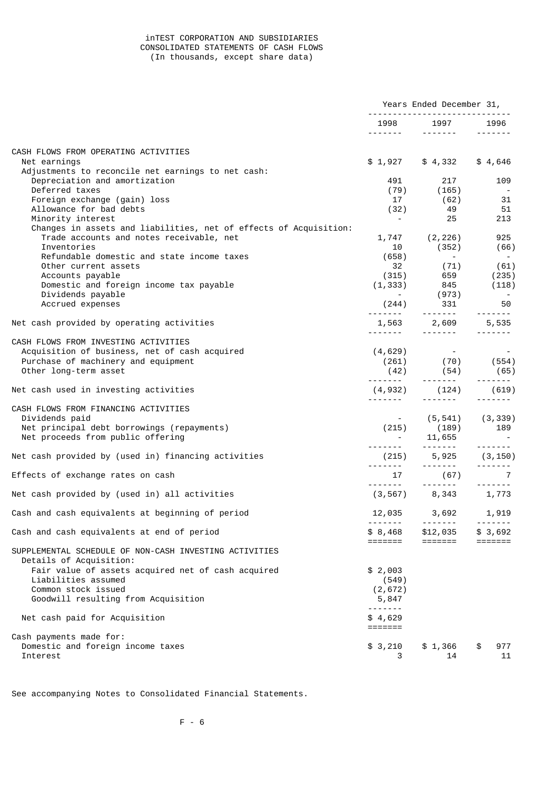## inTEST CORPORATION AND SUBSIDIARIES CONSOLIDATED STATEMENTS OF CASH FLOWS (In thousands, except share data)

|                                                                                                               | Years Ended December 31,               |                                                                                                                                                                                                                                                                                                                                                                                                                                                                                                                    |                                                                                                                                                                                                                                                                                                                                                                                                                                                                                        |
|---------------------------------------------------------------------------------------------------------------|----------------------------------------|--------------------------------------------------------------------------------------------------------------------------------------------------------------------------------------------------------------------------------------------------------------------------------------------------------------------------------------------------------------------------------------------------------------------------------------------------------------------------------------------------------------------|----------------------------------------------------------------------------------------------------------------------------------------------------------------------------------------------------------------------------------------------------------------------------------------------------------------------------------------------------------------------------------------------------------------------------------------------------------------------------------------|
|                                                                                                               | .                                      | 1998 1997<br>$- - - - - - - -$                                                                                                                                                                                                                                                                                                                                                                                                                                                                                     | 1996<br>$\frac{1}{2} \left( \frac{1}{2} \right) \left( \frac{1}{2} \right) \left( \frac{1}{2} \right) \left( \frac{1}{2} \right) \left( \frac{1}{2} \right) \left( \frac{1}{2} \right) \left( \frac{1}{2} \right) \left( \frac{1}{2} \right) \left( \frac{1}{2} \right) \left( \frac{1}{2} \right) \left( \frac{1}{2} \right) \left( \frac{1}{2} \right) \left( \frac{1}{2} \right) \left( \frac{1}{2} \right) \left( \frac{1}{2} \right) \left( \frac{1}{2} \right) \left( \frac$     |
| CASH FLOWS FROM OPERATING ACTIVITIES                                                                          |                                        |                                                                                                                                                                                                                                                                                                                                                                                                                                                                                                                    |                                                                                                                                                                                                                                                                                                                                                                                                                                                                                        |
| Net earnings<br>Adjustments to reconcile net earnings to net cash:                                            |                                        | $$1,927$ $$4,332$                                                                                                                                                                                                                                                                                                                                                                                                                                                                                                  | \$4,646                                                                                                                                                                                                                                                                                                                                                                                                                                                                                |
| Depreciation and amortization                                                                                 | 491                                    | 217                                                                                                                                                                                                                                                                                                                                                                                                                                                                                                                | 109                                                                                                                                                                                                                                                                                                                                                                                                                                                                                    |
| Deferred taxes<br>Foreign exchange (gain) loss                                                                | 17                                     | $(79)$ $(165)$<br>$\frac{62}{10}$                                                                                                                                                                                                                                                                                                                                                                                                                                                                                  | $\sim$ $-$<br>-31                                                                                                                                                                                                                                                                                                                                                                                                                                                                      |
| Allowance for bad debts                                                                                       | (32)                                   | 49                                                                                                                                                                                                                                                                                                                                                                                                                                                                                                                 | 51                                                                                                                                                                                                                                                                                                                                                                                                                                                                                     |
| Minority interest                                                                                             | <b>Contract Contract</b>               | 25                                                                                                                                                                                                                                                                                                                                                                                                                                                                                                                 | 213                                                                                                                                                                                                                                                                                                                                                                                                                                                                                    |
| Changes in assets and liabilities, net of effects of Acquisition:<br>Trade accounts and notes receivable, net |                                        | $1,747$ $(2,226)$                                                                                                                                                                                                                                                                                                                                                                                                                                                                                                  | 925                                                                                                                                                                                                                                                                                                                                                                                                                                                                                    |
| Inventories                                                                                                   |                                        | 10 (352) (66)                                                                                                                                                                                                                                                                                                                                                                                                                                                                                                      |                                                                                                                                                                                                                                                                                                                                                                                                                                                                                        |
| Refundable domestic and state income taxes                                                                    |                                        |                                                                                                                                                                                                                                                                                                                                                                                                                                                                                                                    |                                                                                                                                                                                                                                                                                                                                                                                                                                                                                        |
| Other current assets                                                                                          |                                        |                                                                                                                                                                                                                                                                                                                                                                                                                                                                                                                    |                                                                                                                                                                                                                                                                                                                                                                                                                                                                                        |
| Accounts payable                                                                                              |                                        | $(315)$ $659$ $(235)$                                                                                                                                                                                                                                                                                                                                                                                                                                                                                              |                                                                                                                                                                                                                                                                                                                                                                                                                                                                                        |
| Domestic and foreign income tax payable<br>Dividends payable                                                  |                                        | $(1, 333)$ 845 (118)                                                                                                                                                                                                                                                                                                                                                                                                                                                                                               |                                                                                                                                                                                                                                                                                                                                                                                                                                                                                        |
| Accrued expenses                                                                                              |                                        | $(244)$ $(973)$<br>$331$                                                                                                                                                                                                                                                                                                                                                                                                                                                                                           | 50                                                                                                                                                                                                                                                                                                                                                                                                                                                                                     |
| Net cash provided by operating activities                                                                     |                                        | $1,563$ $2,609$ $5,535$<br>------- ------- -------                                                                                                                                                                                                                                                                                                                                                                                                                                                                 |                                                                                                                                                                                                                                                                                                                                                                                                                                                                                        |
| CASH FLOWS FROM INVESTING ACTIVITIES                                                                          |                                        |                                                                                                                                                                                                                                                                                                                                                                                                                                                                                                                    |                                                                                                                                                                                                                                                                                                                                                                                                                                                                                        |
| Acquisition of business, net of cash acquired                                                                 | (4, 629)                               |                                                                                                                                                                                                                                                                                                                                                                                                                                                                                                                    |                                                                                                                                                                                                                                                                                                                                                                                                                                                                                        |
| Purchase of machinery and equipment                                                                           |                                        |                                                                                                                                                                                                                                                                                                                                                                                                                                                                                                                    |                                                                                                                                                                                                                                                                                                                                                                                                                                                                                        |
| Other long-term asset                                                                                         |                                        | $(42)$ $(54)$ $(65)$                                                                                                                                                                                                                                                                                                                                                                                                                                                                                               | $\begin{array}{cccccccccccccc} \multicolumn{2}{c}{} & \multicolumn{2}{c}{} & \multicolumn{2}{c}{} & \multicolumn{2}{c}{} & \multicolumn{2}{c}{} & \multicolumn{2}{c}{} & \multicolumn{2}{c}{} & \multicolumn{2}{c}{} & \multicolumn{2}{c}{} & \multicolumn{2}{c}{} & \multicolumn{2}{c}{} & \multicolumn{2}{c}{} & \multicolumn{2}{c}{} & \multicolumn{2}{c}{} & \multicolumn{2}{c}{} & \multicolumn{2}{c}{} & \multicolumn{2}{c}{} & \multicolumn{2}{c}{} & \multicolumn{2}{c}{} & \$ |
| Net cash used in investing activities                                                                         |                                        | $(4,932)$ $(124)$ $(619)$                                                                                                                                                                                                                                                                                                                                                                                                                                                                                          | $- - - - - - - -$                                                                                                                                                                                                                                                                                                                                                                                                                                                                      |
| CASH FLOWS FROM FINANCING ACTIVITIES                                                                          |                                        |                                                                                                                                                                                                                                                                                                                                                                                                                                                                                                                    |                                                                                                                                                                                                                                                                                                                                                                                                                                                                                        |
| Dividends paid                                                                                                |                                        | $(5,541)$ $(3,339)$                                                                                                                                                                                                                                                                                                                                                                                                                                                                                                |                                                                                                                                                                                                                                                                                                                                                                                                                                                                                        |
| Net principal debt borrowings (repayments)                                                                    |                                        | $(215)$ $(189)$ $189$                                                                                                                                                                                                                                                                                                                                                                                                                                                                                              |                                                                                                                                                                                                                                                                                                                                                                                                                                                                                        |
| Net proceeds from public offering                                                                             | .                                      | $-11,655$                                                                                                                                                                                                                                                                                                                                                                                                                                                                                                          | $- - - - - - - -$                                                                                                                                                                                                                                                                                                                                                                                                                                                                      |
| Net cash provided by (used in) financing activities                                                           |                                        | $(215)$ 5,925 $(3, 150)$<br>$\begin{array}{cccccccccc} \multicolumn{2}{c}{} & \multicolumn{2}{c}{} & \multicolumn{2}{c}{} & \multicolumn{2}{c}{} & \multicolumn{2}{c}{} & \multicolumn{2}{c}{} & \multicolumn{2}{c}{} & \multicolumn{2}{c}{} & \multicolumn{2}{c}{} & \multicolumn{2}{c}{} & \multicolumn{2}{c}{} & \multicolumn{2}{c}{} & \multicolumn{2}{c}{} & \multicolumn{2}{c}{} & \multicolumn{2}{c}{} & \multicolumn{2}{c}{} & \multicolumn{2}{c}{} & \multicolumn{2}{c}{} & \multicolumn{2}{c}{} & \mult$ | $\begin{array}{cccccccccccccc} \multicolumn{2}{c}{} & \multicolumn{2}{c}{} & \multicolumn{2}{c}{} & \multicolumn{2}{c}{} & \multicolumn{2}{c}{} & \multicolumn{2}{c}{} & \multicolumn{2}{c}{} & \multicolumn{2}{c}{} & \multicolumn{2}{c}{} & \multicolumn{2}{c}{} & \multicolumn{2}{c}{} & \multicolumn{2}{c}{} & \multicolumn{2}{c}{} & \multicolumn{2}{c}{} & \multicolumn{2}{c}{} & \multicolumn{2}{c}{} & \multicolumn{2}{c}{} & \multicolumn{2}{c}{} & \multicolumn{2}{c}{} & \$ |
| Effects of exchange rates on cash                                                                             |                                        | $17$ (67)                                                                                                                                                                                                                                                                                                                                                                                                                                                                                                          | $\overline{7}$                                                                                                                                                                                                                                                                                                                                                                                                                                                                         |
| Net cash provided by (used in) all activities                                                                 |                                        | $(3, 567)$ 8, 343 1, 773                                                                                                                                                                                                                                                                                                                                                                                                                                                                                           |                                                                                                                                                                                                                                                                                                                                                                                                                                                                                        |
| Cash and cash equivalents at beginning of period                                                              |                                        | 12,035 3,692                                                                                                                                                                                                                                                                                                                                                                                                                                                                                                       | 1,919                                                                                                                                                                                                                                                                                                                                                                                                                                                                                  |
| Cash and cash equivalents at end of period                                                                    |                                        | $- - - - - - -$<br>\$ 8,468 \$12,035                                                                                                                                                                                                                                                                                                                                                                                                                                                                               | -------<br>\$3,692                                                                                                                                                                                                                                                                                                                                                                                                                                                                     |
| SUPPLEMENTAL SCHEDULE OF NON-CASH INVESTING ACTIVITIES<br>Details of Acquisition:                             | =======                                | =======                                                                                                                                                                                                                                                                                                                                                                                                                                                                                                            | $=$ $=$ $=$ $=$ $=$ $=$ $=$                                                                                                                                                                                                                                                                                                                                                                                                                                                            |
| Fair value of assets acquired net of cash acquired                                                            | \$2,003                                |                                                                                                                                                                                                                                                                                                                                                                                                                                                                                                                    |                                                                                                                                                                                                                                                                                                                                                                                                                                                                                        |
| Liabilities assumed                                                                                           | (549)                                  |                                                                                                                                                                                                                                                                                                                                                                                                                                                                                                                    |                                                                                                                                                                                                                                                                                                                                                                                                                                                                                        |
| Common stock issued                                                                                           | (2, 672)                               |                                                                                                                                                                                                                                                                                                                                                                                                                                                                                                                    |                                                                                                                                                                                                                                                                                                                                                                                                                                                                                        |
| Goodwill resulting from Acquisition                                                                           | 5,847<br>-------                       |                                                                                                                                                                                                                                                                                                                                                                                                                                                                                                                    |                                                                                                                                                                                                                                                                                                                                                                                                                                                                                        |
| Net cash paid for Acquisition                                                                                 | \$4,629<br>$=$ $=$ $=$ $=$ $=$ $=$ $=$ |                                                                                                                                                                                                                                                                                                                                                                                                                                                                                                                    |                                                                                                                                                                                                                                                                                                                                                                                                                                                                                        |
| Cash payments made for:                                                                                       |                                        |                                                                                                                                                                                                                                                                                                                                                                                                                                                                                                                    |                                                                                                                                                                                                                                                                                                                                                                                                                                                                                        |
| Domestic and foreign income taxes<br>Interest                                                                 | \$3,210<br>3                           | \$1,366<br>14                                                                                                                                                                                                                                                                                                                                                                                                                                                                                                      | \$<br>977<br>11                                                                                                                                                                                                                                                                                                                                                                                                                                                                        |

See accompanying Notes to Consolidated Financial Statements.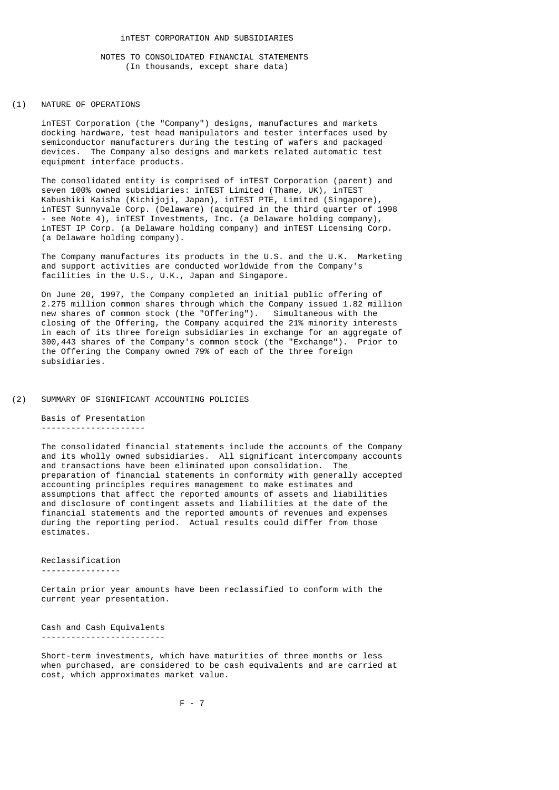#### (1) NATURE OF OPERATIONS

 inTEST Corporation (the "Company") designs, manufactures and markets docking hardware, test head manipulators and tester interfaces used by semiconductor manufacturers during the testing of wafers and packaged devices. The Company also designs and markets related automatic test equipment interface products.

 The consolidated entity is comprised of inTEST Corporation (parent) and seven 100% owned subsidiaries: inTEST Limited (Thame, UK), inTEST Kabushiki Kaisha (Kichijoji, Japan), inTEST PTE, Limited (Singapore), inTEST Sunnyvale Corp. (Delaware) (acquired in the third quarter of 1998 - see Note 4), inTEST Investments, Inc. (a Delaware holding company), inTEST IP Corp. (a Delaware holding company) and inTEST Licensing Corp. (a Delaware holding company).

 The Company manufactures its products in the U.S. and the U.K. Marketing and support activities are conducted worldwide from the Company's facilities in the U.S., U.K., Japan and Singapore.

 On June 20, 1997, the Company completed an initial public offering of 2.275 million common shares through which the Company issued 1.82 million new shares of common stock (the "Offering"). Simultaneous with the closing of the Offering, the Company acquired the 21% minority interests in each of its three foreign subsidiaries in exchange for an aggregate of 300,443 shares of the Company's common stock (the "Exchange"). Prior to the Offering the Company owned 79% of each of the three foreign subsidiaries.

### (2) SUMMARY OF SIGNIFICANT ACCOUNTING POLICIES

 Basis of Presentation ---------------------

 The consolidated financial statements include the accounts of the Company and its wholly owned subsidiaries. All significant intercompany accounts and transactions have been eliminated upon consolidation. The preparation of financial statements in conformity with generally accepted accounting principles requires management to make estimates and assumptions that affect the reported amounts of assets and liabilities and disclosure of contingent assets and liabilities at the date of the financial statements and the reported amounts of revenues and expenses during the reporting period. Actual results could differ from those estimates.

Reclassification

----------------

 Certain prior year amounts have been reclassified to conform with the current year presentation.

 Cash and Cash Equivalents -------------------------

 Short-term investments, which have maturities of three months or less when purchased, are considered to be cash equivalents and are carried at cost, which approximates market value.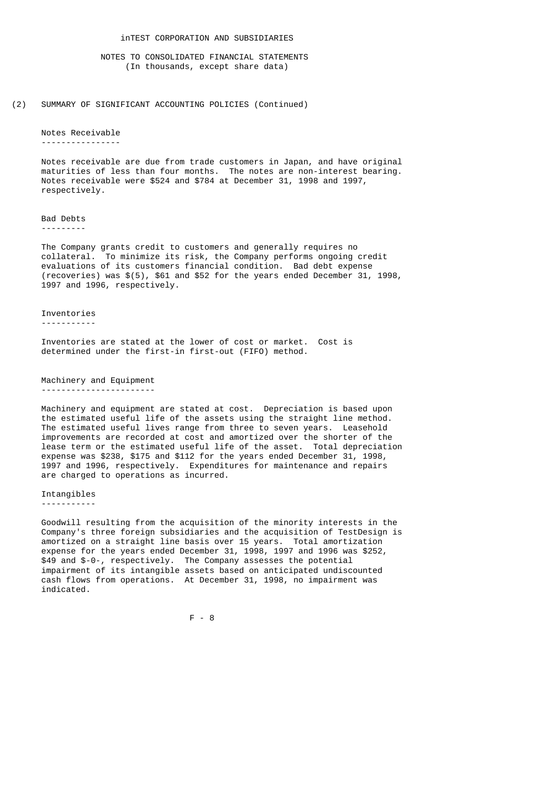(2) SUMMARY OF SIGNIFICANT ACCOUNTING POLICIES (Continued)

## Notes Receivable

----------------

 Notes receivable are due from trade customers in Japan, and have original maturities of less than four months. The notes are non-interest bearing. Notes receivable were \$524 and \$784 at December 31, 1998 and 1997, respectively.

Bad Debts

---------

 The Company grants credit to customers and generally requires no collateral. To minimize its risk, the Company performs ongoing credit evaluations of its customers financial condition. Bad debt expense (recoveries) was \$(5), \$61 and \$52 for the years ended December 31, 1998, 1997 and 1996, respectively.

Inventories

-----------

 Inventories are stated at the lower of cost or market. Cost is determined under the first-in first-out (FIFO) method.

 Machinery and Equipment -----------------------

> Machinery and equipment are stated at cost. Depreciation is based upon the estimated useful life of the assets using the straight line method. The estimated useful lives range from three to seven years. Leasehold improvements are recorded at cost and amortized over the shorter of the lease term or the estimated useful life of the asset. Total depreciation expense was \$238, \$175 and \$112 for the years ended December 31, 1998, 1997 and 1996, respectively. Expenditures for maintenance and repairs are charged to operations as incurred.

Intangibles

-----------

 Goodwill resulting from the acquisition of the minority interests in the Company's three foreign subsidiaries and the acquisition of TestDesign is amortized on a straight line basis over 15 years. Total amortization expense for the years ended December 31, 1998, 1997 and 1996 was \$252, \$49 and \$-0-, respectively. The Company assesses the potential impairment of its intangible assets based on anticipated undiscounted cash flows from operations. At December 31, 1998, no impairment was indicated.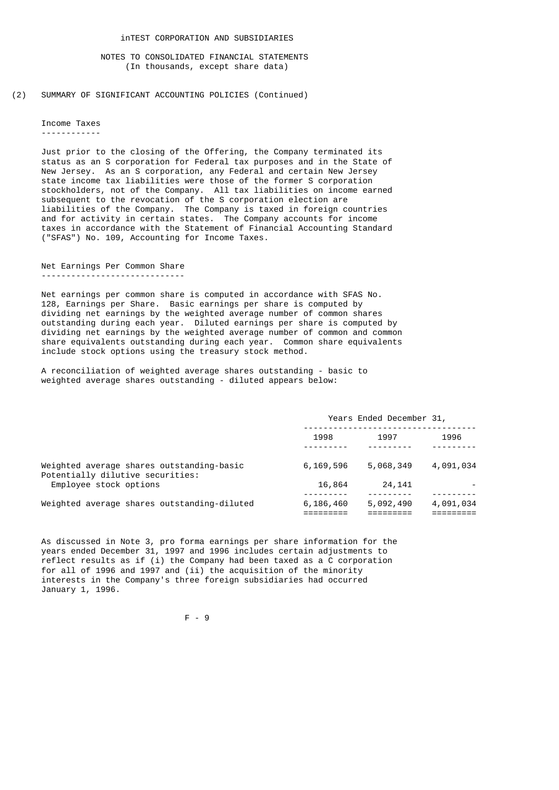(2) SUMMARY OF SIGNIFICANT ACCOUNTING POLICIES (Continued)

 Income Taxes ------------

 Just prior to the closing of the Offering, the Company terminated its status as an S corporation for Federal tax purposes and in the State of New Jersey. As an S corporation, any Federal and certain New Jersey state income tax liabilities were those of the former S corporation stockholders, not of the Company. All tax liabilities on income earned subsequent to the revocation of the S corporation election are liabilities of the Company. The Company is taxed in foreign countries and for activity in certain states. The Company accounts for income taxes in accordance with the Statement of Financial Accounting Standard ("SFAS") No. 109, Accounting for Income Taxes.

 Net Earnings Per Common Share -----------------------------

 Net earnings per common share is computed in accordance with SFAS No. 128, Earnings per Share. Basic earnings per share is computed by dividing net earnings by the weighted average number of common shares outstanding during each year. Diluted earnings per share is computed by dividing net earnings by the weighted average number of common and common share equivalents outstanding during each year. Common share equivalents include stock options using the treasury stock method.

 A reconciliation of weighted average shares outstanding - basic to weighted average shares outstanding - diluted appears below:

|                                                                               | Years Ended December 31, |           |           |
|-------------------------------------------------------------------------------|--------------------------|-----------|-----------|
|                                                                               | 1998                     | 1997      | 1996      |
| Weighted average shares outstanding-basic<br>Potentially dilutive securities: | 6,169,596                | 5,068,349 | 4,091,034 |
| Employee stock options                                                        | 16,864                   | 24, 141   |           |
| Weighted average shares outstanding-diluted                                   | 6,186,460                | 5,092,490 | 4,091,034 |

 As discussed in Note 3, pro forma earnings per share information for the years ended December 31, 1997 and 1996 includes certain adjustments to reflect results as if (i) the Company had been taxed as a C corporation for all of 1996 and 1997 and (ii) the acquisition of the minority interests in the Company's three foreign subsidiaries had occurred January 1, 1996.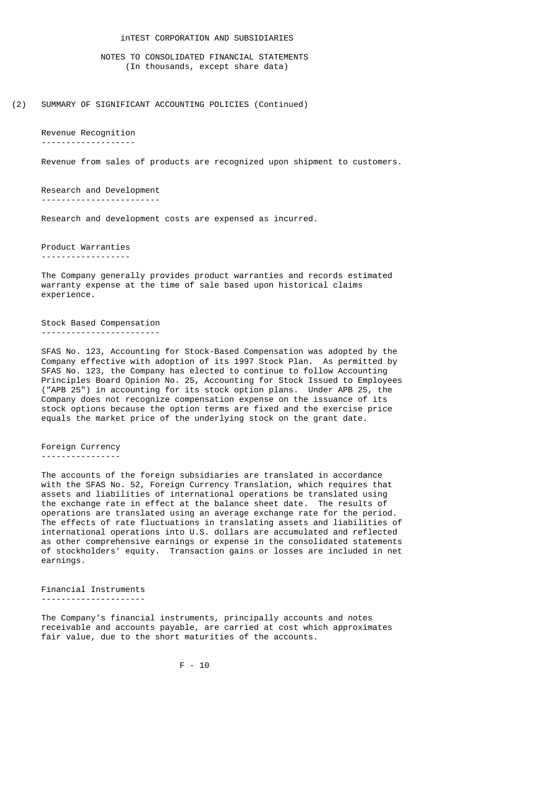## inTEST CORPORATION AND SUBSIDIARIES

 NOTES TO CONSOLIDATED FINANCIAL STATEMENTS (In thousands, except share data)

(2) SUMMARY OF SIGNIFICANT ACCOUNTING POLICIES (Continued)

Revenue Recognition

-------------------

Revenue from sales of products are recognized upon shipment to customers.

 Research and Development ------------------------

Research and development costs are expensed as incurred.

 Product Warranties ------------------

 The Company generally provides product warranties and records estimated warranty expense at the time of sale based upon historical claims experience.

 Stock Based Compensation ------------------------

 SFAS No. 123, Accounting for Stock-Based Compensation was adopted by the Company effective with adoption of its 1997 Stock Plan. As permitted by SFAS No. 123, the Company has elected to continue to follow Accounting Principles Board Opinion No. 25, Accounting for Stock Issued to Employees ("APB 25") in accounting for its stock option plans. Under APB 25, the Company does not recognize compensation expense on the issuance of its stock options because the option terms are fixed and the exercise price equals the market price of the underlying stock on the grant date.

# Foreign Currency

----------------

 The accounts of the foreign subsidiaries are translated in accordance with the SFAS No. 52, Foreign Currency Translation, which requires that assets and liabilities of international operations be translated using the exchange rate in effect at the balance sheet date. The results of operations are translated using an average exchange rate for the period. The effects of rate fluctuations in translating assets and liabilities of international operations into U.S. dollars are accumulated and reflected as other comprehensive earnings or expense in the consolidated statements of stockholders' equity. Transaction gains or losses are included in net earnings.

 Financial Instruments ---------------------

 The Company's financial instruments, principally accounts and notes receivable and accounts payable, are carried at cost which approximates fair value, due to the short maturities of the accounts.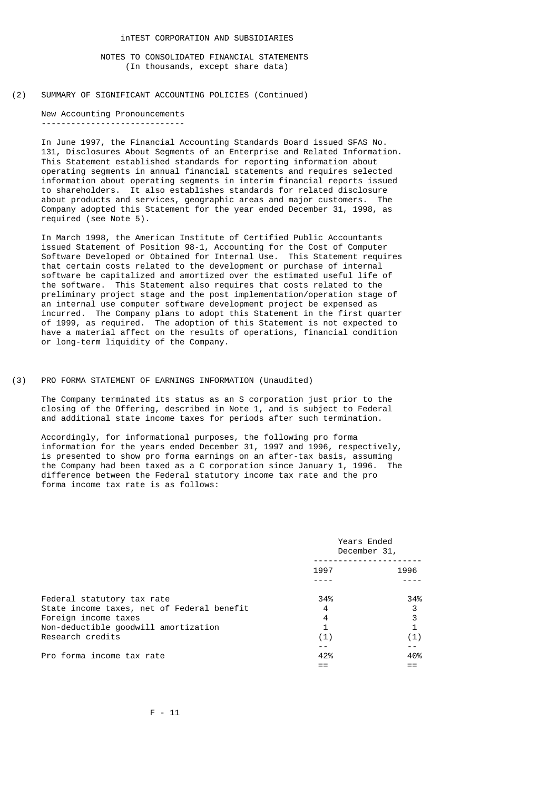(2) SUMMARY OF SIGNIFICANT ACCOUNTING POLICIES (Continued)

 New Accounting Pronouncements -----------------------------

> In June 1997, the Financial Accounting Standards Board issued SFAS No. 131, Disclosures About Segments of an Enterprise and Related Information. This Statement established standards for reporting information about operating segments in annual financial statements and requires selected information about operating segments in interim financial reports issued to shareholders. It also establishes standards for related disclosure about products and services, geographic areas and major customers. The Company adopted this Statement for the year ended December 31, 1998, as required (see Note 5).

> In March 1998, the American Institute of Certified Public Accountants issued Statement of Position 98-1, Accounting for the Cost of Computer Software Developed or Obtained for Internal Use. This Statement requires that certain costs related to the development or purchase of internal software be capitalized and amortized over the estimated useful life of the software. This Statement also requires that costs related to the preliminary project stage and the post implementation/operation stage of an internal use computer software development project be expensed as incurred. The Company plans to adopt this Statement in the first quarter of 1999, as required. The adoption of this Statement is not expected to have a material affect on the results of operations, financial condition or long-term liquidity of the Company.

(3) PRO FORMA STATEMENT OF EARNINGS INFORMATION (Unaudited)

 The Company terminated its status as an S corporation just prior to the closing of the Offering, described in Note 1, and is subject to Federal and additional state income taxes for periods after such termination.

 Accordingly, for informational purposes, the following pro forma information for the years ended December 31, 1997 and 1996, respectively, is presented to show pro forma earnings on an after-tax basis, assuming the Company had been taxed as a C corporation since January 1, 1996. The difference between the Federal statutory income tax rate and the pro forma income tax rate is as follows:

|                                            | Years Ended<br>December 31, |      |  |
|--------------------------------------------|-----------------------------|------|--|
|                                            | 1997                        | 1996 |  |
|                                            |                             |      |  |
| Federal statutory tax rate                 | 34%                         | 34%  |  |
| State income taxes, net of Federal benefit | 4                           | 3    |  |
| Foreign income taxes                       | 4                           | 3    |  |
| Non-deductible goodwill amortization       | 1                           |      |  |
| Research credits                           | (1)                         | (1)  |  |
|                                            |                             |      |  |
| Pro forma income tax rate                  | 42%                         | 40%  |  |
|                                            |                             |      |  |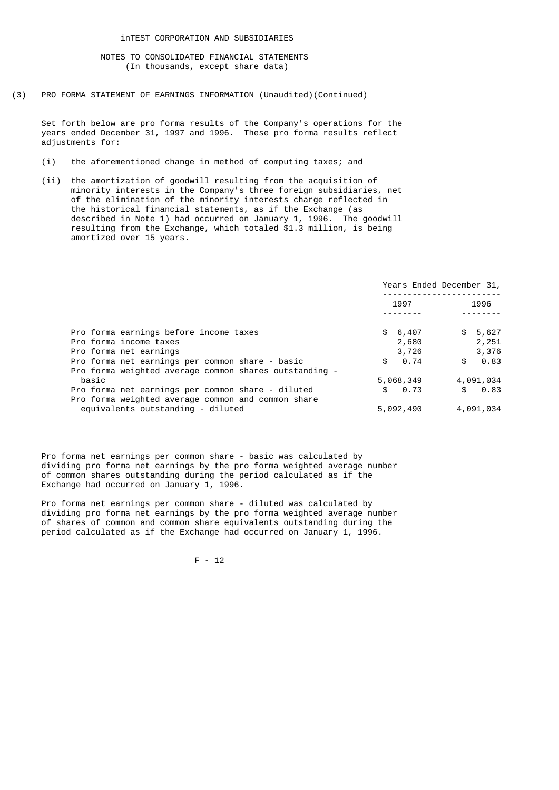(3) PRO FORMA STATEMENT OF EARNINGS INFORMATION (Unaudited)(Continued)

 Set forth below are pro forma results of the Company's operations for the years ended December 31, 1997 and 1996. These pro forma results reflect adjustments for:

- (i) the aforementioned change in method of computing taxes; and
- (ii) the amortization of goodwill resulting from the acquisition of minority interests in the Company's three foreign subsidiaries, net of the elimination of the minority interests charge reflected in the historical financial statements, as if the Exchange (as described in Note 1) had occurred on January 1, 1996. The goodwill resulting from the Exchange, which totaled \$1.3 million, is being amortized over 15 years.

|                                                        |            | Years Ended December 31, |
|--------------------------------------------------------|------------|--------------------------|
|                                                        | 1997       | 1996                     |
|                                                        |            |                          |
| Pro forma earnings before income taxes                 | \$6,407    | \$5,627                  |
| Pro forma income taxes                                 | 2,680      | 2,251                    |
| Pro forma net earnings                                 | 3,726      | 3,376                    |
| Pro forma net earnings per common share - basic        | 0.74<br>\$ | 0.83<br>\$               |
| Pro forma weighted average common shares outstanding - |            |                          |
| basic                                                  | 5,068,349  | 4,091,034                |
| Pro forma net earnings per common share - diluted      | 0.73<br>\$ | 0.83<br>\$               |
| Pro forma weighted average common and common share     |            |                          |
| equivalents outstanding - diluted                      | 5,092,490  | 4,091,034                |

 Pro forma net earnings per common share - basic was calculated by dividing pro forma net earnings by the pro forma weighted average number of common shares outstanding during the period calculated as if the Exchange had occurred on January 1, 1996.

 Pro forma net earnings per common share - diluted was calculated by dividing pro forma net earnings by the pro forma weighted average number of shares of common and common share equivalents outstanding during the period calculated as if the Exchange had occurred on January 1, 1996.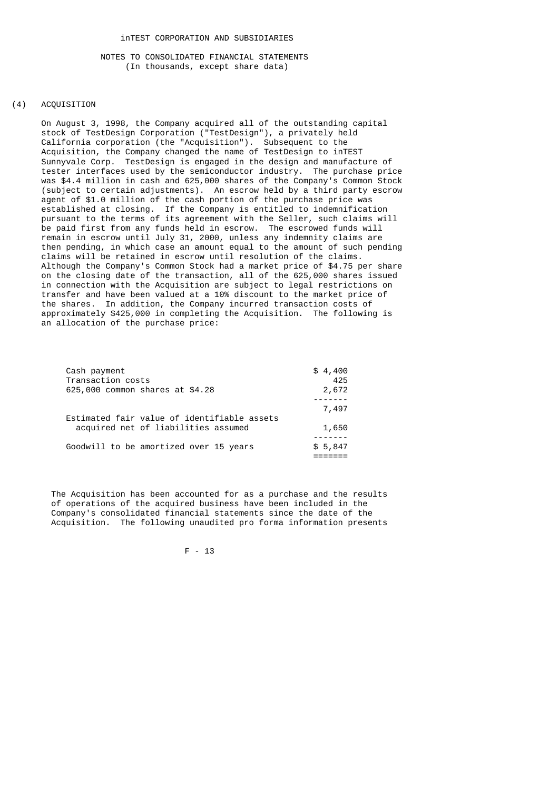# (4) ACQUISITION

 On August 3, 1998, the Company acquired all of the outstanding capital stock of TestDesign Corporation ("TestDesign"), a privately held California corporation (the "Acquisition"). Subsequent to the Acquisition, the Company changed the name of TestDesign to inTEST Sunnyvale Corp. TestDesign is engaged in the design and manufacture of tester interfaces used by the semiconductor industry. The purchase price was \$4.4 million in cash and 625,000 shares of the Company's Common Stock (subject to certain adjustments). An escrow held by a third party escrow agent of \$1.0 million of the cash portion of the purchase price was established at closing. If the Company is entitled to indemnification pursuant to the terms of its agreement with the Seller, such claims will be paid first from any funds held in escrow. The escrowed funds will remain in escrow until July 31, 2000, unless any indemnity claims are then pending, in which case an amount equal to the amount of such pending claims will be retained in escrow until resolution of the claims. Although the Company's Common Stock had a market price of \$4.75 per share on the closing date of the transaction, all of the 625,000 shares issued in connection with the Acquisition are subject to legal restrictions on transfer and have been valued at a 10% discount to the market price of the shares. In addition, the Company incurred transaction costs of approximately \$425,000 in completing the Acquisition. The following is an allocation of the purchase price:

| Cash payment                                | \$4,400 |
|---------------------------------------------|---------|
| Transaction costs                           | 425     |
| 625,000 common shares at \$4.28             | 2,672   |
|                                             |         |
|                                             | 7,497   |
| Estimated fair value of identifiable assets |         |
| acquired net of liabilities assumed         | 1,650   |
|                                             |         |
| Goodwill to be amortized over 15 years      | \$5,847 |
|                                             |         |

 The Acquisition has been accounted for as a purchase and the results of operations of the acquired business have been included in the Company's consolidated financial statements since the date of the Acquisition. The following unaudited pro forma information presents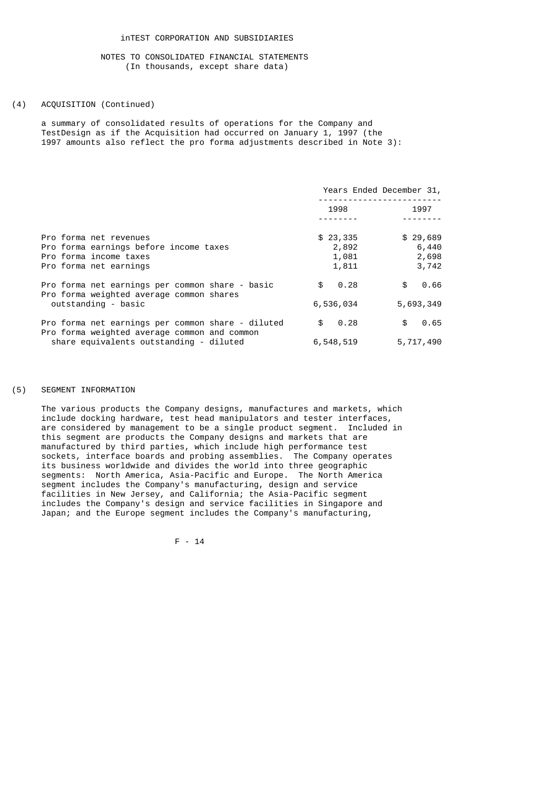### (4) ACQUISITION (Continued)

 a summary of consolidated results of operations for the Company and TestDesign as if the Acquisition had occurred on January 1, 1997 (the 1997 amounts also reflect the pro forma adjustments described in Note 3):

|                                                                                             |                   | Years Ended December 31, |
|---------------------------------------------------------------------------------------------|-------------------|--------------------------|
|                                                                                             | 1998              | 1997                     |
| Pro forma net revenues                                                                      |                   |                          |
| Pro forma earnings before income taxes                                                      | \$23,335<br>2,892 | \$29,689<br>6,440        |
| Pro forma income taxes                                                                      | 1,081             | 2,698                    |
| Pro forma net earnings                                                                      | 1,811             | 3,742                    |
| Pro forma net earnings per common share - basic<br>Pro forma weighted average common shares | 0.28<br>\$        | 0.66<br>\$               |
| outstanding - basic                                                                         | 6,536,034         | 5,693,349                |
| Pro forma net earnings per common share - diluted                                           | 0.28<br>\$        | 0.65<br>\$               |
| Pro forma weighted average common and common<br>share equivalents outstanding - diluted     | 6,548,519         | 5,717,490                |

### (5) SEGMENT INFORMATION

 The various products the Company designs, manufactures and markets, which include docking hardware, test head manipulators and tester interfaces, are considered by management to be a single product segment. Included in this segment are products the Company designs and markets that are manufactured by third parties, which include high performance test sockets, interface boards and probing assemblies. The Company operates its business worldwide and divides the world into three geographic segments: North America, Asia-Pacific and Europe. The North America segment includes the Company's manufacturing, design and service facilities in New Jersey, and California; the Asia-Pacific segment includes the Company's design and service facilities in Singapore and Japan; and the Europe segment includes the Company's manufacturing,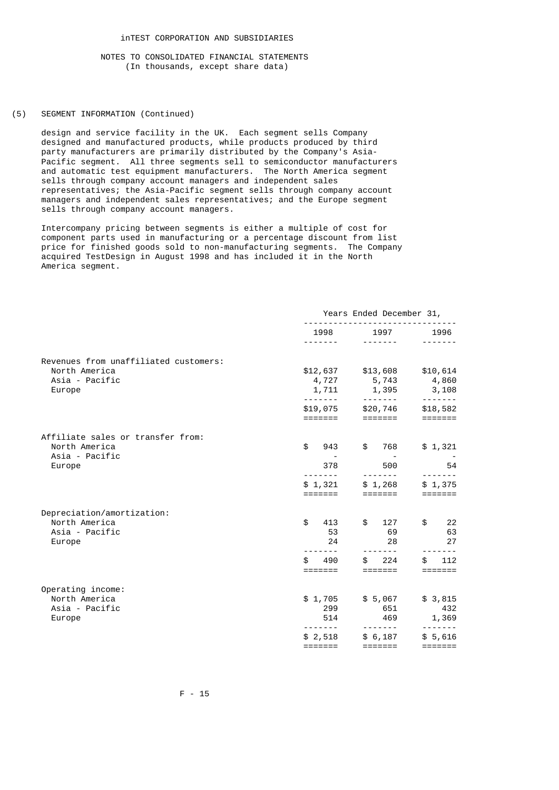# (5) SEGMENT INFORMATION (Continued)

 design and service facility in the UK. Each segment sells Company designed and manufactured products, while products produced by third party manufacturers are primarily distributed by the Company's Asia- Pacific segment. All three segments sell to semiconductor manufacturers and automatic test equipment manufacturers. The North America segment sells through company account managers and independent sales representatives; the Asia-Pacific segment sells through company account managers and independent sales representatives; and the Europe segment sells through company account managers.

 Intercompany pricing between segments is either a multiple of cost for component parts used in manufacturing or a percentage discount from list price for finished goods sold to non-manufacturing segments. The Company acquired TestDesign in August 1998 and has included it in the North America segment.

|                                                        | Years Ended December 31,    |                             |                             |
|--------------------------------------------------------|-----------------------------|-----------------------------|-----------------------------|
|                                                        | 1998<br>.                   | 1997<br>-------             | 1996                        |
|                                                        |                             |                             |                             |
| Revenues from unaffiliated customers:<br>North America | \$12,637                    | \$13,608                    | \$10,614                    |
| Asia - Pacific<br>Europe                               | 4,727<br>1,711              | 5,743<br>1,395              | 4,860<br>3,108              |
|                                                        | \$19,075                    | \$20,746                    | -------<br>\$18,582         |
|                                                        |                             | $=$ $=$ $=$ $=$ $=$ $=$ $=$ |                             |
| Affiliate sales or transfer from:                      |                             |                             |                             |
| North America<br>Asia - Pacific                        | \$<br>943                   | \$<br>768                   | \$1,321                     |
| Europe                                                 | 378<br>- - - - - - -        | 500<br>$- - - - - - - -$    | 54                          |
|                                                        | \$1,321                     | \$1,268                     | -------<br>\$1,375          |
|                                                        | =======                     | =======                     | $=$ $=$ $=$ $=$ $=$ $=$ $=$ |
| Depreciation/amortization:                             |                             |                             |                             |
| North America<br>Asia - Pacific                        | \$<br>413<br>53             | $\mathbb{S}$<br>127<br>69   | $\mathbb{S}$<br>22<br>63    |
| Europe                                                 | 24                          | 28                          | 27                          |
|                                                        | 490<br>\$                   | 224                         | 112                         |
|                                                        | =======                     | $=$ $=$ $=$ $=$ $=$ $=$     | =======                     |
| Operating income:                                      |                             |                             |                             |
| North America<br>Asia - Pacific                        | \$1,705<br>299              | \$5,067<br>651              | \$3,815<br>432              |
| Europe                                                 | 514                         | 469                         | 1,369                       |
|                                                        | .<br>\$2,518                | \$6,187                     | \$5,616                     |
|                                                        | $=$ $=$ $=$ $=$ $=$ $=$ $=$ | $=$ $=$ $=$ $=$ $=$ $=$ $=$ |                             |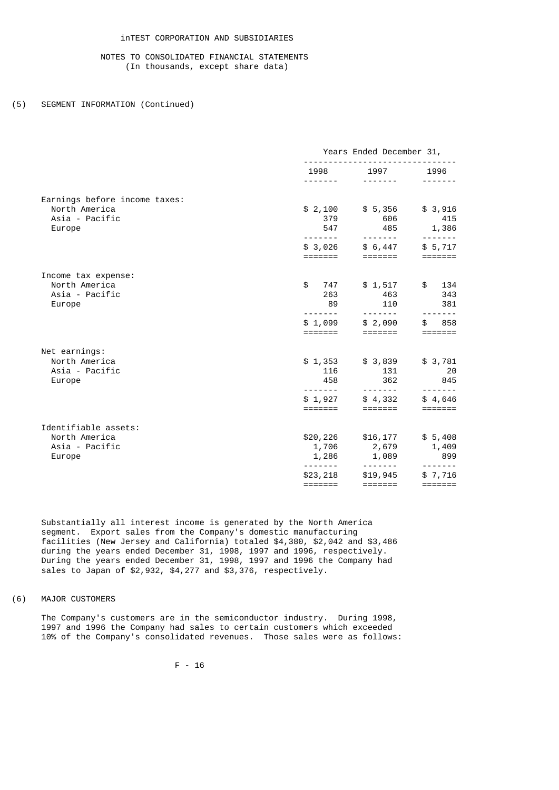# inTEST CORPORATION AND SUBSIDIARIES

# NOTES TO CONSOLIDATED FINANCIAL STATEMENTS (In thousands, except share data)

## (5) SEGMENT INFORMATION (Continued)

|                               | Years Ended December 31,    |                                                                                                                                                                                                                                                                                                                                                                                                                                                                                                     |                             |
|-------------------------------|-----------------------------|-----------------------------------------------------------------------------------------------------------------------------------------------------------------------------------------------------------------------------------------------------------------------------------------------------------------------------------------------------------------------------------------------------------------------------------------------------------------------------------------------------|-----------------------------|
|                               |                             | 1998 1997<br>$\begin{array}{cccccccccccccc} \multicolumn{2}{c}{} & \multicolumn{2}{c}{} & \multicolumn{2}{c}{} & \multicolumn{2}{c}{} & \multicolumn{2}{c}{} & \multicolumn{2}{c}{} & \multicolumn{2}{c}{} & \multicolumn{2}{c}{} & \multicolumn{2}{c}{} & \multicolumn{2}{c}{} & \multicolumn{2}{c}{} & \multicolumn{2}{c}{} & \multicolumn{2}{c}{} & \multicolumn{2}{c}{} & \multicolumn{2}{c}{} & \multicolumn{2}{c}{} & \multicolumn{2}{c}{} & \multicolumn{2}{c}{} & \multicolumn{2}{c}{} & \$ | 1996<br>-------             |
| Earnings before income taxes: |                             |                                                                                                                                                                                                                                                                                                                                                                                                                                                                                                     |                             |
| North America                 | \$2,100                     | \$5,356                                                                                                                                                                                                                                                                                                                                                                                                                                                                                             | \$3,916                     |
| Asia - Pacific                | 379                         | 606                                                                                                                                                                                                                                                                                                                                                                                                                                                                                                 | 415                         |
| Europe                        | 547                         | 485                                                                                                                                                                                                                                                                                                                                                                                                                                                                                                 | 1,386                       |
|                               |                             |                                                                                                                                                                                                                                                                                                                                                                                                                                                                                                     | -------                     |
|                               | \$3,026<br>=======          | \$6,447<br>=======                                                                                                                                                                                                                                                                                                                                                                                                                                                                                  | \$5,717                     |
| Income tax expense:           |                             |                                                                                                                                                                                                                                                                                                                                                                                                                                                                                                     |                             |
| North America                 | \$<br>747                   | \$1,517                                                                                                                                                                                                                                                                                                                                                                                                                                                                                             | 134<br>$\frac{1}{2}$        |
| Asia - Pacific                | 263                         | 463                                                                                                                                                                                                                                                                                                                                                                                                                                                                                                 | 343                         |
| Europe                        | 89<br>- - - - - - -         | 110<br>-------                                                                                                                                                                                                                                                                                                                                                                                                                                                                                      | 381                         |
|                               | \$1,099                     | \$2,090                                                                                                                                                                                                                                                                                                                                                                                                                                                                                             | 858<br>\$                   |
|                               | =======                     | =======                                                                                                                                                                                                                                                                                                                                                                                                                                                                                             | $=$ $=$ $=$ $=$ $=$ $=$ $=$ |
| Net earnings:                 |                             |                                                                                                                                                                                                                                                                                                                                                                                                                                                                                                     |                             |
| North America                 | \$1,353                     | \$3,839                                                                                                                                                                                                                                                                                                                                                                                                                                                                                             | \$3,781                     |
| Asia - Pacific                | 116                         | 131                                                                                                                                                                                                                                                                                                                                                                                                                                                                                                 | 20                          |
| Europe                        | 458                         | 362                                                                                                                                                                                                                                                                                                                                                                                                                                                                                                 | 845                         |
|                               | \$1,927                     | $\frac{1}{2} \left( \frac{1}{2} \right) \left( \frac{1}{2} \right) \left( \frac{1}{2} \right) \left( \frac{1}{2} \right) \left( \frac{1}{2} \right) \left( \frac{1}{2} \right) \left( \frac{1}{2} \right) \left( \frac{1}{2} \right) \left( \frac{1}{2} \right) \left( \frac{1}{2} \right) \left( \frac{1}{2} \right) \left( \frac{1}{2} \right) \left( \frac{1}{2} \right) \left( \frac{1}{2} \right) \left( \frac{1}{2} \right) \left( \frac{1}{2} \right) \left( \frac$<br>\$4,332               | \$4,646                     |
|                               |                             |                                                                                                                                                                                                                                                                                                                                                                                                                                                                                                     |                             |
| Identifiable assets:          |                             |                                                                                                                                                                                                                                                                                                                                                                                                                                                                                                     |                             |
| North America                 | \$20,226                    | \$16,177                                                                                                                                                                                                                                                                                                                                                                                                                                                                                            | \$5,408                     |
| Asia - Pacific                | 1,706                       | 2,679                                                                                                                                                                                                                                                                                                                                                                                                                                                                                               | 1,409                       |
| Europe                        | 1,286                       | 1,089                                                                                                                                                                                                                                                                                                                                                                                                                                                                                               | 899                         |
|                               |                             | -------                                                                                                                                                                                                                                                                                                                                                                                                                                                                                             | $- - - - - - -$             |
|                               | \$23,218                    | \$19,945                                                                                                                                                                                                                                                                                                                                                                                                                                                                                            | \$7,716                     |
|                               | $=$ $=$ $=$ $=$ $=$ $=$ $=$ |                                                                                                                                                                                                                                                                                                                                                                                                                                                                                                     |                             |

 Substantially all interest income is generated by the North America segment. Export sales from the Company's domestic manufacturing facilities (New Jersey and California) totaled \$4,380, \$2,042 and \$3,486 during the years ended December 31, 1998, 1997 and 1996, respectively. During the years ended December 31, 1998, 1997 and 1996 the Company had sales to Japan of \$2,932, \$4,277 and \$3,376, respectively.

# (6) MAJOR CUSTOMERS

 The Company's customers are in the semiconductor industry. During 1998, 1997 and 1996 the Company had sales to certain customers which exceeded 10% of the Company's consolidated revenues. Those sales were as follows: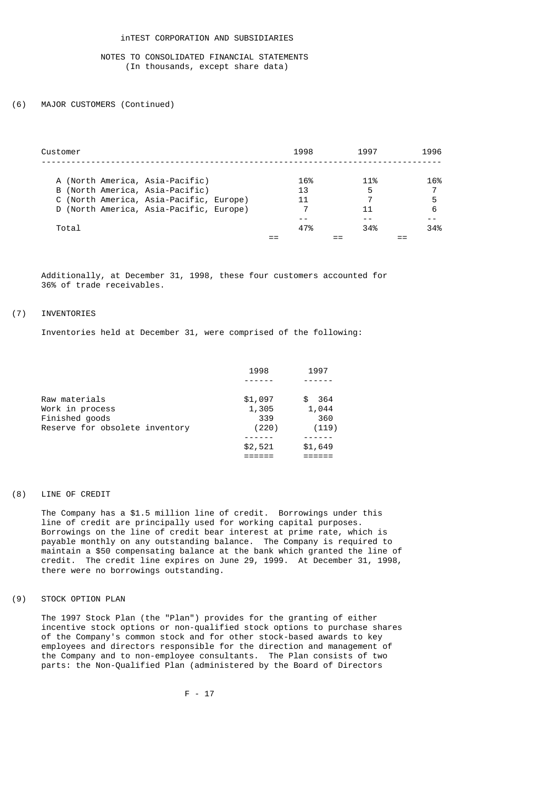#### (6) MAJOR CUSTOMERS (Continued)

| Customer                                | 1998 | 1997 | 1996 |
|-----------------------------------------|------|------|------|
| A (North America, Asia-Pacific)         | 16%  | 11%  | 16%  |
| B (North America, Asia-Pacific)         | 13   | 5    |      |
| C (North America, Asia-Pacific, Europe) | 11   |      | 5    |
| D (North America, Asia-Pacific, Europe) |      | 11   | 6    |
|                                         |      |      |      |
| Total                                   | 47%  | 34%  | 34%  |
|                                         |      |      |      |

 Additionally, at December 31, 1998, these four customers accounted for 36% of trade receivables.

# (7) INVENTORIES

Inventories held at December 31, were comprised of the following:

| 1998    | 1997      |
|---------|-----------|
|         |           |
| \$1,097 | 364<br>æ. |
| 1,305   | 1,044     |
| 339     | 360       |
| (220)   | (119)     |
|         |           |
| \$2,521 | \$1,649   |
|         |           |
|         |           |

# (8) LINE OF CREDIT

 The Company has a \$1.5 million line of credit. Borrowings under this line of credit are principally used for working capital purposes. Borrowings on the line of credit bear interest at prime rate, which is payable monthly on any outstanding balance. The Company is required to maintain a \$50 compensating balance at the bank which granted the line of credit. The credit line expires on June 29, 1999. At December 31, 1998, there were no borrowings outstanding.

# (9) STOCK OPTION PLAN

 The 1997 Stock Plan (the "Plan") provides for the granting of either incentive stock options or non-qualified stock options to purchase shares of the Company's common stock and for other stock-based awards to key employees and directors responsible for the direction and management of the Company and to non-employee consultants. The Plan consists of two parts: the Non-Qualified Plan (administered by the Board of Directors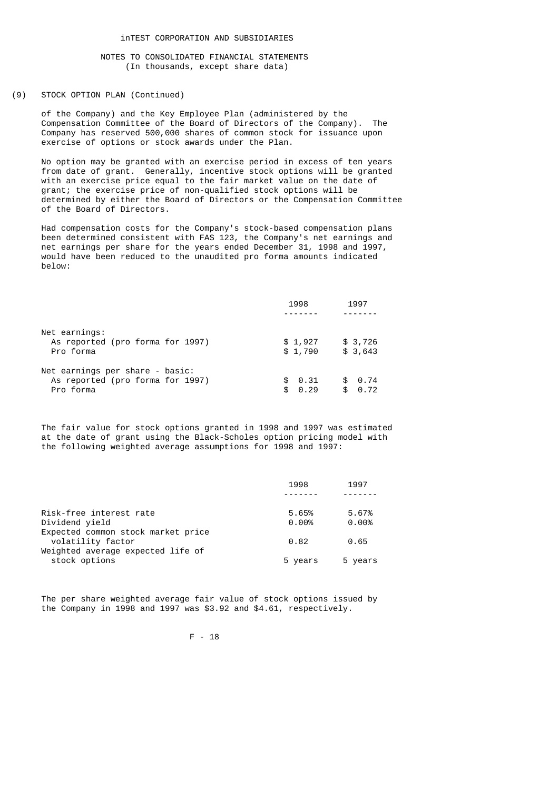# (9) STOCK OPTION PLAN (Continued)

 of the Company) and the Key Employee Plan (administered by the Compensation Committee of the Board of Directors of the Company). The Company has reserved 500,000 shares of common stock for issuance upon exercise of options or stock awards under the Plan.

 No option may be granted with an exercise period in excess of ten years from date of grant. Generally, incentive stock options will be granted with an exercise price equal to the fair market value on the date of grant; the exercise price of non-qualified stock options will be determined by either the Board of Directors or the Compensation Committee of the Board of Directors.

 Had compensation costs for the Company's stock-based compensation plans been determined consistent with FAS 123, the Company's net earnings and net earnings per share for the years ended December 31, 1998 and 1997, would have been reduced to the unaudited pro forma amounts indicated below:

|                                  | 1998       | 1997       |
|----------------------------------|------------|------------|
|                                  |            |            |
| Net earnings:                    |            |            |
| As reported (pro forma for 1997) | \$1,927    | \$3,726    |
| Pro forma                        | \$1,790    | \$3,643    |
| Net earnings per share - basic:  |            |            |
| As reported (pro forma for 1997) | \$0.31     | \$ 0.74    |
| Pro forma                        | 0.29<br>\$ | 0.72<br>\$ |
|                                  |            |            |

 The fair value for stock options granted in 1998 and 1997 was estimated at the date of grant using the Black-Scholes option pricing model with the following weighted average assumptions for 1998 and 1997:

|                                    | 1998    | 1997    |
|------------------------------------|---------|---------|
|                                    |         |         |
| Risk-free interest rate            | 5.65%   | 5.67%   |
| Dividend vield                     | 0.00%   | 0.00%   |
| Expected common stock market price |         |         |
| volatility factor                  | 0.82    | 0.65    |
| Weighted average expected life of  |         |         |
| stock options                      | 5 years | 5 years |
|                                    |         |         |

 The per share weighted average fair value of stock options issued by the Company in 1998 and 1997 was \$3.92 and \$4.61, respectively.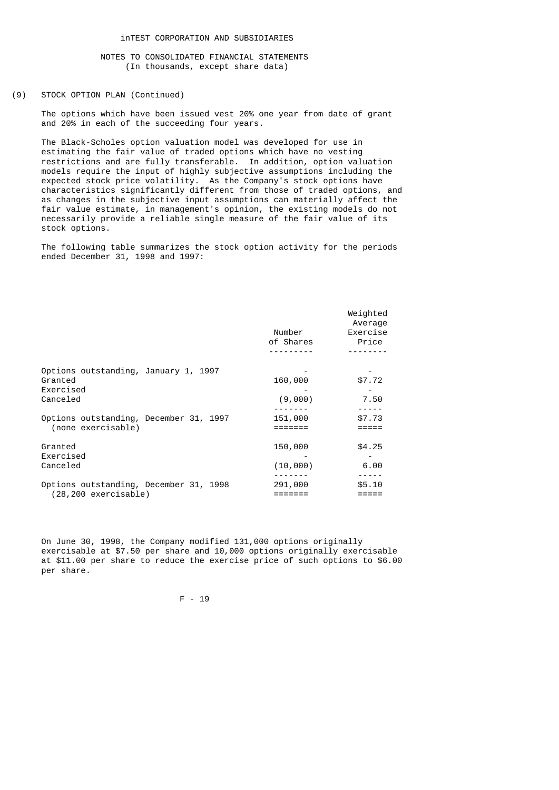## (9) STOCK OPTION PLAN (Continued)

 The options which have been issued vest 20% one year from date of grant and 20% in each of the succeeding four years.

 The Black-Scholes option valuation model was developed for use in estimating the fair value of traded options which have no vesting restrictions and are fully transferable. In addition, option valuation models require the input of highly subjective assumptions including the expected stock price volatility. As the Company's stock options have characteristics significantly different from those of traded options, and as changes in the subjective input assumptions can materially affect the fair value estimate, in management's opinion, the existing models do not necessarily provide a reliable single measure of the fair value of its stock options.

 The following table summarizes the stock option activity for the periods ended December 31, 1998 and 1997:

|                                                 | Number<br>of Shares | Weighted<br>Average<br>Exercise<br>Price |
|-------------------------------------------------|---------------------|------------------------------------------|
|                                                 |                     |                                          |
| Options outstanding, January 1, 1997<br>Granted | 160,000             | \$7.72                                   |
| Exercised                                       |                     |                                          |
| Canceled                                        | (9,000)             | 7.50                                     |
|                                                 |                     |                                          |
| Options outstanding, December 31, 1997          | 151,000             | \$7.73                                   |
| (none exercisable)                              |                     |                                          |
| Granted                                         | 150,000             | \$4.25                                   |
| Exercised                                       |                     |                                          |
| Canceled                                        | (10,000)            | 6.00                                     |
|                                                 |                     |                                          |
| Options outstanding, December 31, 1998          | 291,000             | \$5.10                                   |
| (28,200 exercisable)                            |                     |                                          |
|                                                 |                     |                                          |

 On June 30, 1998, the Company modified 131,000 options originally exercisable at \$7.50 per share and 10,000 options originally exercisable at \$11.00 per share to reduce the exercise price of such options to \$6.00 per share.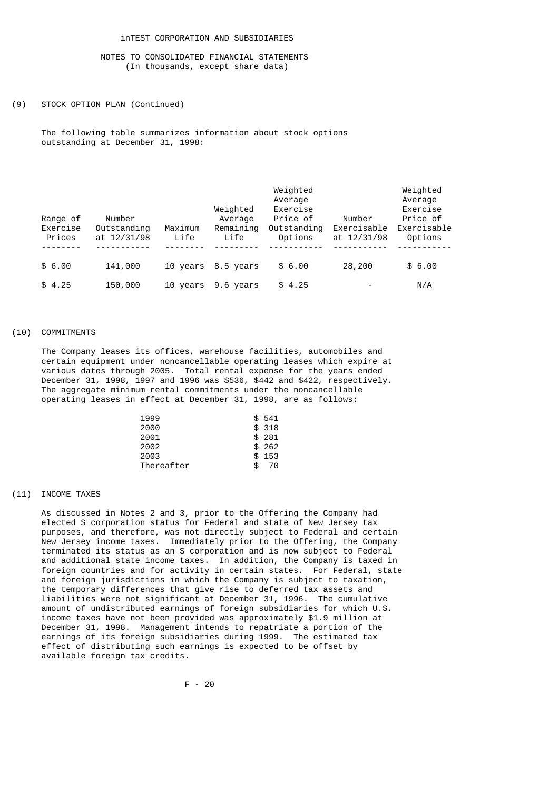#### (9) STOCK OPTION PLAN (Continued)

 The following table summarizes information about stock options outstanding at December 31, 1998:

| Range of<br>Exercise<br>Prices | Number<br>Outstanding<br>at 12/31/98 | Maximum<br>Life | Weighted<br>Average<br>Remaining<br>Life | Weighted<br>Average<br>Exercise<br>Price of<br>Outstanding<br>Options | Number<br>Exercisable<br>at 12/31/98 | Weighted<br>Average<br>Exercise<br>Price of<br>Exercisable<br>Options |
|--------------------------------|--------------------------------------|-----------------|------------------------------------------|-----------------------------------------------------------------------|--------------------------------------|-----------------------------------------------------------------------|
| \$6.00                         | 141,000                              | 10 years        | 8.5 years                                | \$6.00                                                                | 28,200                               | \$6.00                                                                |
| \$4.25                         | 150,000                              | 10 years        | 9.6 years                                | \$4.25                                                                | $\overline{\phantom{0}}$             | N/A                                                                   |

#### (10) COMMITMENTS

 The Company leases its offices, warehouse facilities, automobiles and certain equipment under noncancellable operating leases which expire at various dates through 2005. Total rental expense for the years ended December 31, 1998, 1997 and 1996 was \$536, \$442 and \$422, respectively. The aggregate minimum rental commitments under the noncancellable operating leases in effect at December 31, 1998, are as follows:

| 1999       |     | \$541  |
|------------|-----|--------|
| 2000       |     | \$318  |
| 2001       |     | \$281  |
| 2002       |     | \$ 262 |
| 2003       |     | \$153  |
| Thereafter | \$. | 70     |

## (11) INCOME TAXES

 As discussed in Notes 2 and 3, prior to the Offering the Company had elected S corporation status for Federal and state of New Jersey tax purposes, and therefore, was not directly subject to Federal and certain New Jersey income taxes. Immediately prior to the Offering, the Company terminated its status as an S corporation and is now subject to Federal and additional state income taxes. In addition, the Company is taxed in foreign countries and for activity in certain states. For Federal, state and foreign jurisdictions in which the Company is subject to taxation, the temporary differences that give rise to deferred tax assets and liabilities were not significant at December 31, 1996. The cumulative amount of undistributed earnings of foreign subsidiaries for which U.S. income taxes have not been provided was approximately \$1.9 million at December 31, 1998. Management intends to repatriate a portion of the earnings of its foreign subsidiaries during 1999. The estimated tax effect of distributing such earnings is expected to be offset by available foreign tax credits.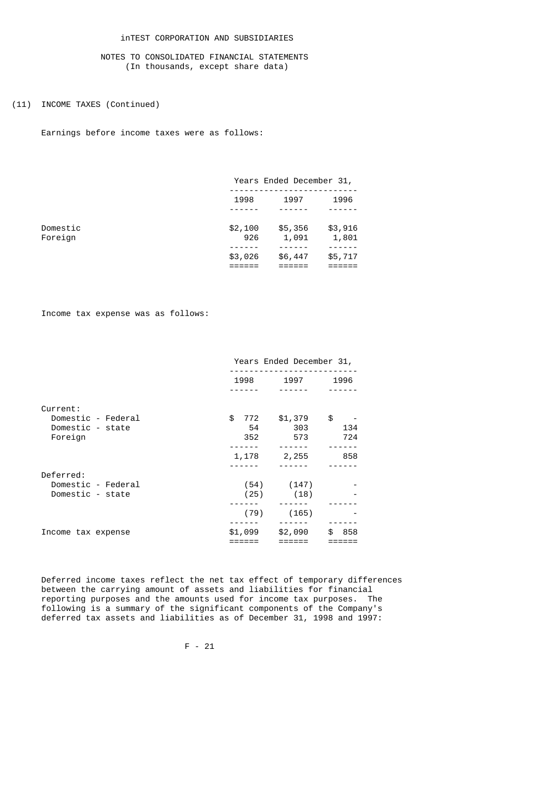# inTEST CORPORATION AND SUBSIDIARIES

# NOTES TO CONSOLIDATED FINANCIAL STATEMENTS (In thousands, except share data)

# (11) INCOME TAXES (Continued)

Earnings before income taxes were as follows:

|          |         | Years Ended December 31, |         |  |  |  |
|----------|---------|--------------------------|---------|--|--|--|
|          | 1998    | 1997                     | 1996    |  |  |  |
|          |         |                          |         |  |  |  |
| Domestic | \$2,100 | \$5,356                  | \$3,916 |  |  |  |
| Foreign  | 926     | 1,091                    | 1,801   |  |  |  |
|          | \$3,026 | \$6,447                  | \$5,717 |  |  |  |
|          |         |                          |         |  |  |  |

Income tax expense was as follows:

|                    |           | Years Ended December 31, |           |  |  |  |  |
|--------------------|-----------|--------------------------|-----------|--|--|--|--|
|                    | 1998      | 1997                     | 1996      |  |  |  |  |
|                    |           |                          |           |  |  |  |  |
| Current:           |           |                          |           |  |  |  |  |
| Domestic - Federal | \$<br>772 | \$1,379                  | \$        |  |  |  |  |
| Domestic - state   | 54        | 303                      | 134       |  |  |  |  |
| Foreign            | 352       | 573                      | 724       |  |  |  |  |
|                    |           |                          |           |  |  |  |  |
|                    | 1,178     | 2,255                    | 858       |  |  |  |  |
|                    |           |                          |           |  |  |  |  |
| Deferred:          |           |                          |           |  |  |  |  |
| Domestic - Federal | (54)      | (147)                    |           |  |  |  |  |
| Domestic - state   | (25)      | (18)                     |           |  |  |  |  |
|                    |           |                          |           |  |  |  |  |
|                    | (79)      | (165)                    |           |  |  |  |  |
|                    |           |                          |           |  |  |  |  |
| Income tax expense | \$1,099   | \$2,090                  | 858<br>\$ |  |  |  |  |
|                    |           |                          |           |  |  |  |  |

 Deferred income taxes reflect the net tax effect of temporary differences between the carrying amount of assets and liabilities for financial reporting purposes and the amounts used for income tax purposes. The following is a summary of the significant components of the Company's deferred tax assets and liabilities as of December 31, 1998 and 1997: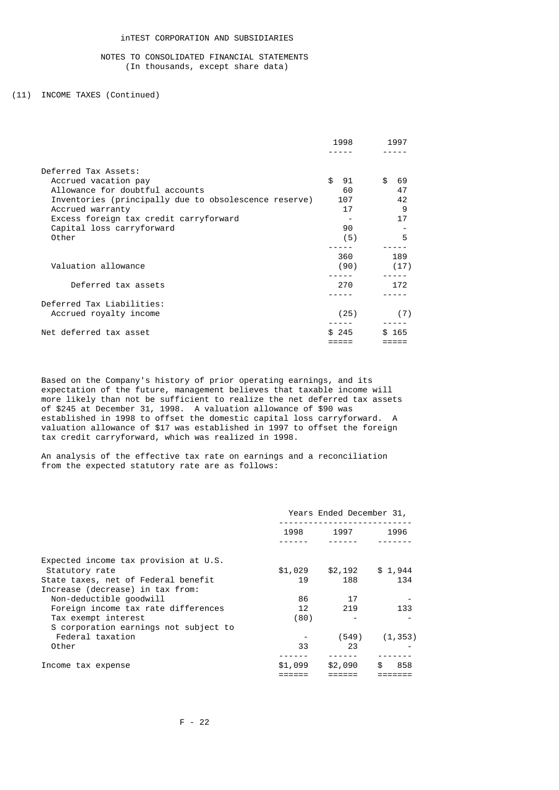# (11) INCOME TAXES (Continued)

|                                                       | 1998     | 1997     |
|-------------------------------------------------------|----------|----------|
|                                                       |          |          |
| Deferred Tax Assets:                                  |          |          |
| Accrued vacation pay                                  | \$<br>91 | \$<br>69 |
| Allowance for doubtful accounts                       | 60       | 47       |
| Inventories (principally due to obsolescence reserve) | 107      | 42       |
| Accrued warranty                                      | 17       | 9        |
| Excess foreign tax credit carryforward                |          | 17       |
| Capital loss carryforward                             | 90       |          |
| Other                                                 | (5)      | 5        |
|                                                       |          |          |
|                                                       | 360      | 189      |
| Valuation allowance                                   | (90)     | (17)     |
|                                                       |          |          |
| Deferred tax assets                                   | 270      | 172      |
|                                                       |          |          |
| Deferred Tax Liabilities:                             |          |          |
| Accrued royalty income                                | (25)     | (7)      |
| Net deferred tax asset                                | \$245    | \$165    |
|                                                       |          |          |

 Based on the Company's history of prior operating earnings, and its expectation of the future, management believes that taxable income will more likely than not be sufficient to realize the net deferred tax assets of \$245 at December 31, 1998. A valuation allowance of \$90 was established in 1998 to offset the domestic capital loss carryforward. A valuation allowance of \$17 was established in 1997 to offset the foreign tax credit carryforward, which was realized in 1998.

 An analysis of the effective tax rate on earnings and a reconciliation from the expected statutory rate are as follows:

|                                       |         | Years Ended December 31, |           |  |  |  |
|---------------------------------------|---------|--------------------------|-----------|--|--|--|
|                                       | 1998    | 1997                     |           |  |  |  |
|                                       |         |                          |           |  |  |  |
| Expected income tax provision at U.S. |         |                          |           |  |  |  |
| Statutory rate                        | \$1,029 | \$2,192                  | \$1,944   |  |  |  |
| State taxes, net of Federal benefit   | 19      | 188                      | 134       |  |  |  |
| Increase (decrease) in tax from:      |         |                          |           |  |  |  |
| Non-deductible goodwill               | 86      | 17                       |           |  |  |  |
| Foreign income tax rate differences   | 12      | 219                      | 133       |  |  |  |
| Tax exempt interest                   | (80)    |                          |           |  |  |  |
| S corporation earnings not subject to |         |                          |           |  |  |  |
| Federal taxation                      |         | (549)                    | (1, 353)  |  |  |  |
| Other                                 | 33      | 23                       |           |  |  |  |
|                                       |         |                          |           |  |  |  |
| Income tax expense                    | \$1,099 | \$2,090                  | \$<br>858 |  |  |  |
|                                       |         |                          |           |  |  |  |
|                                       |         |                          |           |  |  |  |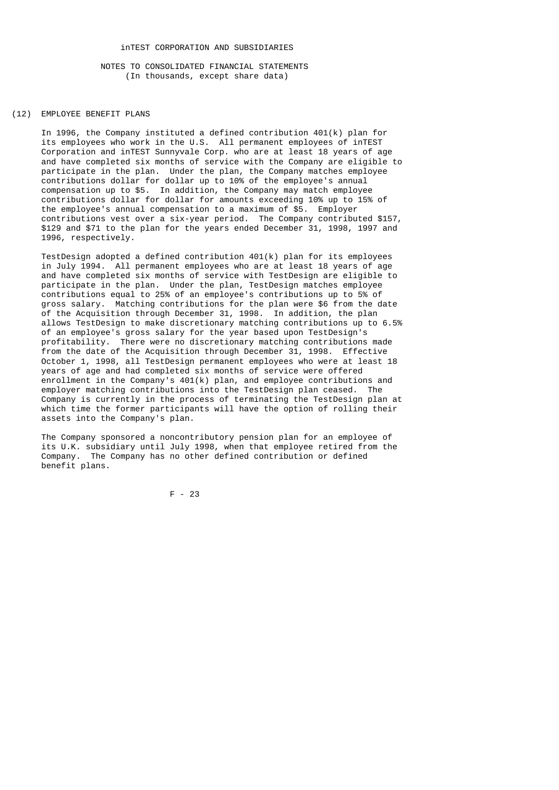# (12) EMPLOYEE BENEFIT PLANS

 In 1996, the Company instituted a defined contribution 401(k) plan for its employees who work in the U.S. All permanent employees of inTEST Corporation and inTEST Sunnyvale Corp. who are at least 18 years of age and have completed six months of service with the Company are eligible to participate in the plan. Under the plan, the Company matches employee contributions dollar for dollar up to 10% of the employee's annual compensation up to \$5. In addition, the Company may match employee contributions dollar for dollar for amounts exceeding 10% up to 15% of the employee's annual compensation to a maximum of \$5. Employer contributions vest over a six-year period. The Company contributed \$157, \$129 and \$71 to the plan for the years ended December 31, 1998, 1997 and 1996, respectively.

 TestDesign adopted a defined contribution 401(k) plan for its employees in July 1994. All permanent employees who are at least 18 years of age and have completed six months of service with TestDesign are eligible to participate in the plan. Under the plan, TestDesign matches employee contributions equal to 25% of an employee's contributions up to 5% of gross salary. Matching contributions for the plan were \$6 from the date of the Acquisition through December 31, 1998. In addition, the plan allows TestDesign to make discretionary matching contributions up to 6.5% of an employee's gross salary for the year based upon TestDesign's profitability. There were no discretionary matching contributions made from the date of the Acquisition through December 31, 1998. Effective October 1, 1998, all TestDesign permanent employees who were at least 18 years of age and had completed six months of service were offered enrollment in the Company's 401(k) plan, and employee contributions and employer matching contributions into the TestDesign plan ceased. The Company is currently in the process of terminating the TestDesign plan at which time the former participants will have the option of rolling their assets into the Company's plan.

 The Company sponsored a noncontributory pension plan for an employee of its U.K. subsidiary until July 1998, when that employee retired from the Company. The Company has no other defined contribution or defined benefit plans.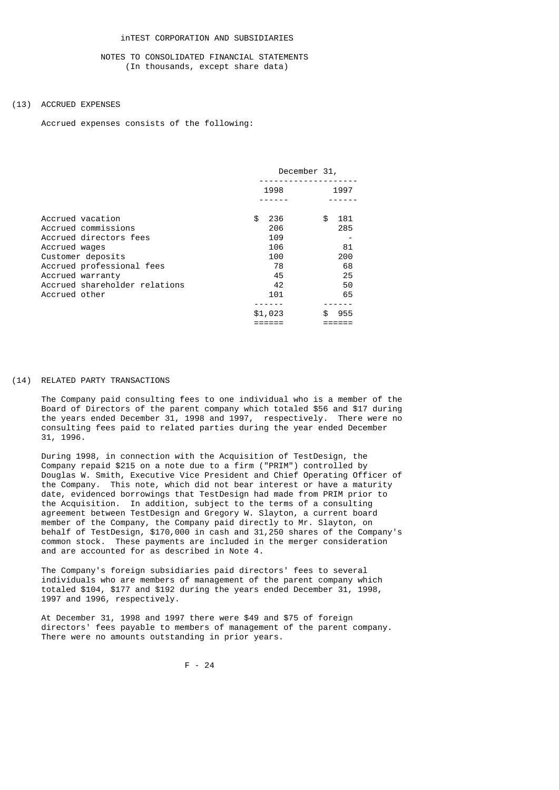#### (13) ACCRUED EXPENSES

Accrued expenses consists of the following:

|                               | December 31, |           |  |  |
|-------------------------------|--------------|-----------|--|--|
|                               | 1998         | 1997      |  |  |
|                               |              |           |  |  |
| Accrued vacation              | \$<br>236    | \$<br>181 |  |  |
| Accrued commissions           | 206          | 285       |  |  |
| Accrued directors fees        | 109          |           |  |  |
| Accrued wages                 | 106          | 81        |  |  |
| Customer deposits             | 100          | 200       |  |  |
| Accrued professional fees     | 78           | 68        |  |  |
| Accrued warranty              | 45           | 25        |  |  |
| Accrued shareholder relations | 42           | 50        |  |  |
| Accrued other                 | 101          | 65        |  |  |
|                               |              |           |  |  |
|                               | \$1,023      | 955       |  |  |
|                               |              |           |  |  |

#### (14) RELATED PARTY TRANSACTIONS

 The Company paid consulting fees to one individual who is a member of the Board of Directors of the parent company which totaled \$56 and \$17 during the years ended December 31, 1998 and 1997, respectively. There were no consulting fees paid to related parties during the year ended December 31, 1996.

 During 1998, in connection with the Acquisition of TestDesign, the Company repaid \$215 on a note due to a firm ("PRIM") controlled by Douglas W. Smith, Executive Vice President and Chief Operating Officer of the Company. This note, which did not bear interest or have a maturity date, evidenced borrowings that TestDesign had made from PRIM prior to the Acquisition. In addition, subject to the terms of a consulting agreement between TestDesign and Gregory W. Slayton, a current board member of the Company, the Company paid directly to Mr. Slayton, on behalf of TestDesign, \$170,000 in cash and 31,250 shares of the Company's common stock. These payments are included in the merger consideration and are accounted for as described in Note 4.

 The Company's foreign subsidiaries paid directors' fees to several individuals who are members of management of the parent company which totaled \$104, \$177 and \$192 during the years ended December 31, 1998, 1997 and 1996, respectively.

 At December 31, 1998 and 1997 there were \$49 and \$75 of foreign directors' fees payable to members of management of the parent company. There were no amounts outstanding in prior years.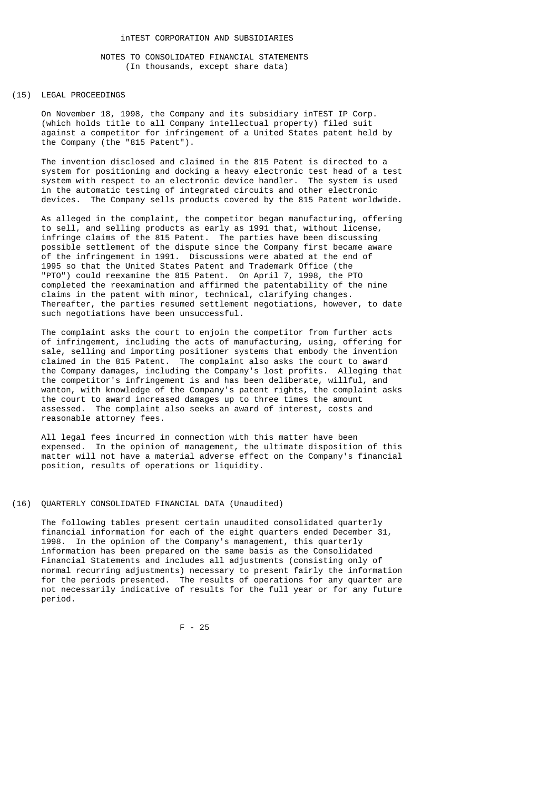## (15) LEGAL PROCEEDINGS

 On November 18, 1998, the Company and its subsidiary inTEST IP Corp. (which holds title to all Company intellectual property) filed suit against a competitor for infringement of a United States patent held by the Company (the "815 Patent").

 The invention disclosed and claimed in the 815 Patent is directed to a system for positioning and docking a heavy electronic test head of a test system with respect to an electronic device handler. The system is used in the automatic testing of integrated circuits and other electronic devices. The Company sells products covered by the 815 Patent worldwide.

 As alleged in the complaint, the competitor began manufacturing, offering to sell, and selling products as early as 1991 that, without license, infringe claims of the 815 Patent. The parties have been discussing possible settlement of the dispute since the Company first became aware of the infringement in 1991. Discussions were abated at the end of 1995 so that the United States Patent and Trademark Office (the "PTO") could reexamine the 815 Patent. On April 7, 1998, the PTO completed the reexamination and affirmed the patentability of the nine claims in the patent with minor, technical, clarifying changes. Thereafter, the parties resumed settlement negotiations, however, to date such negotiations have been unsuccessful.

 The complaint asks the court to enjoin the competitor from further acts of infringement, including the acts of manufacturing, using, offering for sale, selling and importing positioner systems that embody the invention claimed in the 815 Patent. The complaint also asks the court to award the Company damages, including the Company's lost profits. Alleging that the competitor's infringement is and has been deliberate, willful, and wanton, with knowledge of the Company's patent rights, the complaint asks the court to award increased damages up to three times the amount assessed. The complaint also seeks an award of interest, costs and reasonable attorney fees.

 All legal fees incurred in connection with this matter have been expensed. In the opinion of management, the ultimate disposition of this matter will not have a material adverse effect on the Company's financial position, results of operations or liquidity.

#### (16) QUARTERLY CONSOLIDATED FINANCIAL DATA (Unaudited)

 The following tables present certain unaudited consolidated quarterly financial information for each of the eight quarters ended December 31, 1998. In the opinion of the Company's management, this quarterly information has been prepared on the same basis as the Consolidated Financial Statements and includes all adjustments (consisting only of normal recurring adjustments) necessary to present fairly the information for the periods presented. The results of operations for any quarter are not necessarily indicative of results for the full year or for any future period.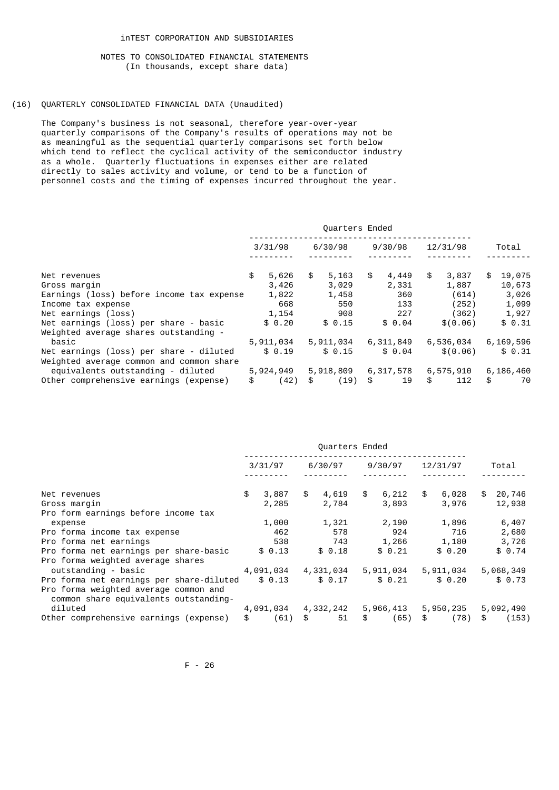## (16) QUARTERLY CONSOLIDATED FINANCIAL DATA (Unaudited)

 The Company's business is not seasonal, therefore year-over-year quarterly comparisons of the Company's results of operations may not be as meaningful as the sequential quarterly comparisons set forth below which tend to reflect the cyclical activity of the semiconductor industry as a whole. Quarterly fluctuations in expenses either are related directly to sales activity and volume, or tend to be a function of personnel costs and the timing of expenses incurred throughout the year.

|                                           |             | Quarters Ended |             |             |              |
|-------------------------------------------|-------------|----------------|-------------|-------------|--------------|
|                                           | 3/31/98     | 6/30/98        | 9/30/98     | 12/31/98    | Total        |
| Net revenues                              | \$<br>5,626 | \$<br>5,163    | \$<br>4,449 | \$<br>3,837 | \$<br>19,075 |
| Gross margin                              | 3,426       | 3,029          | 2,331       | 1,887       | 10,673       |
| Earnings (loss) before income tax expense | 1,822       | 1,458          | 360         | (614)       | 3,026        |
| Income tax expense                        | 668         | 550            | 133         | (252)       | 1,099        |
| Net earnings (loss)                       | 1,154       | 908            | 227         | (362)       | 1,927        |
| Net earnings (loss) per share - basic     | \$0.20      | \$0.15         | \$0.04      | \$ (0.06)   | \$0.31       |
| Weighted average shares outstanding -     |             |                |             |             |              |
| basic                                     | 5,911,034   | 5,911,034      | 6,311,849   | 6,536,034   | 6,169,596    |
| Net earnings (loss) per share - diluted   | \$0.19      | \$0.15         | \$0.04      | \$(0.06)    | \$0.31       |
| Weighted average common and common share  |             |                |             |             |              |
| equivalents outstanding - diluted         | 5,924,949   | 5,918,809      | 6,317,578   | 6,575,910   | 6,186,460    |
| Other comprehensive earnings (expense)    | \$<br>(42)  | \$<br>(19)     | \$<br>19    | \$<br>112   | \$<br>70     |

|                                                                                | Quarters Ended |           |         |           |         |           |          |           |       |           |
|--------------------------------------------------------------------------------|----------------|-----------|---------|-----------|---------|-----------|----------|-----------|-------|-----------|
|                                                                                | 3/31/97        |           | 6/30/97 |           | 9/30/97 |           | 12/31/97 |           | Total |           |
| Net revenues                                                                   | \$             | 3,887     | \$      | 4,619     | \$      | 6,212     | \$       | 6,028     | \$    | 20,746    |
| Gross margin                                                                   |                | 2,285     |         | 2,784     |         | 3,893     |          | 3,976     |       | 12,938    |
| Pro form earnings before income tax                                            |                |           |         |           |         |           |          |           |       |           |
| expense                                                                        |                | 1,000     |         | 1,321     |         | 2,190     |          | 1,896     |       | 6,407     |
| Pro forma income tax expense                                                   |                | 462       |         | 578       |         | 924       |          | 716       |       | 2,680     |
| Pro forma net earnings                                                         |                | 538       |         | 743       |         | 1,266     |          | 1,180     |       | 3,726     |
| Pro forma net earnings per share-basic                                         |                | \$0.13    |         | \$0.18    |         | \$0.21    |          | \$0.20    |       | \$0.74    |
| Pro forma weighted average shares                                              |                |           |         |           |         |           |          |           |       |           |
| outstanding - basic                                                            |                | 4,091,034 |         | 4,331,034 |         | 5,911,034 |          | 5,911,034 |       | 5,068,349 |
| Pro forma net earnings per share-diluted                                       |                | \$0.13    |         | \$0.17    |         | \$0.21    |          | \$0.20    |       | \$0.73    |
| Pro forma weighted average common and<br>common share equivalents outstanding- |                |           |         |           |         |           |          |           |       |           |
| diluted                                                                        |                | 4,091,034 |         | 4,332,242 |         | 5,966,413 |          | 5,950,235 |       | 5,092,490 |
| Other comprehensive earnings (expense)                                         | \$             | (61)      | \$      | 51        | \$      | (65)      | \$       | (78)      | \$    | (153)     |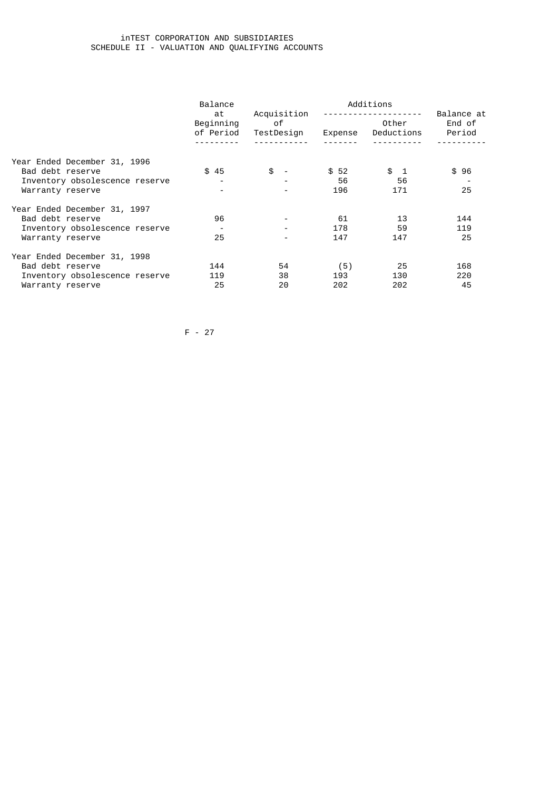# inTEST CORPORATION AND SUBSIDIARIES SCHEDULE II - VALUATION AND QUALIFYING ACCOUNTS

|                                | Balance                      |                                 | Additions |                     |                                |  |  |  |
|--------------------------------|------------------------------|---------------------------------|-----------|---------------------|--------------------------------|--|--|--|
|                                | at<br>Beginning<br>of Period | Acquisition<br>of<br>TestDesign | Expense   | Other<br>Deductions | Balance at<br>End of<br>Period |  |  |  |
|                                |                              |                                 |           |                     |                                |  |  |  |
| Year Ended December 31, 1996   |                              |                                 |           |                     |                                |  |  |  |
| Bad debt reserve               | \$45                         | \$<br>$\sim$                    | \$52      | \$ 1                | \$96                           |  |  |  |
| Inventory obsolescence reserve |                              |                                 | 56        | 56                  |                                |  |  |  |
| Warranty reserve               |                              |                                 | 196       | 171                 | 25                             |  |  |  |
| Year Ended December 31, 1997   |                              |                                 |           |                     |                                |  |  |  |
| Bad debt reserve               | 96                           |                                 | 61        | 13                  | 144                            |  |  |  |
| Inventory obsolescence reserve |                              |                                 | 178       | -59                 | 119                            |  |  |  |
| Warranty reserve               | 25                           |                                 | 147       | 147                 | 25                             |  |  |  |
| Year Ended December 31, 1998   |                              |                                 |           |                     |                                |  |  |  |
| Bad debt reserve               | 144                          | 54                              | (5)       | 25                  | 168                            |  |  |  |
| Inventory obsolescence reserve | 119                          | 38                              | 193       | 130                 | 220                            |  |  |  |
| Warranty reserve               | 25                           | 20                              | 202       | 202                 | 45                             |  |  |  |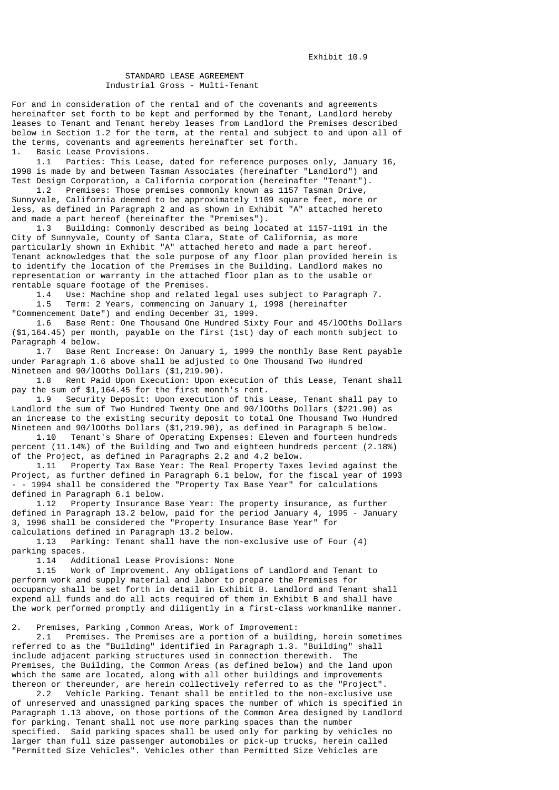# STANDARD LEASE AGREEMENT Industrial Gross - Multi-Tenant

For and in consideration of the rental and of the covenants and agreements hereinafter set forth to be kept and performed by the Tenant, Landlord hereby leases to Tenant and Tenant hereby leases from Landlord the Premises described below in Section 1.2 for the term, at the rental and subject to and upon all of the terms, covenants and agreements hereinafter set forth. 1. Basic Lease Provisions.

 1.1 Parties: This Lease, dated for reference purposes only, January 16, 1998 is made by and between Tasman Associates (hereinafter "Landlord") and Test Design Corporation, a California corporation (hereinafter "Tenant").<br>1.2 Premises: Those premises commonly known as 1157 Tasman Drive,

Premises: Those premises commonly known as 1157 Tasman Drive, Sunnyvale, California deemed to be approximately 1109 square feet, more or less, as defined in Paragraph 2 and as shown in Exhibit "A" attached hereto and made a part hereof (hereinafter the "Premises").

 1.3 Building: Commonly described as being located at 1157-1191 in the City of Sunnyvale, County of Santa Clara, State of California, as more particularly shown in Exhibit "A" attached hereto and made a part hereof. Tenant acknowledges that the sole purpose of any floor plan provided herein is to identify the location of the Premises in the Building. Landlord makes no representation or warranty in the attached floor plan as to the usable or rentable square footage of the Premises.

 1.4 Use: Machine shop and related legal uses subject to Paragraph 7. 1.5 Term: 2 Years, commencing on January 1, 1998 (hereinafter "Commencement Date") and ending December 31, 1999.

 1.6 Base Rent: One Thousand One Hundred Sixty Four and 45/lOOths Dollars (\$1,164.45) per month, payable on the first (1st) day of each month subject to Paragraph 4 below.

 1.7 Base Rent Increase: On January 1, 1999 the monthly Base Rent payable under Paragraph 1.6 above shall be adjusted to One Thousand Two Hundred Nineteen and 90/100ths Dollars (\$1,219.90).<br>1.8 Rent Paid Upon Execution: Upon e

Rent Paid Upon Execution: Upon execution of this Lease, Tenant shall pay the sum of \$1,164.45 for the first month's rent.

 1.9 Security Deposit: Upon execution of this Lease, Tenant shall pay to Landlord the sum of Two Hundred Twenty One and 90/lOOths Dollars (\$221.90) as an increase to the existing security deposit to total One Thousand Two Hundred

Nineteen and 90/100ths Dollars (\$1,219.90), as defined in Paragraph 5 below.<br>1.10 Tenant's Share of Operating Expenses: Fleven and fourteen hundre Tenant's Share of Operating Expenses: Eleven and fourteen hundreds percent (11.14%) of the Building and Two and eighteen hundreds percent (2.18%) of the Project, as defined in Paragraphs 2.2 and 4.2 below.

Property Tax Base Year: The Real Property Taxes levied against the Project, as further defined in Paragraph 6.1 below, for the fiscal year of 1993 - - 1994 shall be considered the "Property Tax Base Year" for calculations defined in Paragraph 6.1 below.

 1.12 Property Insurance Base Year: The property insurance, as further defined in Paragraph 13.2 below, paid for the period January 4, 1995 - January 3, 1996 shall be considered the "Property Insurance Base Year" for calculations defined in Paragraph 13.2 below.

 1.13 Parking: Tenant shall have the non-exclusive use of Four (4) parking spaces.<br>1.14 Add

1.14 Additional Lease Provisions: None

Work of Improvement. Any obligations of Landlord and Tenant to perform work and supply material and labor to prepare the Premises for occupancy shall be set forth in detail in Exhibit B. Landlord and Tenant shall expend all funds and do all acts required of them in Exhibit B and shall have the work performed promptly and diligently in a first-class workmanlike manner.

2. Premises, Parking ,Common Areas, Work of Improvement:

 2.1 Premises. The Premises are a portion of a building, herein sometimes referred to as the "Building" identified in Paragraph 1.3. "Building" shall include adjacent parking structures used in connection therewith. The Premises, the Building, the Common Areas (as defined below) and the land upon which the same are located, along with all other buildings and improvements thereon or thereunder, are herein collectively referred to as the "Project".

 2.2 Vehicle Parking. Tenant shall be entitled to the non-exclusive use of unreserved and unassigned parking spaces the number of which is specified in Paragraph 1.13 above, on those portions of the Common Area designed by Landlord for parking. Tenant shall not use more parking spaces than the number specified. Said parking spaces shall be used only for parking by vehicles no larger than full size passenger automobiles or pick-up trucks, herein called "Permitted Size Vehicles". Vehicles other than Permitted Size Vehicles are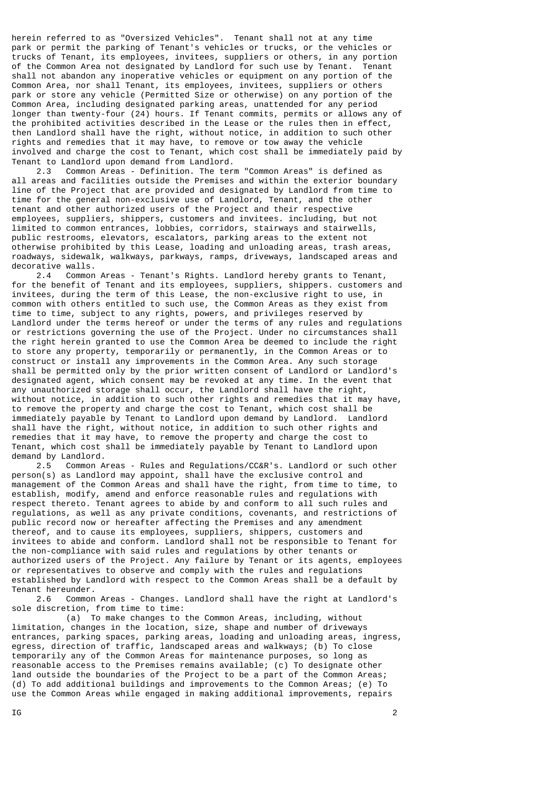herein referred to as "Oversized Vehicles". Tenant shall not at any time park or permit the parking of Tenant's vehicles or trucks, or the vehicles or trucks of Tenant, its employees, invitees, suppliers or others, in any portion of the Common Area not designated by Landlord for such use by Tenant. Tenant shall not abandon any inoperative vehicles or equipment on any portion of the Common Area, nor shall Tenant, its employees, invitees, suppliers or others park or store any vehicle (Permitted Size or otherwise) on any portion of the Common Area, including designated parking areas, unattended for any period longer than twenty-four (24) hours. If Tenant commits, permits or allows any of the prohibited activities described in the Lease or the rules then in effect, then Landlord shall have the right, without notice, in addition to such other rights and remedies that it may have, to remove or tow away the vehicle involved and charge the cost to Tenant, which cost shall be immediately paid by Tenant to Landlord upon demand from Landlord.

 2.3 Common Areas - Definition. The term "Common Areas" is defined as all areas and facilities outside the Premises and within the exterior boundary line of the Project that are provided and designated by Landlord from time to time for the general non-exclusive use of Landlord, Tenant, and the other tenant and other authorized users of the Project and their respective employees, suppliers, shippers, customers and invitees. including, but not limited to common entrances, lobbies, corridors, stairways and stairwells, public restrooms, elevators, escalators, parking areas to the extent not otherwise prohibited by this Lease, loading and unloading areas, trash areas, roadways, sidewalk, walkways, parkways, ramps, driveways, landscaped areas and decorative walls.

 2.4 Common Areas - Tenant's Rights. Landlord hereby grants to Tenant, for the benefit of Tenant and its employees, suppliers, shippers. customers and invitees, during the term of this Lease, the non-exclusive right to use, in common with others entitled to such use, the Common Areas as they exist from time to time, subject to any rights, powers, and privileges reserved by Landlord under the terms hereof or under the terms of any rules and regulations or restrictions governing the use of the Project. Under no circumstances shall the right herein granted to use the Common Area be deemed to include the right to store any property, temporarily or permanently, in the Common Areas or to construct or install any improvements in the Common Area. Any such storage shall be permitted only by the prior written consent of Landlord or Landlord's designated agent, which consent may be revoked at any time. In the event that any unauthorized storage shall occur, the Landlord shall have the right, without notice, in addition to such other rights and remedies that it may have, to remove the property and charge the cost to Tenant, which cost shall be immediately payable by Tenant to Landlord upon demand by Landlord. Landlord shall have the right, without notice, in addition to such other rights and remedies that it may have, to remove the property and charge the cost to Tenant, which cost shall be immediately payable by Tenant to Landlord upon demand by Landlord.<br>2.5 Common A

 2.5 Common Areas - Rules and Regulations/CC&R's. Landlord or such other person(s) as Landlord may appoint, shall have the exclusive control and management of the Common Areas and shall have the right, from time to time, to establish, modify, amend and enforce reasonable rules and regulations with respect thereto. Tenant agrees to abide by and conform to all such rules and regulations, as well as any private conditions, covenants, and restrictions of public record now or hereafter affecting the Premises and any amendment thereof, and to cause its employees, suppliers, shippers, customers and invitees to abide and conform. Landlord shall not be responsible to Tenant for the non-compliance with said rules and regulations by other tenants or authorized users of the Project. Any failure by Tenant or its agents, employees or representatives to observe and comply with the rules and regulations established by Landlord with respect to the Common Areas shall be a default by Tenant hereunder.

 2.6 Common Areas - Changes. Landlord shall have the right at Landlord's sole discretion, from time to time:

 (a) To make changes to the Common Areas, including, without limitation, changes in the location, size, shape and number of driveways entrances, parking spaces, parking areas, loading and unloading areas, ingress, egress, direction of traffic, landscaped areas and walkways; (b) To close temporarily any of the Common Areas for maintenance purposes, so long as reasonable access to the Premises remains available; (c) To designate other land outside the boundaries of the Project to be a part of the Common Areas; (d) To add additional buildings and improvements to the Common Areas; (e) To use the Common Areas while engaged in making additional improvements, repairs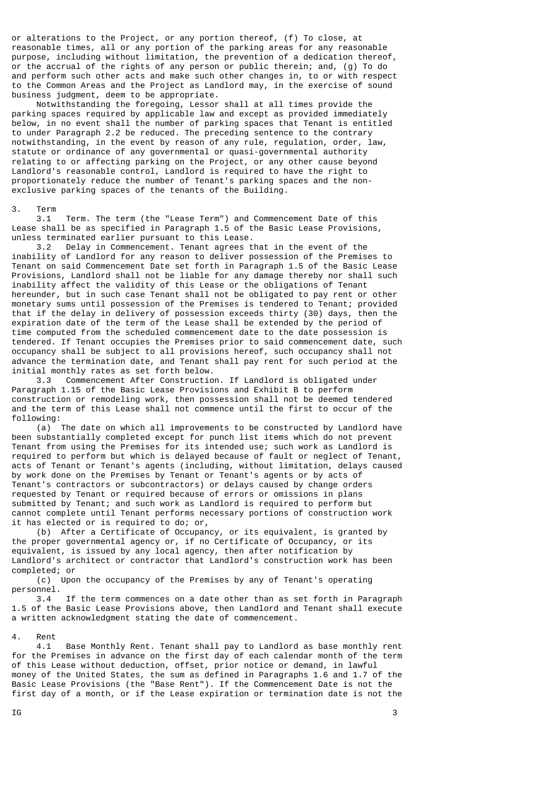or alterations to the Project, or any portion thereof, (f) To close, at reasonable times, all or any portion of the parking areas for any reasonable purpose, including without limitation, the prevention of a dedication thereof, or the accrual of the rights of any person or public therein; and, (g) To do and perform such other acts and make such other changes in, to or with respect to the Common Areas and the Project as Landlord may, in the exercise of sound business judgment, deem to be appropriate.

 Notwithstanding the foregoing, Lessor shall at all times provide the parking spaces required by applicable law and except as provided immediately below, in no event shall the number of parking spaces that Tenant is entitled to under Paragraph 2.2 be reduced. The preceding sentence to the contrary notwithstanding, in the event by reason of any rule, regulation, order, law, statute or ordinance of any governmental or quasi-governmental authority relating to or affecting parking on the Project, or any other cause beyond Landlord's reasonable control, Landlord is required to have the right to proportionately reduce the number of Tenant's parking spaces and the nonexclusive parking spaces of the tenants of the Building.

#### 3. Term

 3.1 Term. The term (the "Lease Term") and Commencement Date of this Lease shall be as specified in Paragraph 1.5 of the Basic Lease Provisions, unless terminated earlier pursuant to this Lease.

 3.2 Delay in Commencement. Tenant agrees that in the event of the inability of Landlord for any reason to deliver possession of the Premises to Tenant on said Commencement Date set forth in Paragraph 1.5 of the Basic Lease Provisions, Landlord shall not be liable for any damage thereby nor shall such inability affect the validity of this Lease or the obligations of Tenant hereunder, but in such case Tenant shall not be obligated to pay rent or other monetary sums until possession of the Premises is tendered to Tenant; provided that if the delay in delivery of possession exceeds thirty (30) days, then the expiration date of the term of the Lease shall be extended by the period of time computed from the scheduled commencement date to the date possession is tendered. If Tenant occupies the Premises prior to said commencement date, such occupancy shall be subject to all provisions hereof, such occupancy shall not advance the termination date, and Tenant shall pay rent for such period at the initial monthly rates as set forth below.

 3.3 Commencement After Construction. If Landlord is obligated under Paragraph 1.15 of the Basic Lease Provisions and Exhibit B to perform construction or remodeling work, then possession shall not be deemed tendered and the term of this Lease shall not commence until the first to occur of the following:

 (a) The date on which all improvements to be constructed by Landlord have been substantially completed except for punch list items which do not prevent Tenant from using the Premises for its intended use; such work as Landlord is required to perform but which is delayed because of fault or neglect of Tenant, acts of Tenant or Tenant's agents (including, without limitation, delays caused by work done on the Premises by Tenant or Tenant's agents or by acts of Tenant's contractors or subcontractors) or delays caused by change orders requested by Tenant or required because of errors or omissions in plans submitted by Tenant; and such work as Landlord is required to perform but cannot complete until Tenant performs necessary portions of construction work it has elected or is required to do; or,

 (b) After a Certificate of Occupancy, or its equivalent, is granted by the proper governmental agency or, if no Certificate of Occupancy, or its equivalent, is issued by any local agency, then after notification by Landlord's architect or contractor that Landlord's construction work has been completed; or

 (c) Upon the occupancy of the Premises by any of Tenant's operating personnel.

 3.4 If the term commences on a date other than as set forth in Paragraph 1.5 of the Basic Lease Provisions above, then Landlord and Tenant shall execute a written acknowledgment stating the date of commencement.

#### 4. Rent

 4.1 Base Monthly Rent. Tenant shall pay to Landlord as base monthly rent for the Premises in advance on the first day of each calendar month of the term of this Lease without deduction, offset, prior notice or demand, in lawful money of the United States, the sum as defined in Paragraphs 1.6 and 1.7 of the Basic Lease Provisions (the "Base Rent"). If the Commencement Date is not the First day of a month, or if the Lease expiration or termination date is not the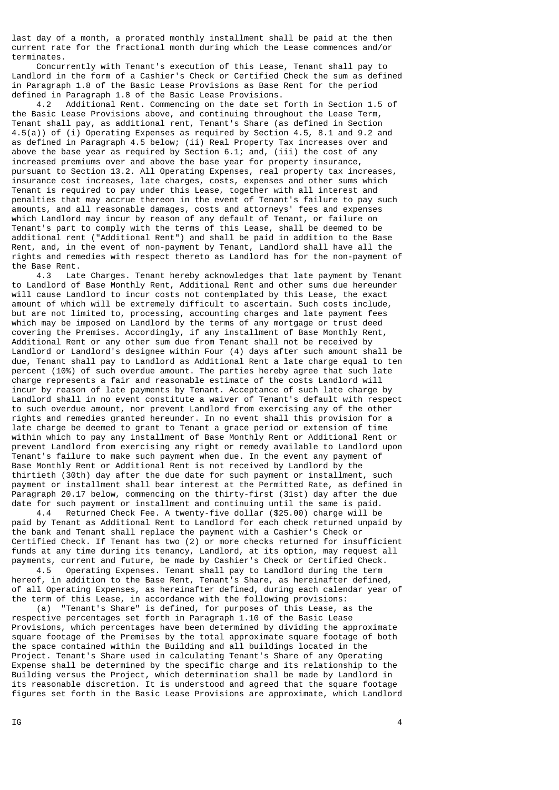last day of a month, a prorated monthly installment shall be paid at the then current rate for the fractional month during which the Lease commences and/or terminates.

 Concurrently with Tenant's execution of this Lease, Tenant shall pay to Landlord in the form of a Cashier's Check or Certified Check the sum as defined in Paragraph 1.8 of the Basic Lease Provisions as Base Rent for the period defined in Paragraph 1.8 of the Basic Lease Provisions.

 4.2 Additional Rent. Commencing on the date set forth in Section 1.5 of the Basic Lease Provisions above, and continuing throughout the Lease Term, Tenant shall pay, as additional rent, Tenant's Share (as defined in Section 4.5(a)) of (i) Operating Expenses as required by Section 4.5, 8.1 and 9.2 and as defined in Paragraph 4.5 below; (ii) Real Property Tax increases over and above the base year as required by Section 6.1; and, (iii) the cost of any increased premiums over and above the base year for property insurance, pursuant to Section 13.2. All Operating Expenses, real property tax increases, insurance cost increases, late charges, costs, expenses and other sums which Tenant is required to pay under this Lease, together with all interest and penalties that may accrue thereon in the event of Tenant's failure to pay such amounts, and all reasonable damages, costs and attorneys' fees and expenses which Landlord may incur by reason of any default of Tenant, or failure on Tenant's part to comply with the terms of this Lease, shall be deemed to be additional rent ("Additional Rent") and shall be paid in addition to the Base Rent, and, in the event of non-payment by Tenant, Landlord shall have all the rights and remedies with respect thereto as Landlord has for the non-payment of the Base Rent.

 4.3 Late Charges. Tenant hereby acknowledges that late payment by Tenant to Landlord of Base Monthly Rent, Additional Rent and other sums due hereunder will cause Landlord to incur costs not contemplated by this Lease, the exact amount of which will be extremely difficult to ascertain. Such costs include, but are not limited to, processing, accounting charges and late payment fees which may be imposed on Landlord by the terms of any mortgage or trust deed covering the Premises. Accordingly, if any installment of Base Monthly Rent, Additional Rent or any other sum due from Tenant shall not be received by Landlord or Landlord's designee within Four (4) days after such amount shall be due, Tenant shall pay to Landlord as Additional Rent a late charge equal to ten percent (10%) of such overdue amount. The parties hereby agree that such late charge represents a fair and reasonable estimate of the costs Landlord will incur by reason of late payments by Tenant. Acceptance of such late charge by Landlord shall in no event constitute a waiver of Tenant's default with respect to such overdue amount, nor prevent Landlord from exercising any of the other rights and remedies granted hereunder. In no event shall this provision for a late charge be deemed to grant to Tenant a grace period or extension of time within which to pay any installment of Base Monthly Rent or Additional Rent or prevent Landlord from exercising any right or remedy available to Landlord upon Tenant's failure to make such payment when due. In the event any payment of Base Monthly Rent or Additional Rent is not received by Landlord by the thirtieth (30th) day after the due date for such payment or installment, such payment or installment shall bear interest at the Permitted Rate, as defined in Paragraph 20.17 below, commencing on the thirty-first (31st) day after the due date for such payment or installment and continuing until the same is paid.

 4.4 Returned Check Fee. A twenty-five dollar (\$25.00) charge will be paid by Tenant as Additional Rent to Landlord for each check returned unpaid by the bank and Tenant shall replace the payment with a Cashier's Check or Certified Check. If Tenant has two (2) or more checks returned for insufficient funds at any time during its tenancy, Landlord, at its option, may request all payments, current and future, be made by Cashier's Check or Certified Check.

 4.5 Operating Expenses. Tenant shall pay to Landlord during the term hereof, in addition to the Base Rent, Tenant's Share, as hereinafter defined, of all Operating Expenses, as hereinafter defined, during each calendar year of the term of this Lease, in accordance with the following provisions:

 (a) "Tenant's Share" is defined, for purposes of this Lease, as the respective percentages set forth in Paragraph 1.10 of the Basic Lease Provisions, which percentages have been determined by dividing the approximate square footage of the Premises by the total approximate square footage of both the space contained within the Building and all buildings located in the Project. Tenant's Share used in calculating Tenant's Share of any Operating Expense shall be determined by the specific charge and its relationship to the Building versus the Project, which determination shall be made by Landlord in its reasonable discretion. It is understood and agreed that the square footage figures set forth in the Basic Lease Provisions are approximate, which Landlord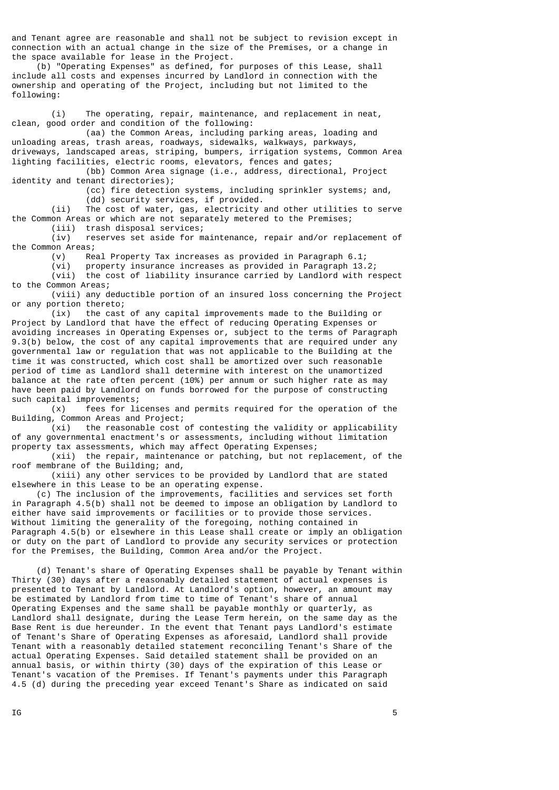and Tenant agree are reasonable and shall not be subject to revision except in connection with an actual change in the size of the Premises, or a change in the space available for lease in the Project.

 (b) "Operating Expenses" as defined, for purposes of this Lease, shall include all costs and expenses incurred by Landlord in connection with the ownership and operating of the Project, including but not limited to the following:

 (i) The operating, repair, maintenance, and replacement in neat, clean, good order and condition of the following:

 (aa) the Common Areas, including parking areas, loading and unloading areas, trash areas, roadways, sidewalks, walkways, parkways, driveways, landscaped areas, striping, bumpers, irrigation systems, Common Area lighting facilities, electric rooms, elevators, fences and gates;

 (bb) Common Area signage (i.e., address, directional, Project identity and tenant directories);

 (cc) fire detection systems, including sprinkler systems; and, (dd) security services, if provided.

 (ii) The cost of water, gas, electricity and other utilities to serve the Common Areas or which are not separately metered to the Premises;

 (iii) trash disposal services; reserves set aside for maintenance, repair and/or replacement of

the Common Areas; (v) Real Property Tax increases as provided in Paragraph 6.1;

(vi) property insurance increases as provided in Paragraph 13.2;

 (vii) the cost of liability insurance carried by Landlord with respect to the Common Areas;

 (viii) any deductible portion of an insured loss concerning the Project or any portion thereto;

 (ix) the cast of any capital improvements made to the Building or Project by Landlord that have the effect of reducing Operating Expenses or avoiding increases in Operating Expenses or, subject to the terms of Paragraph 9.3(b) below, the cost of any capital improvements that are required under any governmental law or regulation that was not applicable to the Building at the time it was constructed, which cost shall be amortized over such reasonable period of time as Landlord shall determine with interest on the unamortized balance at the rate often percent (10%) per annum or such higher rate as may have been paid by Landlord on funds borrowed for the purpose of constructing such capital improvements;

(x) fees for licenses and permits required for the operation of the

Building, Common Areas and Project;<br>(xi) the reasonable cost the reasonable  $cost$  of contesting the validity or applicability of any governmental enactment's or assessments, including without limitation property tax assessments, which may affect Operating Expenses;

 (xii) the repair, maintenance or patching, but not replacement, of the roof membrane of the Building; and,

 (xiii) any other services to be provided by Landlord that are stated elsewhere in this Lease to be an operating expense.

 (c) The inclusion of the improvements, facilities and services set forth in Paragraph 4.5(b) shall not be deemed to impose an obligation by Landlord to either have said improvements or facilities or to provide those services. Without limiting the generality of the foregoing, nothing contained in Paragraph 4.5(b) or elsewhere in this Lease shall create or imply an obligation or duty on the part of Landlord to provide any security services or protection for the Premises, the Building, Common Area and/or the Project.

 (d) Tenant's share of Operating Expenses shall be payable by Tenant within Thirty (30) days after a reasonably detailed statement of actual expenses is presented to Tenant by Landlord. At Landlord's option, however, an amount may be estimated by Landlord from time to time of Tenant's share of annual Operating Expenses and the same shall be payable monthly or quarterly, as Landlord shall designate, during the Lease Term herein, on the same day as the Base Rent is due hereunder. In the event that Tenant pays Landlord's estimate of Tenant's Share of Operating Expenses as aforesaid, Landlord shall provide Tenant with a reasonably detailed statement reconciling Tenant's Share of the actual Operating Expenses. Said detailed statement shall be provided on an annual basis, or within thirty (30) days of the expiration of this Lease or Tenant's vacation of the Premises. If Tenant's payments under this Paragraph 4.5 (d) during the preceding year exceed Tenant's Share as indicated on said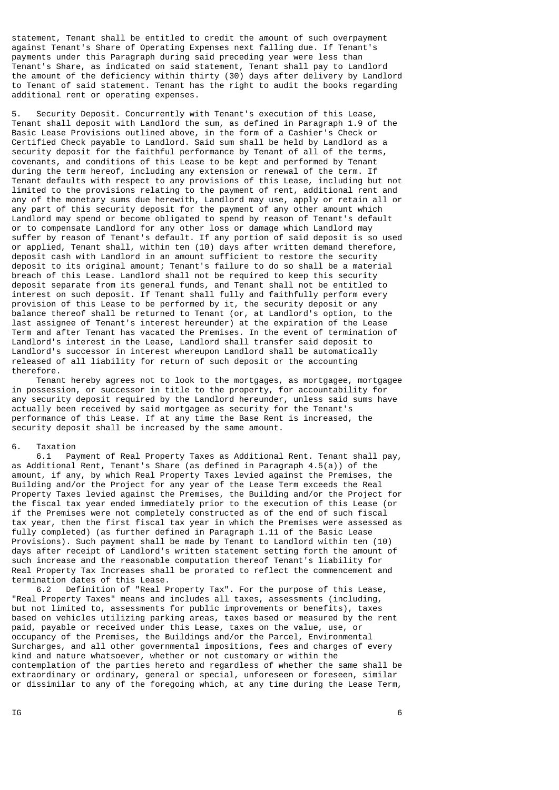statement, Tenant shall be entitled to credit the amount of such overpayment against Tenant's Share of Operating Expenses next falling due. If Tenant's payments under this Paragraph during said preceding year were less than Tenant's Share, as indicated on said statement, Tenant shall pay to Landlord the amount of the deficiency within thirty (30) days after delivery by Landlord to Tenant of said statement. Tenant has the right to audit the books regarding additional rent or operating expenses.

5. Security Deposit. Concurrently with Tenant's execution of this Lease, Tenant shall deposit with Landlord the sum, as defined in Paragraph 1.9 of the Basic Lease Provisions outlined above, in the form of a Cashier's Check or Certified Check payable to Landlord. Said sum shall be held by Landlord as a security deposit for the faithful performance by Tenant of all of the terms, covenants, and conditions of this Lease to be kept and performed by Tenant during the term hereof, including any extension or renewal of the term. If Tenant defaults with respect to any provisions of this Lease, including but not limited to the provisions relating to the payment of rent, additional rent and any of the monetary sums due herewith, Landlord may use, apply or retain all or any part of this security deposit for the payment of any other amount which Landlord may spend or become obligated to spend by reason of Tenant's default or to compensate Landlord for any other loss or damage which Landlord may suffer by reason of Tenant's default. If any portion of said deposit is so used or applied, Tenant shall, within ten (10) days after written demand therefore, deposit cash with Landlord in an amount sufficient to restore the security deposit to its original amount; Tenant's failure to do so shall be a material breach of this Lease. Landlord shall not be required to keep this security deposit separate from its general funds, and Tenant shall not be entitled to interest on such deposit. If Tenant shall fully and faithfully perform every provision of this Lease to be performed by it, the security deposit or any balance thereof shall be returned to Tenant (or, at Landlord's option, to the last assignee of Tenant's interest hereunder) at the expiration of the Lease Term and after Tenant has vacated the Premises. In the event of termination of Landlord's interest in the Lease, Landlord shall transfer said deposit to Landlord's successor in interest whereupon Landlord shall be automatically released of all liability for return of such deposit or the accounting therefore.

 Tenant hereby agrees not to look to the mortgages, as mortgagee, mortgagee in possession, or successor in title to the property, for accountability for any security deposit required by the Landlord hereunder, unless said sums have actually been received by said mortgagee as security for the Tenant's performance of this Lease. If at any time the Base Rent is increased, the security deposit shall be increased by the same amount.

# 6. Taxation<br>6.1 Pa

Payment of Real Property Taxes as Additional Rent. Tenant shall pay, as Additional Rent, Tenant's Share (as defined in Paragraph 4.5(a)) of the amount, if any, by which Real Property Taxes levied against the Premises, the Building and/or the Project for any year of the Lease Term exceeds the Real Property Taxes levied against the Premises, the Building and/or the Project for the fiscal tax year ended immediately prior to the execution of this Lease (or if the Premises were not completely constructed as of the end of such fiscal tax year, then the first fiscal tax year in which the Premises were assessed as fully completed) (as further defined in Paragraph 1.11 of the Basic Lease Provisions). Such payment shall be made by Tenant to Landlord within ten (10) days after receipt of Landlord's written statement setting forth the amount of such increase and the reasonable computation thereof Tenant's liability for Real Property Tax Increases shall be prorated to reflect the commencement and termination dates of this Lease.

 6.2 Definition of "Real Property Tax". For the purpose of this Lease, "Real Property Taxes" means and includes all taxes, assessments (including, but not limited to, assessments for public improvements or benefits), taxes based on vehicles utilizing parking areas, taxes based or measured by the rent paid, payable or received under this Lease, taxes on the value, use, or occupancy of the Premises, the Buildings and/or the Parcel, Environmental Surcharges, and all other governmental impositions, fees and charges of every kind and nature whatsoever, whether or not customary or within the contemplation of the parties hereto and regardless of whether the same shall be extraordinary or ordinary, general or special, unforeseen or foreseen, similar or dissimilar to any of the foregoing which, at any time during the Lease Term,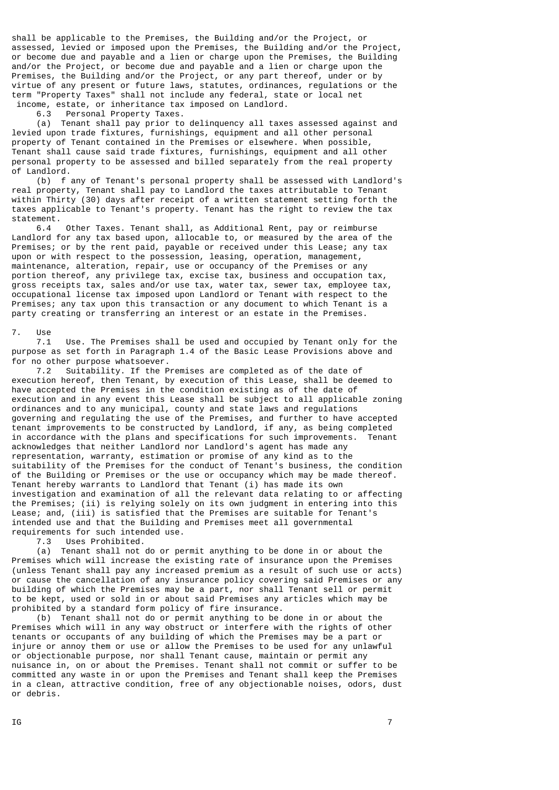shall be applicable to the Premises, the Building and/or the Project, or assessed, levied or imposed upon the Premises, the Building and/or the Project, or become due and payable and a lien or charge upon the Premises, the Building and/or the Project, or become due and payable and a lien or charge upon the Premises, the Building and/or the Project, or any part thereof, under or by virtue of any present or future laws, statutes, ordinances, regulations or the term "Property Taxes" shall not include any federal, state or local net income, estate, or inheritance tax imposed on Landlord.

6.3 Personal Property Taxes.

 (a) Tenant shall pay prior to delinquency all taxes assessed against and levied upon trade fixtures, furnishings, equipment and all other personal property of Tenant contained in the Premises or elsewhere. When possible, Tenant shall cause said trade fixtures, furnishings, equipment and all other personal property to be assessed and billed separately from the real property of Landlord.

 (b) f any of Tenant's personal property shall be assessed with Landlord's real property, Tenant shall pay to Landlord the taxes attributable to Tenant within Thirty (30) days after receipt of a written statement setting forth the taxes applicable to Tenant's property. Tenant has the right to review the tax statement.

 6.4 Other Taxes. Tenant shall, as Additional Rent, pay or reimburse Landlord for any tax based upon, allocable to, or measured by the area of the Premises; or by the rent paid, payable or received under this Lease; any tax upon or with respect to the possession, leasing, operation, management, maintenance, alteration, repair, use or occupancy of the Premises or any portion thereof, any privilege tax, excise tax, business and occupation tax, gross receipts tax, sales and/or use tax, water tax, sewer tax, employee tax, occupational license tax imposed upon Landlord or Tenant with respect to the Premises; any tax upon this transaction or any document to which Tenant is a party creating or transferring an interest or an estate in the Premises.

#### 7. Use

 7.1 Use. The Premises shall be used and occupied by Tenant only for the purpose as set forth in Paragraph 1.4 of the Basic Lease Provisions above and for no other purpose whatsoever.

 7.2 Suitability. If the Premises are completed as of the date of execution hereof, then Tenant, by execution of this Lease, shall be deemed to have accepted the Premises in the condition existing as of the date of execution and in any event this Lease shall be subject to all applicable zoning ordinances and to any municipal, county and state laws and regulations governing and regulating the use of the Premises, and further to have accepted tenant improvements to be constructed by Landlord, if any, as being completed in accordance with the plans and specifications for such improvements. acknowledges that neither Landlord nor Landlord's agent has made any representation, warranty, estimation or promise of any kind as to the suitability of the Premises for the conduct of Tenant's business, the condition of the Building or Premises or the use or occupancy which may be made thereof. Tenant hereby warrants to Landlord that Tenant (i) has made its own investigation and examination of all the relevant data relating to or affecting the Premises; (ii) is relying solely on its own judgment in entering into this Lease; and, (iii) is satisfied that the Premises are suitable for Tenant's intended use and that the Building and Premises meet all governmental requirements for such intended use.

7.3 Uses Prohibited.

 (a) Tenant shall not do or permit anything to be done in or about the Premises which will increase the existing rate of insurance upon the Premises (unless Tenant shall pay any increased premium as a result of such use or acts) or cause the cancellation of any insurance policy covering said Premises or any building of which the Premises may be a part, nor shall Tenant sell or permit to be kept, used or sold in or about said Premises any articles which may be prohibited by a standard form policy of fire insurance.

 (b) Tenant shall not do or permit anything to be done in or about the Premises which will in any way obstruct or interfere with the rights of other tenants or occupants of any building of which the Premises may be a part or injure or annoy them or use or allow the Premises to be used for any unlawful or objectionable purpose, nor shall Tenant cause, maintain or permit any nuisance in, on or about the Premises. Tenant shall not commit or suffer to be committed any waste in or upon the Premises and Tenant shall keep the Premises in a clean, attractive condition, free of any objectionable noises, odors, dust or debris.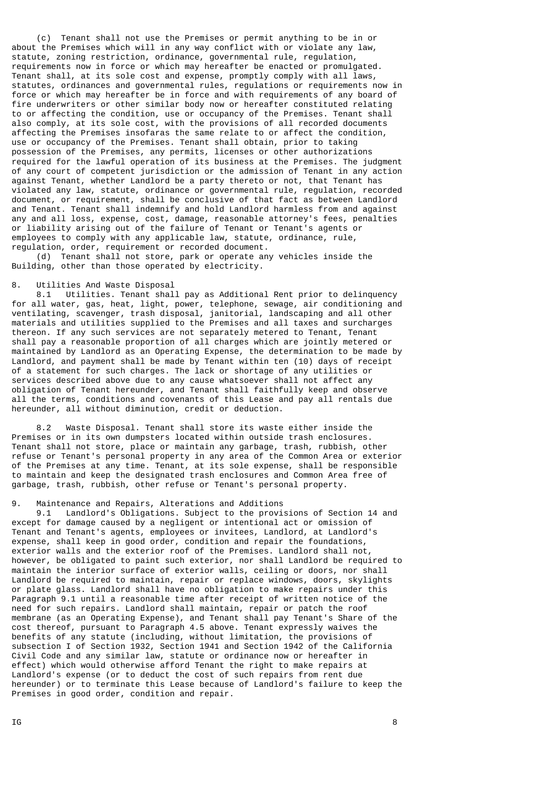(c) Tenant shall not use the Premises or permit anything to be in or about the Premises which will in any way conflict with or violate any law, statute, zoning restriction, ordinance, governmental rule, regulation, requirements now in force or which may hereafter be enacted or promulgated. Tenant shall, at its sole cost and expense, promptly comply with all laws, statutes, ordinances and governmental rules, regulations or requirements now in force or which may hereafter be in force and with requirements of any board of fire underwriters or other similar body now or hereafter constituted relating to or affecting the condition, use or occupancy of the Premises. Tenant shall also comply, at its sole cost, with the provisions of all recorded documents affecting the Premises insofaras the same relate to or affect the condition, use or occupancy of the Premises. Tenant shall obtain, prior to taking possession of the Premises, any permits, licenses or other authorizations required for the lawful operation of its business at the Premises. The judgment of any court of competent jurisdiction or the admission of Tenant in any action against Tenant, whether Landlord be a party thereto or not, that Tenant has violated any law, statute, ordinance or governmental rule, regulation, recorded document, or requirement, shall be conclusive of that fact as between Landlord and Tenant. Tenant shall indemnify and hold Landlord harmless from and against any and all loss, expense, cost, damage, reasonable attorney's fees, penalties or liability arising out of the failure of Tenant or Tenant's agents or employees to comply with any applicable law, statute, ordinance, rule, regulation, order, requirement or recorded document.

 (d) Tenant shall not store, park or operate any vehicles inside the Building, other than those operated by electricity.

## 8. Utilities And Waste Disposal

 8.1 Utilities. Tenant shall pay as Additional Rent prior to delinquency for all water, gas, heat, light, power, telephone, sewage, air conditioning and ventilating, scavenger, trash disposal, janitorial, landscaping and all other materials and utilities supplied to the Premises and all taxes and surcharges thereon. If any such services are not separately metered to Tenant, Tenant shall pay a reasonable proportion of all charges which are jointly metered or maintained by Landlord as an Operating Expense, the determination to be made by Landlord, and payment shall be made by Tenant within ten (10) days of receipt of a statement for such charges. The lack or shortage of any utilities or services described above due to any cause whatsoever shall not affect any obligation of Tenant hereunder, and Tenant shall faithfully keep and observe all the terms, conditions and covenants of this Lease and pay all rentals due hereunder, all without diminution, credit or deduction.

 8.2 Waste Disposal. Tenant shall store its waste either inside the Premises or in its own dumpsters located within outside trash enclosures. Tenant shall not store, place or maintain any garbage, trash, rubbish, other refuse or Tenant's personal property in any area of the Common Area or exterior of the Premises at any time. Tenant, at its sole expense, shall be responsible to maintain and keep the designated trash enclosures and Common Area free of garbage, trash, rubbish, other refuse or Tenant's personal property.

# 9. Maintenance and Repairs, Alterations and Additions

 9.1 Landlord's Obligations. Subject to the provisions of Section 14 and except for damage caused by a negligent or intentional act or omission of Tenant and Tenant's agents, employees or invitees, Landlord, at Landlord's expense, shall keep in good order, condition and repair the foundations, exterior walls and the exterior roof of the Premises. Landlord shall not, however, be obligated to paint such exterior, nor shall Landlord be required to maintain the interior surface of exterior walls, ceiling or doors, nor shall Landlord be required to maintain, repair or replace windows, doors, skylights or plate glass. Landlord shall have no obligation to make repairs under this Paragraph 9.1 until a reasonable time after receipt of written notice of the need for such repairs. Landlord shall maintain, repair or patch the roof membrane (as an Operating Expense), and Tenant shall pay Tenant's Share of the cost thereof, pursuant to Paragraph 4.5 above. Tenant expressly waives the benefits of any statute (including, without limitation, the provisions of subsection I of Section 1932, Section 1941 and Section 1942 of the California Civil Code and any similar law, statute or ordinance now or hereafter in effect) which would otherwise afford Tenant the right to make repairs at Landlord's expense (or to deduct the cost of such repairs from rent due hereunder) or to terminate this Lease because of Landlord's failure to keep the Premises in good order, condition and repair.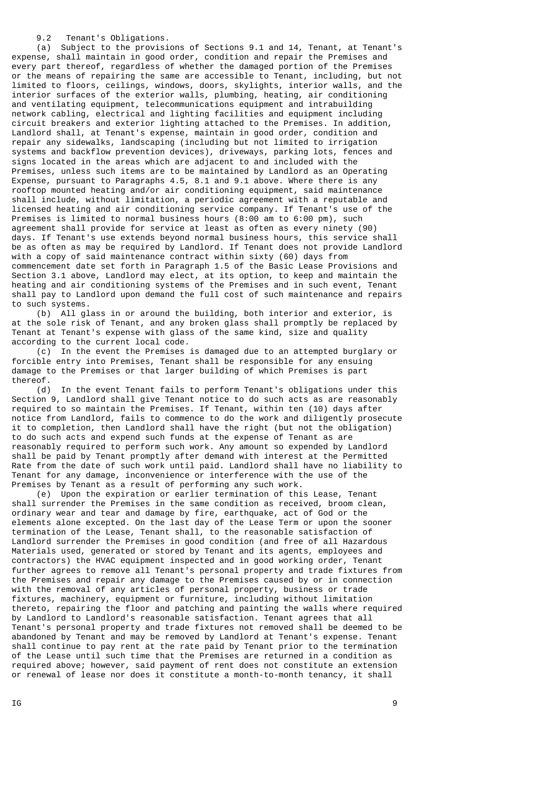9.2 Tenant's Obligations.

 (a) Subject to the provisions of Sections 9.1 and 14, Tenant, at Tenant's expense, shall maintain in good order, condition and repair the Premises and every part thereof, regardless of whether the damaged portion of the Premises or the means of repairing the same are accessible to Tenant, including, but not limited to floors, ceilings, windows, doors, skylights, interior walls, and the interior surfaces of the exterior walls, plumbing, heating, air conditioning and ventilating equipment, telecommunications equipment and intrabuilding network cabling, electrical and lighting facilities and equipment including circuit breakers and exterior lighting attached to the Premises. In addition, Landlord shall, at Tenant's expense, maintain in good order, condition and repair any sidewalks, landscaping (including but not limited to irrigation systems and backflow prevention devices), driveways, parking lots, fences and signs located in the areas which are adjacent to and included with the Premises, unless such items are to be maintained by Landlord as an Operating Expense, pursuant to Paragraphs 4.5, 8.1 and 9.1 above. Where there is any rooftop mounted heating and/or air conditioning equipment, said maintenance shall include, without limitation, a periodic agreement with a reputable and licensed heating and air conditioning service company. If Tenant's use of the Premises is limited to normal business hours (8:00 am to 6:00 pm), such agreement shall provide for service at least as often as every ninety (90) days. If Tenant's use extends beyond normal business hours, this service shall be as often as may be required by Landlord. If Tenant does not provide Landlord with a copy of said maintenance contract within sixty (60) days from commencement date set forth in Paragraph 1.5 of the Basic Lease Provisions and Section 3.1 above, Landlord may elect, at its option, to keep and maintain the heating and air conditioning systems of the Premises and in such event, Tenant shall pay to Landlord upon demand the full cost of such maintenance and repairs to such systems.

 (b) All glass in or around the building, both interior and exterior, is at the sole risk of Tenant, and any broken glass shall promptly be replaced by Tenant at Tenant's expense with glass of the same kind, size and quality according to the current local code.

 (c) In the event the Premises is damaged due to an attempted burglary or forcible entry into Premises, Tenant shall be responsible for any ensuing damage to the Premises or that larger building of which Premises is part thereof.

 (d) In the event Tenant fails to perform Tenant's obligations under this Section 9, Landlord shall give Tenant notice to do such acts as are reasonably required to so maintain the Premises. If Tenant, within ten (10) days after notice from Landlord, fails to commence to do the work and diligently prosecute it to completion, then Landlord shall have the right (but not the obligation) to do such acts and expend such funds at the expense of Tenant as are reasonably required to perform such work. Any amount so expended by Landlord shall be paid by Tenant promptly after demand with interest at the Permitted Rate from the date of such work until paid. Landlord shall have no liability to Tenant for any damage, inconvenience or interference with the use of the Premises by Tenant as a result of performing any such work.

 (e) Upon the expiration or earlier termination of this Lease, Tenant shall surrender the Premises in the same condition as received, broom clean, ordinary wear and tear and damage by fire, earthquake, act of God or the elements alone excepted. On the last day of the Lease Term or upon the sooner termination of the Lease, Tenant shall, to the reasonable satisfaction of Landlord surrender the Premises in good condition (and free of all Hazardous Materials used, generated or stored by Tenant and its agents, employees and contractors) the HVAC equipment inspected and in good working order, Tenant further agrees to remove all Tenant's personal property and trade fixtures from the Premises and repair any damage to the Premises caused by or in connection with the removal of any articles of personal property, business or trade fixtures, machinery, equipment or furniture, including without limitation thereto, repairing the floor and patching and painting the walls where required by Landlord to Landlord's reasonable satisfaction. Tenant agrees that all Tenant's personal property and trade fixtures not removed shall be deemed to be abandoned by Tenant and may be removed by Landlord at Tenant's expense. Tenant shall continue to pay rent at the rate paid by Tenant prior to the termination of the Lease until such time that the Premises are returned in a condition as required above; however, said payment of rent does not constitute an extension or renewal of lease nor does it constitute a month-to-month tenancy, it shall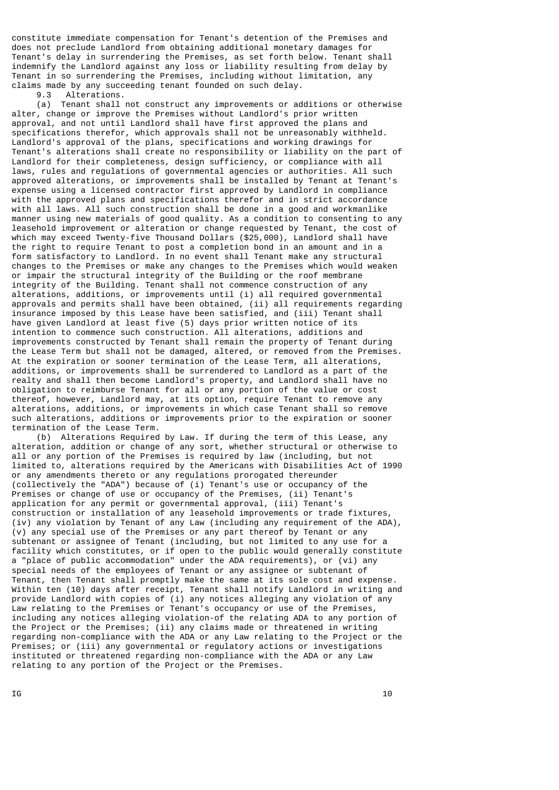constitute immediate compensation for Tenant's detention of the Premises and does not preclude Landlord from obtaining additional monetary damages for Tenant's delay in surrendering the Premises, as set forth below. Tenant shall indemnify the Landlord against any loss or liability resulting from delay by Tenant in so surrendering the Premises, including without limitation, any claims made by any succeeding tenant founded on such delay.

9.3 Alterations.

 (a) Tenant shall not construct any improvements or additions or otherwise alter, change or improve the Premises without Landlord's prior written approval, and not until Landlord shall have first approved the plans and specifications therefor, which approvals shall not be unreasonably withheld. Landlord's approval of the plans, specifications and working drawings for Tenant's alterations shall create no responsibility or liability on the part of Landlord for their completeness, design sufficiency, or compliance with all laws, rules and regulations of governmental agencies or authorities. All such approved alterations, or improvements shall be installed by Tenant at Tenant's expense using a licensed contractor first approved by Landlord in compliance with the approved plans and specifications therefor and in strict accordance with all laws. All such construction shall be done in a good and workmanlike manner using new materials of good quality. As a condition to consenting to any leasehold improvement or alteration or change requested by Tenant, the cost of which may exceed Twenty-five Thousand Dollars (\$25,000), Landlord shall have the right to require Tenant to post a completion bond in an amount and in a form satisfactory to Landlord. In no event shall Tenant make any structural changes to the Premises or make any changes to the Premises which would weaken or impair the structural integrity of the Building or the roof membrane integrity of the Building. Tenant shall not commence construction of any alterations, additions, or improvements until (i) all required governmental approvals and permits shall have been obtained, (ii) all requirements regarding insurance imposed by this Lease have been satisfied, and (iii) Tenant shall have given Landlord at least five (5) days prior written notice of its intention to commence such construction. All alterations, additions and improvements constructed by Tenant shall remain the property of Tenant during the Lease Term but shall not be damaged, altered, or removed from the Premises. At the expiration or sooner termination of the Lease Term, all alterations, additions, or improvements shall be surrendered to Landlord as a part of the realty and shall then become Landlord's property, and Landlord shall have no obligation to reimburse Tenant for all or any portion of the value or cost thereof, however, Landlord may, at its option, require Tenant to remove any alterations, additions, or improvements in which case Tenant shall so remove such alterations, additions or improvements prior to the expiration or sooner termination of the Lease Term.

 (b) Alterations Required by Law. If during the term of this Lease, any alteration, addition or change of any sort, whether structural or otherwise to all or any portion of the Premises is required by law (including, but not limited to, alterations required by the Americans with Disabilities Act of 1990 or any amendments thereto or any regulations prorogated thereunder (collectively the "ADA") because of (i) Tenant's use or occupancy of the Premises or change of use or occupancy of the Premises, (ii) Tenant's application for any permit or governmental approval, (iii) Tenant's construction or installation of any leasehold improvements or trade fixtures, (iv) any violation by Tenant of any Law (including any requirement of the ADA), (v) any special use of the Premises or any part thereof by Tenant or any subtenant or assignee of Tenant (including, but not limited to any use for a facility which constitutes, or if open to the public would generally constitute a "place of public accommodation" under the ADA requirements), or (vi) any special needs of the employees of Tenant or any assignee or subtenant of Tenant, then Tenant shall promptly make the same at its sole cost and expense. Within ten (10) days after receipt, Tenant shall notify Landlord in writing and provide Landlord with copies of (i) any notices alleging any violation of any Law relating to the Premises or Tenant's occupancy or use of the Premises, including any notices alleging violation-of the relating ADA to any portion of the Project or the Premises; (ii) any claims made or threatened in writing regarding non-compliance with the ADA or any Law relating to the Project or the Premises; or (iii) any governmental or regulatory actions or investigations instituted or threatened regarding non-compliance with the ADA or any Law relating to any portion of the Project or the Premises.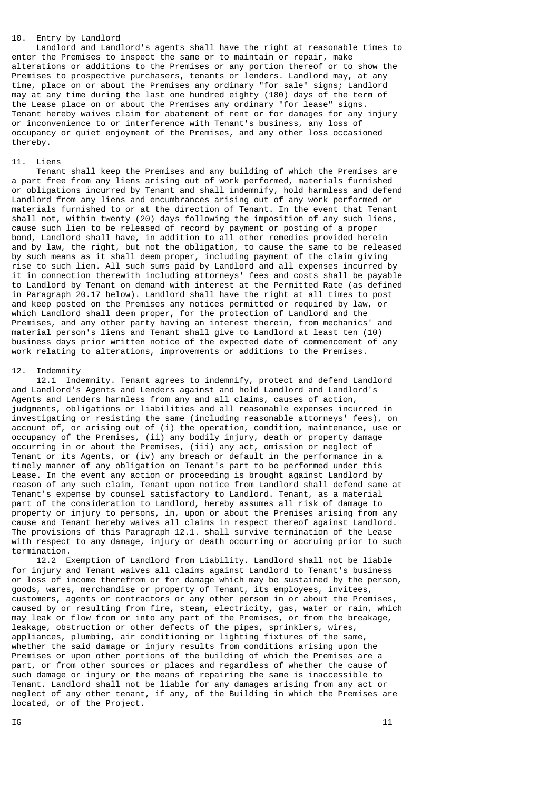# 10. Entry by Landlord

 Landlord and Landlord's agents shall have the right at reasonable times to enter the Premises to inspect the same or to maintain or repair, make alterations or additions to the Premises or any portion thereof or to show the Premises to prospective purchasers, tenants or lenders. Landlord may, at any time, place on or about the Premises any ordinary "for sale" signs; Landlord may at any time during the last one hundred eighty (180) days of the term of the Lease place on or about the Premises any ordinary "for lease" signs. Tenant hereby waives claim for abatement of rent or for damages for any injury or inconvenience to or interference with Tenant's business, any loss of occupancy or quiet enjoyment of the Premises, and any other loss occasioned thereby.

#### 11. Liens

 Tenant shall keep the Premises and any building of which the Premises are a part free from any liens arising out of work performed, materials furnished or obligations incurred by Tenant and shall indemnify, hold harmless and defend Landlord from any liens and encumbrances arising out of any work performed or materials furnished to or at the direction of Tenant. In the event that Tenant shall not, within twenty (20) days following the imposition of any such liens, cause such lien to be released of record by payment or posting of a proper bond, Landlord shall have, in addition to all other remedies provided herein and by law, the right, but not the obligation, to cause the same to be released by such means as it shall deem proper, including payment of the claim giving rise to such lien. All such sums paid by Landlord and all expenses incurred by it in connection therewith including attorneys' fees and costs shall be payable to Landlord by Tenant on demand with interest at the Permitted Rate (as defined in Paragraph 20.17 below). Landlord shall have the right at all times to post and keep posted on the Premises any notices permitted or required by law, or which Landlord shall deem proper, for the protection of Landlord and the Premises, and any other party having an interest therein, from mechanics' and material person's liens and Tenant shall give to Landlord at least ten (10) business days prior written notice of the expected date of commencement of any work relating to alterations, improvements or additions to the Premises.

#### 12. Indemnity

 12.1 Indemnity. Tenant agrees to indemnify, protect and defend Landlord and Landlord's Agents and Lenders against and hold Landlord and Landlord's Agents and Lenders harmless from any and all claims, causes of action, judgments, obligations or liabilities and all reasonable expenses incurred in investigating or resisting the same (including reasonable attorneys' fees), on account of, or arising out of (i) the operation, condition, maintenance, use or occupancy of the Premises, (ii) any bodily injury, death or property damage occurring in or about the Premises, (iii) any act, omission or neglect of Tenant or its Agents, or (iv) any breach or default in the performance in a timely manner of any obligation on Tenant's part to be performed under this Lease. In the event any action or proceeding is brought against Landlord by reason of any such claim, Tenant upon notice from Landlord shall defend same at Tenant's expense by counsel satisfactory to Landlord. Tenant, as a material part of the consideration to Landlord, hereby assumes all risk of damage to property or injury to persons, in, upon or about the Premises arising from any cause and Tenant hereby waives all claims in respect thereof against Landlord. The provisions of this Paragraph 12.1. shall survive termination of the Lease with respect to any damage, injury or death occurring or accruing prior to such termination.

 12.2 Exemption of Landlord from Liability. Landlord shall not be liable for injury and Tenant waives all claims against Landlord to Tenant's business or loss of income therefrom or for damage which may be sustained by the person, goods, wares, merchandise or property of Tenant, its employees, invitees, customers, agents or contractors or any other person in or about the Premises, caused by or resulting from fire, steam, electricity, gas, water or rain, which may leak or flow from or into any part of the Premises, or from the breakage, leakage, obstruction or other defects of the pipes, sprinklers, wires, appliances, plumbing, air conditioning or lighting fixtures of the same, whether the said damage or injury results from conditions arising upon the Premises or upon other portions of the building of which the Premises are a part, or from other sources or places and regardless of whether the cause of such damage or injury or the means of repairing the same is inaccessible to Tenant. Landlord shall not be liable for any damages arising from any act or neglect of any other tenant, if any, of the Building in which the Premises are located, or of the Project.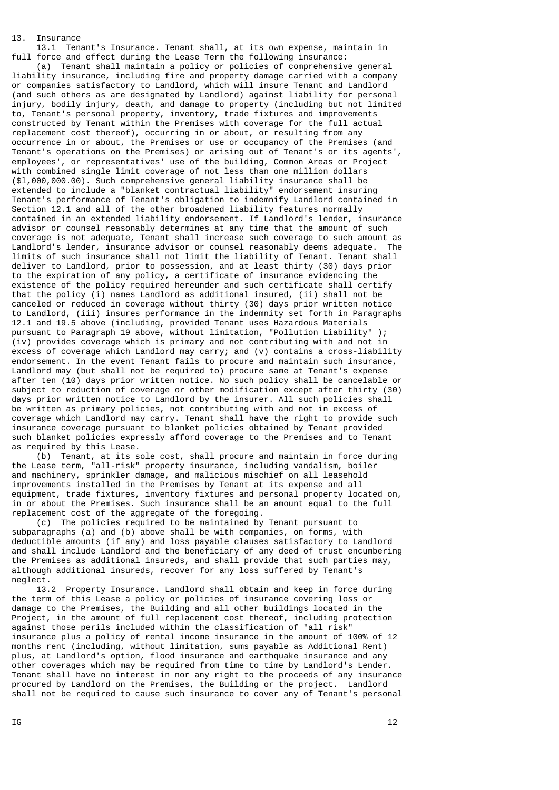13. Insurance

 13.1 Tenant's Insurance. Tenant shall, at its own expense, maintain in full force and effect during the Lease Term the following insurance:

 (a) Tenant shall maintain a policy or policies of comprehensive general liability insurance, including fire and property damage carried with a company or companies satisfactory to Landlord, which will insure Tenant and Landlord (and such others as are designated by Landlord) against liability for personal injury, bodily injury, death, and damage to property (including but not limited to, Tenant's personal property, inventory, trade fixtures and improvements constructed by Tenant within the Premises with coverage for the full actual replacement cost thereof), occurring in or about, or resulting from any occurrence in or about, the Premises or use or occupancy of the Premises (and Tenant's operations on the Premises) or arising out of Tenant's or its agents', employees', or representatives' use of the building, Common Areas or Project with combined single limit coverage of not less than one million dollars (\$l,000,000.00). Such comprehensive general liability insurance shall be extended to include a "blanket contractual liability" endorsement insuring Tenant's performance of Tenant's obligation to indemnify Landlord contained in Section 12.1 and all of the other broadened liability features normally contained in an extended liability endorsement. If Landlord's lender, insurance advisor or counsel reasonably determines at any time that the amount of such coverage is not adequate, Tenant shall increase such coverage to such amount as Landlord's lender, insurance advisor or counsel reasonably deems adequate. The limits of such insurance shall not limit the liability of Tenant. Tenant shall deliver to Landlord, prior to possession, and at least thirty (30) days prior to the expiration of any policy, a certificate of insurance evidencing the existence of the policy required hereunder and such certificate shall certify that the policy (i) names Landlord as additional insured, (ii) shall not be canceled or reduced in coverage without thirty (30) days prior written notice to Landlord, (iii) insures performance in the indemnity set forth in Paragraphs 12.1 and 19.5 above (including, provided Tenant uses Hazardous Materials pursuant to Paragraph 19 above, without limitation, "Pollution Liability" (iv) provides coverage which is primary and not contributing with and not in excess of coverage which Landlord may carry; and (v) contains a cross-liability endorsement. In the event Tenant fails to procure and maintain such insurance, Landlord may (but shall not be required to) procure same at Tenant's expense after ten (10) days prior written notice. No such policy shall be cancelable or subject to reduction of coverage or other modification except after thirty (30) days prior written notice to Landlord by the insurer. All such policies shall be written as primary policies, not contributing with and not in excess of coverage which Landlord may carry. Tenant shall have the right to provide such insurance coverage pursuant to blanket policies obtained by Tenant provided such blanket policies expressly afford coverage to the Premises and to Tenant as required by this Lease.

 (b) Tenant, at its sole cost, shall procure and maintain in force during the Lease term, "all-risk" property insurance, including vandalism, boiler and machinery, sprinkler damage, and malicious mischief on all leasehold improvements installed in the Premises by Tenant at its expense and all equipment, trade fixtures, inventory fixtures and personal property located on, in or about the Premises. Such insurance shall be an amount equal to the full replacement cost of the aggregate of the foregoing.

 (c) The policies required to be maintained by Tenant pursuant to subparagraphs (a) and (b) above shall be with companies, on forms, with deductible amounts (if any) and loss payable clauses satisfactory to Landlord and shall include Landlord and the beneficiary of any deed of trust encumbering the Premises as additional insureds, and shall provide that such parties may, although additional insureds, recover for any loss suffered by Tenant's neglect.

 13.2 Property Insurance. Landlord shall obtain and keep in force during the term of this Lease a policy or policies of insurance covering loss or damage to the Premises, the Building and all other buildings located in the Project, in the amount of full replacement cost thereof, including protection against those perils included within the classification of "all risk" insurance plus a policy of rental income insurance in the amount of 100% of 12 months rent (including, without limitation, sums payable as Additional Rent) plus, at Landlord's option, flood insurance and earthquake insurance and any other coverages which may be required from time to time by Landlord's Lender. Tenant shall have no interest in nor any right to the proceeds of any insurance procured by Landlord on the Premises, the Building or the project. Landlord shall not be required to cause such insurance to cover any of Tenant's personal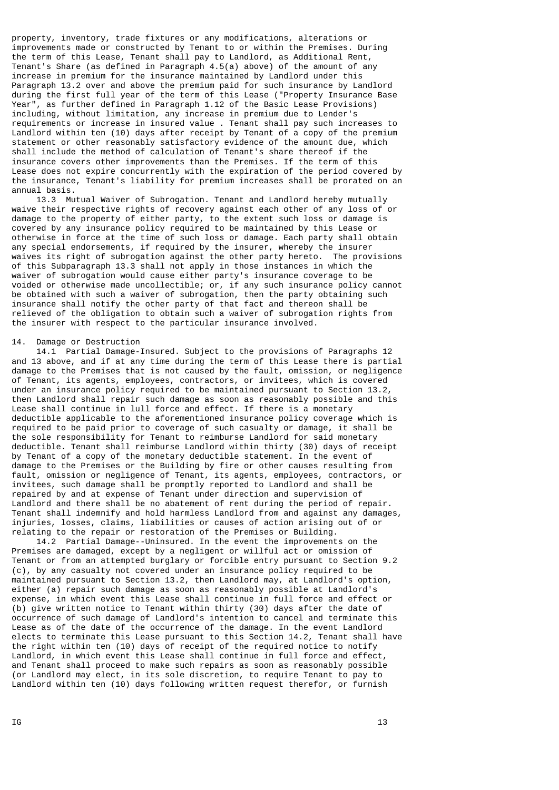property, inventory, trade fixtures or any modifications, alterations or improvements made or constructed by Tenant to or within the Premises. During the term of this Lease, Tenant shall pay to Landlord, as Additional Rent, Tenant's Share (as defined in Paragraph 4.5(a) above) of the amount of any increase in premium for the insurance maintained by Landlord under this Paragraph 13.2 over and above the premium paid for such insurance by Landlord during the first full year of the term of this Lease ("Property Insurance Base Year", as further defined in Paragraph 1.12 of the Basic Lease Provisions) including, without limitation, any increase in premium due to Lender's requirements or increase in insured value . Tenant shall pay such increases to Landlord within ten (10) days after receipt by Tenant of a copy of the premium statement or other reasonably satisfactory evidence of the amount due, which shall include the method of calculation of Tenant's share thereof if the insurance covers other improvements than the Premises. If the term of this Lease does not expire concurrently with the expiration of the period covered by the insurance, Tenant's liability for premium increases shall be prorated on an annual basis.

 13.3 Mutual Waiver of Subrogation. Tenant and Landlord hereby mutually waive their respective rights of recovery against each other of any loss of or damage to the property of either party, to the extent such loss or damage is covered by any insurance policy required to be maintained by this Lease or otherwise in force at the time of such loss or damage. Each party shall obtain any special endorsements, if required by the insurer, whereby the insurer waives its right of subrogation against the other party hereto. The provisions of this Subparagraph 13.3 shall not apply in those instances in which the waiver of subrogation would cause either party's insurance coverage to be voided or otherwise made uncollectible; or, if any such insurance policy cannot be obtained with such a waiver of subrogation, then the party obtaining such insurance shall notify the other party of that fact and thereon shall be relieved of the obligation to obtain such a waiver of subrogation rights from the insurer with respect to the particular insurance involved.

#### 14. Damage or Destruction

 14.1 Partial Damage-Insured. Subject to the provisions of Paragraphs 12 and 13 above, and if at any time during the term of this Lease there is partial damage to the Premises that is not caused by the fault, omission, or negligence of Tenant, its agents, employees, contractors, or invitees, which is covered under an insurance policy required to be maintained pursuant to Section 13.2, then Landlord shall repair such damage as soon as reasonably possible and this Lease shall continue in lull force and effect. If there is a monetarv deductible applicable to the aforementioned insurance policy coverage which is required to be paid prior to coverage of such casualty or damage, it shall be the sole responsibility for Tenant to reimburse Landlord for said monetary deductible. Tenant shall reimburse Landlord within thirty (30) days of receipt by Tenant of a copy of the monetary deductible statement. In the event of damage to the Premises or the Building by fire or other causes resulting from fault, omission or negligence of Tenant, its agents, employees, contractors, or invitees, such damage shall be promptly reported to Landlord and shall be repaired by and at expense of Tenant under direction and supervision of Landlord and there shall be no abatement of rent during the period of repair. Tenant shall indemnify and hold harmless Landlord from and against any damages, injuries, losses, claims, liabilities or causes of action arising out of or relating to the repair or restoration of the Premises or Building.

 14.2 Partial Damage--Uninsured. In the event the improvements on the Premises are damaged, except by a negligent or willful act or omission of Tenant or from an attempted burglary or forcible entry pursuant to Section 9.2 (c), by any casualty not covered under an insurance policy required to be maintained pursuant to Section 13.2, then Landlord may, at Landlord's option, either (a) repair such damage as soon as reasonably possible at Landlord's expense, in which event this Lease shall continue in full force and effect or (b) give written notice to Tenant within thirty (30) days after the date of occurrence of such damage of Landlord's intention to cancel and terminate this Lease as of the date of the occurrence of the damage. In the event Landlord elects to terminate this Lease pursuant to this Section 14.2, Tenant shall have the right within ten (10) days of receipt of the required notice to notify Landlord, in which event this Lease shall continue in full force and effect, and Tenant shall proceed to make such repairs as soon as reasonably possible (or Landlord may elect, in its sole discretion, to require Tenant to pay to Landlord within ten (10) days following written request therefor, or furnish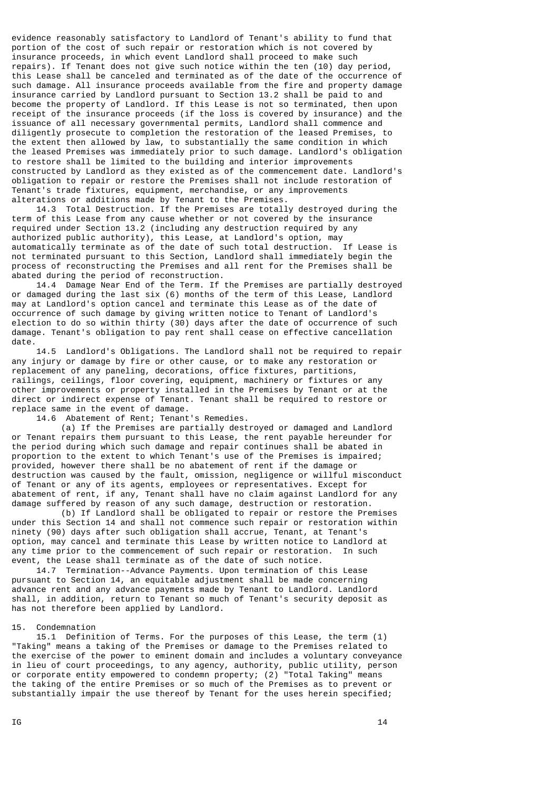evidence reasonably satisfactory to Landlord of Tenant's ability to fund that portion of the cost of such repair or restoration which is not covered by insurance proceeds, in which event Landlord shall proceed to make such repairs). If Tenant does not give such notice within the ten (10) day period, this Lease shall be canceled and terminated as of the date of the occurrence of such damage. All insurance proceeds available from the fire and property damage insurance carried by Landlord pursuant to Section 13.2 shall be paid to and become the property of Landlord. If this Lease is not so terminated, then upon receipt of the insurance proceeds (if the loss is covered by insurance) and the issuance of all necessary governmental permits, Landlord shall commence and diligently prosecute to completion the restoration of the leased Premises, to the extent then allowed by law, to substantially the same condition in which the leased Premises was immediately prior to such damage. Landlord's obligation to restore shall be limited to the building and interior improvements constructed by Landlord as they existed as of the commencement date. Landlord's obligation to repair or restore the Premises shall not include restoration of Tenant's trade fixtures, equipment, merchandise, or any improvements alterations or additions made by Tenant to the Premises.

 14.3 Total Destruction. If the Premises are totally destroyed during the term of this Lease from any cause whether or not covered by the insurance required under Section 13.2 (including any destruction required by any authorized public authority), this Lease, at Landlord's option, may automatically terminate as of the date of such total destruction. If Lease is not terminated pursuant to this Section, Landlord shall immediately begin the process of reconstructing the Premises and all rent for the Premises shall be abated during the period of reconstruction.

 14.4 Damage Near End of the Term. If the Premises are partially destroyed or damaged during the last six (6) months of the term of this Lease, Landlord may at Landlord's option cancel and terminate this Lease as of the date of occurrence of such damage by giving written notice to Tenant of Landlord's election to do so within thirty (30) days after the date of occurrence of such damage. Tenant's obligation to pay rent shall cease on effective cancellation date.

 14.5 Landlord's Obligations. The Landlord shall not be required to repair any injury or damage by fire or other cause, or to make any restoration or replacement of any paneling, decorations, office fixtures, partitions, railings, ceilings, floor covering, equipment, machinery or fixtures or any other improvements or property installed in the Premises by Tenant or at the direct or indirect expense of Tenant. Tenant shall be required to restore or replace same in the event of damage.

14.6 Abatement of Rent; Tenant's Remedies.

 (a) If the Premises are partially destroyed or damaged and Landlord or Tenant repairs them pursuant to this Lease, the rent payable hereunder for the period during which such damage and repair continues shall be abated in proportion to the extent to which Tenant's use of the Premises is impaired; provided, however there shall be no abatement of rent if the damage or destruction was caused by the fault, omission, negligence or willful misconduct of Tenant or any of its agents, employees or representatives. Except for abatement of rent, if any, Tenant shall have no claim against Landlord for any damage suffered by reason of any such damage, destruction or restoration.

 (b) If Landlord shall be obligated to repair or restore the Premises under this Section 14 and shall not commence such repair or restoration within ninety (90) days after such obligation shall accrue, Tenant, at Tenant's option, may cancel and terminate this Lease by written notice to Landlord at any time prior to the commencement of such repair or restoration. In such event, the Lease shall terminate as of the date of such notice.

 14.7 Termination--Advance Payments. Upon termination of this Lease pursuant to Section 14, an equitable adjustment shall be made concerning advance rent and any advance payments made by Tenant to Landlord. Landlord shall, in addition, return to Tenant so much of Tenant's security deposit as has not therefore been applied by Landlord.

#### 15. Condemnation

 15.1 Definition of Terms. For the purposes of this Lease, the term (1) "Taking" means a taking of the Premises or damage to the Premises related to the exercise of the power to eminent domain and includes a voluntary conveyance in lieu of court proceedings, to any agency, authority, public utility, person or corporate entity empowered to condemn property; (2) "Total Taking" means the taking of the entire Premises or so much of the Premises as to prevent or substantially impair the use thereof by Tenant for the uses herein specified;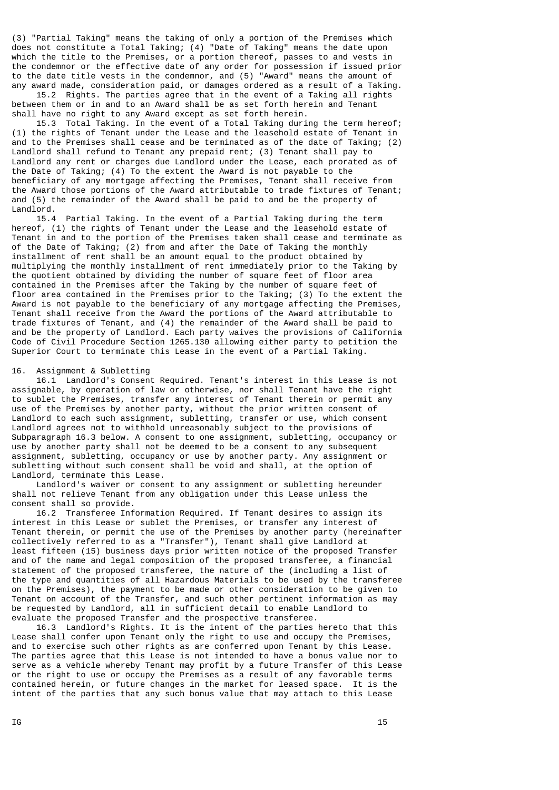(3) "Partial Taking" means the taking of only a portion of the Premises which does not constitute a Total Taking; (4) "Date of Taking" means the date upon which the title to the Premises, or a portion thereof, passes to and vests in the condemnor or the effective date of any order for possession if issued prior to the date title vests in the condemnor, and (5) "Award" means the amount of any award made, consideration paid, or damages ordered as a result of a Taking.

 15.2 Rights. The parties agree that in the event of a Taking all rights between them or in and to an Award shall be as set forth herein and Tenant shall have no right to any Award except as set forth herein.

 15.3 Total Taking. In the event of a Total Taking during the term hereof; (1) the rights of Tenant under the Lease and the leasehold estate of Tenant in and to the Premises shall cease and be terminated as of the date of Taking; (2) Landlord shall refund to Tenant any prepaid rent; (3) Tenant shall pay to Landlord any rent or charges due Landlord under the Lease, each prorated as of the Date of Taking; (4) To the extent the Award is not payable to the beneficiary of any mortgage affecting the Premises, Tenant shall receive from the Award those portions of the Award attributable to trade fixtures of Tenant; and (5) the remainder of the Award shall be paid to and be the property of Landlord.

 15.4 Partial Taking. In the event of a Partial Taking during the term hereof, (1) the rights of Tenant under the Lease and the leasehold estate of Tenant in and to the portion of the Premises taken shall cease and terminate as of the Date of Taking; (2) from and after the Date of Taking the monthly installment of rent shall be an amount equal to the product obtained by multiplying the monthly installment of rent immediately prior to the Taking by the quotient obtained by dividing the number of square feet of floor area contained in the Premises after the Taking by the number of square feet of floor area contained in the Premises prior to the Taking; (3) To the extent the Award is not payable to the beneficiary of any mortgage affecting the Premises, Tenant shall receive from the Award the portions of the Award attributable to trade fixtures of Tenant, and (4) the remainder of the Award shall be paid to and be the property of Landlord. Each party waives the provisions of California Code of Civil Procedure Section 1265.130 allowing either party to petition the Superior Court to terminate this Lease in the event of a Partial Taking.

# 16. Assignment & Subletting

 16.1 Landlord's Consent Required. Tenant's interest in this Lease is not assignable, by operation of law or otherwise, nor shall Tenant have the right to sublet the Premises, transfer any interest of Tenant therein or permit any use of the Premises by another party, without the prior written consent of Landlord to each such assignment, subletting, transfer or use, which consent Landlord agrees not to withhold unreasonably subject to the provisions of Subparagraph 16.3 below. A consent to one assignment, subletting, occupancy or use by another party shall not be deemed to be a consent to any subsequent assignment, subletting, occupancy or use by another party. Any assignment or subletting without such consent shall be void and shall, at the option of Landlord, terminate this Lease.

 Landlord's waiver or consent to any assignment or subletting hereunder shall not relieve Tenant from any obligation under this Lease unless the consent shall so provide.

 16.2 Transferee Information Required. If Tenant desires to assign its interest in this Lease or sublet the Premises, or transfer any interest of Tenant therein, or permit the use of the Premises by another party (hereinafter collectively referred to as a "Transfer"), Tenant shall give Landlord at least fifteen (15) business days prior written notice of the proposed Transfer and of the name and legal composition of the proposed transferee, a financial statement of the proposed transferee, the nature of the (including a list of the type and quantities of all Hazardous Materials to be used by the transferee on the Premises), the payment to be made or other consideration to be given to Tenant on account of the Transfer, and such other pertinent information as may be requested by Landlord, all in sufficient detail to enable Landlord to evaluate the proposed Transfer and the prospective transferee.

 16.3 Landlord's Rights. It is the intent of the parties hereto that this Lease shall confer upon Tenant only the right to use and occupy the Premises, and to exercise such other rights as are conferred upon Tenant by this Lease. The parties agree that this Lease is not intended to have a bonus value nor to serve as a vehicle whereby Tenant may profit by a future Transfer of this Lease or the right to use or occupy the Premises as a result of any favorable terms contained herein, or future changes in the market for leased space. It is the intent of the parties that any such bonus value that may attach to this Lease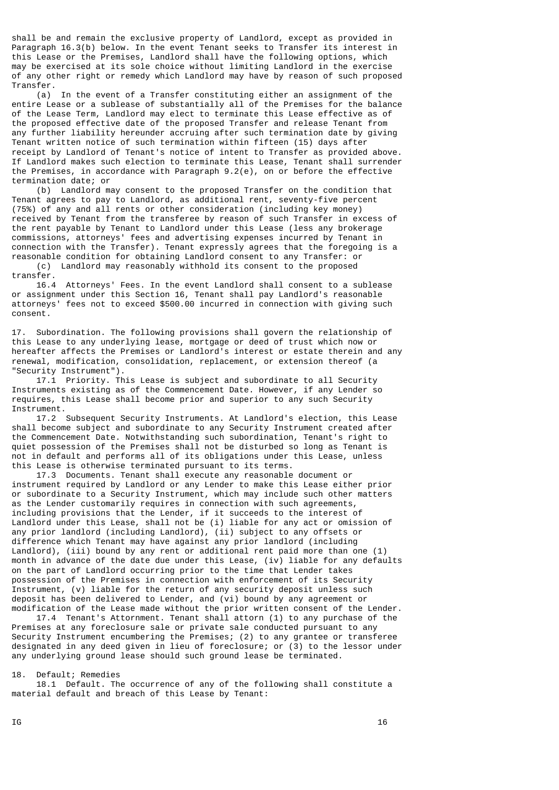shall be and remain the exclusive property of Landlord, except as provided in Paragraph 16.3(b) below. In the event Tenant seeks to Transfer its interest in this Lease or the Premises, Landlord shall have the following options, which may be exercised at its sole choice without limiting Landlord in the exercise of any other right or remedy which Landlord may have by reason of such proposed Transfer.

 (a) In the event of a Transfer constituting either an assignment of the entire Lease or a sublease of substantially all of the Premises for the balance of the Lease Term, Landlord may elect to terminate this Lease effective as of the proposed effective date of the proposed Transfer and release Tenant from any further liability hereunder accruing after such termination date by giving Tenant written notice of such termination within fifteen (15) days after receipt by Landlord of Tenant's notice of intent to Transfer as provided above. If Landlord makes such election to terminate this Lease, Tenant shall surrender the Premises, in accordance with Paragraph 9.2(e), on or before the effective termination date; or

 (b) Landlord may consent to the proposed Transfer on the condition that Tenant agrees to pay to Landlord, as additional rent, seventy-five percent (75%) of any and all rents or other consideration (including key money) received by Tenant from the transferee by reason of such Transfer in excess of the rent payable by Tenant to Landlord under this Lease (less any brokerage commissions, attorneys' fees and advertising expenses incurred by Tenant in connection with the Transfer). Tenant expressly agrees that the foregoing is a reasonable condition for obtaining Landlord consent to any Transfer: or (c) Landlord may reasonably withhold its consent to the proposed

transfer.

 16.4 Attorneys' Fees. In the event Landlord shall consent to a sublease or assignment under this Section 16, Tenant shall pay Landlord's reasonable attorneys' fees not to exceed \$500.00 incurred in connection with giving such consent.

17. Subordination. The following provisions shall govern the relationship of this Lease to any underlying lease, mortgage or deed of trust which now or hereafter affects the Premises or Landlord's interest or estate therein and any renewal, modification, consolidation, replacement, or extension thereof (a "Security Instrument").

 17.1 Priority. This Lease is subject and subordinate to all Security Instruments existing as of the Commencement Date. However, if any Lender so requires, this Lease shall become prior and superior to any such Security Instrument.

 17.2 Subsequent Security Instruments. At Landlord's election, this Lease shall become subject and subordinate to any Security Instrument created after the Commencement Date. Notwithstanding such subordination, Tenant's right to quiet possession of the Premises shall not be disturbed so long as Tenant is not in default and performs all of its obligations under this Lease, unless this Lease is otherwise terminated pursuant to its terms.

 17.3 Documents. Tenant shall execute any reasonable document or instrument required by Landlord or any Lender to make this Lease either prior or subordinate to a Security Instrument, which may include such other matters as the Lender customarily requires in connection with such agreements, including provisions that the Lender, if it succeeds to the interest of Landlord under this Lease, shall not be (i) liable for any act or omission of any prior landlord (including Landlord), (ii) subject to any offsets or difference which Tenant may have against any prior landlord (including Landlord), (iii) bound by any rent or additional rent paid more than one (1) month in advance of the date due under this Lease, (iv) liable for any defaults on the part of Landlord occurring prior to the time that Lender takes possession of the Premises in connection with enforcement of its Security Instrument, (v) liable for the return of any security deposit unless such deposit has been delivered to Lender, and (vi) bound by any agreement or modification of the Lease made without the prior written consent of the Lender.

 17.4 Tenant's Attornment. Tenant shall attorn (1) to any purchase of the Premises at any foreclosure sale or private sale conducted pursuant to any Security Instrument encumbering the Premises; (2) to any grantee or transferee designated in any deed given in lieu of foreclosure; or (3) to the lessor under any underlying ground lease should such ground lease be terminated.

18. Default; Remedies

 18.1 Default. The occurrence of any of the following shall constitute a material default and breach of this Lease by Tenant: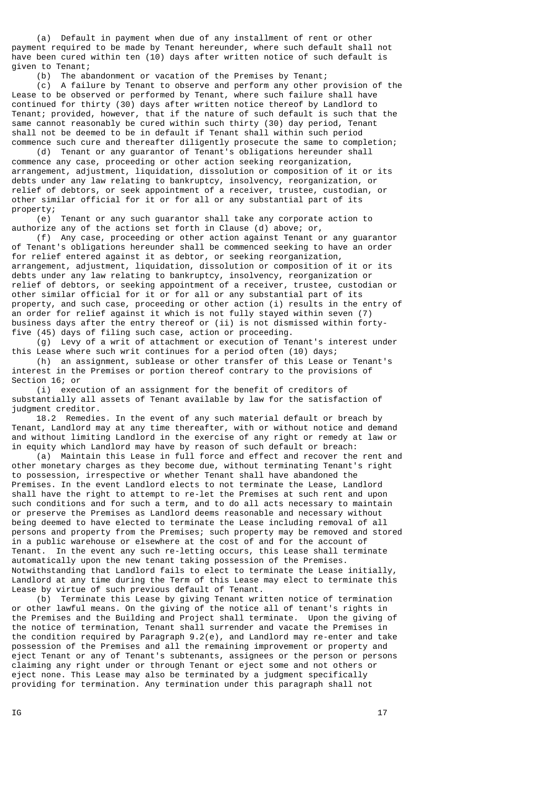(a) Default in payment when due of any installment of rent or other payment required to be made by Tenant hereunder, where such default shall not have been cured within ten (10) days after written notice of such default is given to Tenant;

(b) The abandonment or vacation of the Premises by Tenant;

 (c) A failure by Tenant to observe and perform any other provision of the Lease to be observed or performed by Tenant, where such failure shall have continued for thirty (30) days after written notice thereof by Landlord to Tenant; provided, however, that if the nature of such default is such that the same cannot reasonably be cured within such thirty (30) day period, Tenant shall not be deemed to be in default if Tenant shall within such period commence such cure and thereafter diligently prosecute the same to completion;

 (d) Tenant or any guarantor of Tenant's obligations hereunder shall commence any case, proceeding or other action seeking reorganization, arrangement, adjustment, liquidation, dissolution or composition of it or its debts under any law relating to bankruptcy, insolvency, reorganization, or relief of debtors, or seek appointment of a receiver, trustee, custodian, or other similar official for it or for all or any substantial part of its property;

 (e) Tenant or any such guarantor shall take any corporate action to authorize any of the actions set forth in Clause (d) above; or,

 (f) Any case, proceeding or other action against Tenant or any guarantor of Tenant's obligations hereunder shall be commenced seeking to have an order for relief entered against it as debtor, or seeking reorganization, arrangement, adjustment, liquidation, dissolution or composition of it or its debts under any law relating to bankruptcy, insolvency, reorganization or relief of debtors, or seeking appointment of a receiver, trustee, custodian or other similar official for it or for all or any substantial part of its property, and such case, proceeding or other action (i) results in the entry of an order for relief against it which is not fully stayed within seven (7) business days after the entry thereof or (ii) is not dismissed within fortyfive (45) days of filing such case, action or proceeding.

 (g) Levy of a writ of attachment or execution of Tenant's interest under this Lease where such writ continues for a period often (10) days;

 (h) an assignment, sublease or other transfer of this Lease or Tenant's interest in the Premises or portion thereof contrary to the provisions of Section 16; or

 (i) execution of an assignment for the benefit of creditors of substantially all assets of Tenant available by law for the satisfaction of judgment creditor.

 18.2 Remedies. In the event of any such material default or breach by Tenant, Landlord may at any time thereafter, with or without notice and demand and without limiting Landlord in the exercise of any right or remedy at law or in equity which Landlord may have by reason of such default or breach:

 (a) Maintain this Lease in full force and effect and recover the rent and other monetary charges as they become due, without terminating Tenant's right to possession, irrespective or whether Tenant shall have abandoned the Premises. In the event Landlord elects to not terminate the Lease, Landlord shall have the right to attempt to re-let the Premises at such rent and upon such conditions and for such a term, and to do all acts necessary to maintain or preserve the Premises as Landlord deems reasonable and necessary without being deemed to have elected to terminate the Lease including removal of all persons and property from the Premises; such property may be removed and stored in a public warehouse or elsewhere at the cost of and for the account of Tenant. In the event any such re-letting occurs, this Lease shall terminate automatically upon the new tenant taking possession of the Premises. Notwithstanding that Landlord fails to elect to terminate the Lease initially, Landlord at any time during the Term of this Lease may elect to terminate this Lease by virtue of such previous default of Tenant.

 (b) Terminate this Lease by giving Tenant written notice of termination or other lawful means. On the giving of the notice all of tenant's rights in the Premises and the Building and Project shall terminate. Upon the giving of the notice of termination, Tenant shall surrender and vacate the Premises in the condition required by Paragraph 9.2(e), and Landlord may re-enter and take possession of the Premises and all the remaining improvement or property and eject Tenant or any of Tenant's subtenants, assignees or the person or persons claiming any right under or through Tenant or eject some and not others or eject none. This Lease may also be terminated by a judgment specifically providing for termination. Any termination under this paragraph shall not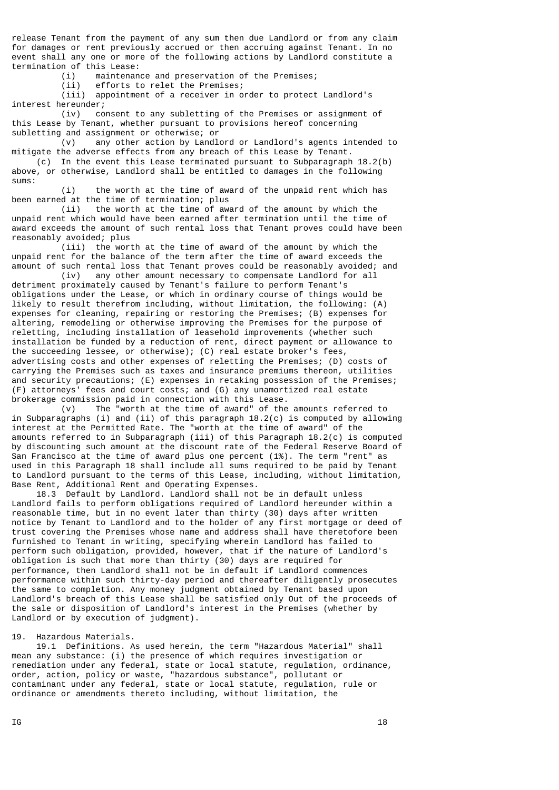release Tenant from the payment of any sum then due Landlord or from any claim for damages or rent previously accrued or then accruing against Tenant. In no event shall any one or more of the following actions by Landlord constitute a termination of this Lease:

(i) maintenance and preservation of the Premises;

(ii) efforts to relet the Premises;

 (iii) appointment of a receiver in order to protect Landlord's interest hereunder;

 (iv) consent to any subletting of the Premises or assignment of this Lease by Tenant, whether pursuant to provisions hereof concerning subletting and assignment or otherwise; or

 (v) any other action by Landlord or Landlord's agents intended to mitigate the adverse effects from any breach of this Lease by Tenant.

 (c) In the event this Lease terminated pursuant to Subparagraph 18.2(b) above, or otherwise, Landlord shall be entitled to damages in the following sums:

 (i) the worth at the time of award of the unpaid rent which has been earned at the time of termination; plus

 (ii) the worth at the time of award of the amount by which the unpaid rent which would have been earned after termination until the time of award exceeds the amount of such rental loss that Tenant proves could have been reasonably avoided; plus

 (iii) the worth at the time of award of the amount by which the unpaid rent for the balance of the term after the time of award exceeds the amount of such rental loss that Tenant proves could be reasonably avoided; and

 (iv) any other amount necessary to compensate Landlord for all detriment proximately caused by Tenant's failure to perform Tenant's obligations under the Lease, or which in ordinary course of things would be likely to result therefrom including, without limitation, the following: (A) expenses for cleaning, repairing or restoring the Premises; (B) expenses for altering, remodeling or otherwise improving the Premises for the purpose of reletting, including installation of leasehold improvements (whether such installation be funded by a reduction of rent, direct payment or allowance to the succeeding lessee, or otherwise); (C) real estate broker's fees, advertising costs and other expenses of reletting the Premises; (D) costs of carrying the Premises such as taxes and insurance premiums thereon, utilities and security precautions; (E) expenses in retaking possession of the Premises; (F) attorneys' fees and court costs; and (G) any unamortized real estate brokerage commission paid in connection with this Lease.

 (v) The "worth at the time of award" of the amounts referred to in Subparagraphs (i) and (ii) of this paragraph  $18.2(c)$  is computed by allowing interest at the Permitted Rate. The "worth at the time of award" of the amounts referred to in Subparagraph (iii) of this Paragraph 18.2(c) is computed by discounting such amount at the discount rate of the Federal Reserve Board of San Francisco at the time of award plus one percent (1%). The term "rent" as used in this Paragraph 18 shall include all sums required to be paid by Tenant to Landlord pursuant to the terms of this Lease, including, without limitation, Base Rent, Additional Rent and Operating Expenses.

 18.3 Default by Landlord. Landlord shall not be in default unless Landlord fails to perform obligations required of Landlord hereunder within a reasonable time, but in no event later than thirty (30) days after written notice by Tenant to Landlord and to the holder of any first mortgage or deed of trust covering the Premises whose name and address shall have theretofore been furnished to Tenant in writing, specifying wherein Landlord has failed to perform such obligation, provided, however, that if the nature of Landlord's obligation is such that more than thirty (30) days are required for performance, then Landlord shall not be in default if Landlord commences performance within such thirty-day period and thereafter diligently prosecutes the same to completion. Any money judgment obtained by Tenant based upon Landlord's breach of this Lease shall be satisfied only Out of the proceeds of the sale or disposition of Landlord's interest in the Premises (whether by Landlord or by execution of judgment).

#### 19. Hazardous Materials.

 19.1 Definitions. As used herein, the term "Hazardous Material" shall mean any substance: (i) the presence of which requires investigation or remediation under any federal, state or local statute, regulation, ordinance, order, action, policy or waste, "hazardous substance", pollutant or contaminant under any federal, state or local statute, regulation, rule or ordinance or amendments thereto including, without limitation, the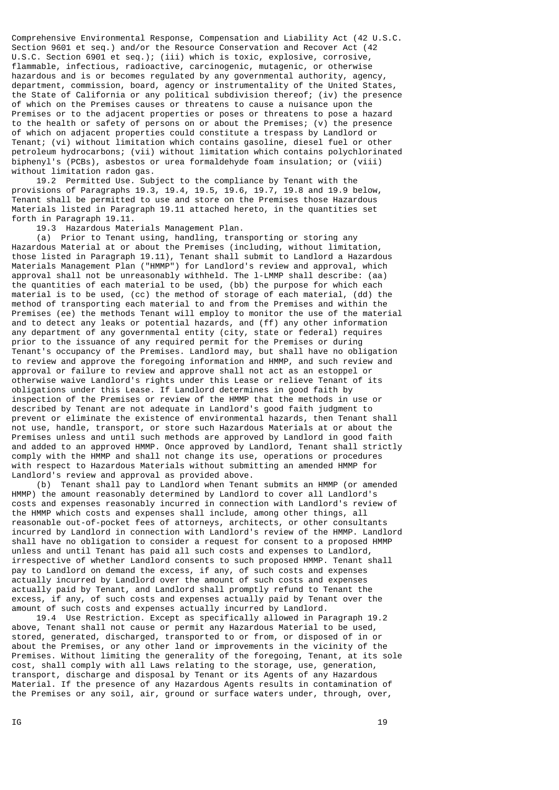Comprehensive Environmental Response, Compensation and Liability Act (42 U.S.C. Section 9601 et seq.) and/or the Resource Conservation and Recover Act (42 U.S.C. Section 6901 et seq.); (iii) which is toxic, explosive, corrosive, flammable, infectious, radioactive, carcinogenic, mutagenic, or otherwise hazardous and is or becomes regulated by any governmental authority, agency, department, commission, board, agency or instrumentality of the United States, the State of California or any political subdivision thereof; (iv) the presence of which on the Premises causes or threatens to cause a nuisance upon the Premises or to the adjacent properties or poses or threatens to pose a hazard to the health or safety of persons on or about the Premises; (v) the presence of which on adjacent properties could constitute a trespass by Landlord or Tenant; (vi) without limitation which contains gasoline, diesel fuel or other petroleum hydrocarbons; (vii) without limitation which contains polychlorinated biphenyl's (PCBs), asbestos or urea formaldehyde foam insulation; or (viii) without limitation radon gas.

 19.2 Permitted Use. Subject to the compliance by Tenant with the provisions of Paragraphs 19.3, 19.4, 19.5, 19.6, 19.7, 19.8 and 19.9 below, Tenant shall be permitted to use and store on the Premises those Hazardous Materials listed in Paragraph 19.11 attached hereto, in the quantities set forth in Paragraph 19.11.

19.3 Hazardous Materials Management Plan.

 (a) Prior to Tenant using, handling, transporting or storing any Hazardous Material at or about the Premises (including, without limitation, those listed in Paragraph 19.11), Tenant shall submit to Landlord a Hazardous Materials Management Plan ("HMMP") for Landlord's review and approval, which approval shall not be unreasonably withheld. The l-LMMP shall describe: (aa) the quantities of each material to be used, (bb) the purpose for which each material is to be used, (cc) the method of storage of each material, (dd) the method of transporting each material to and from the Premises and within the Premises (ee) the methods Tenant will employ to monitor the use of the material and to detect any leaks or potential hazards, and (ff) any other information any department of any governmental entity (city, state or federal) requires prior to the issuance of any required permit for the Premises or during Tenant's occupancy of the Premises. Landlord may, but shall have no obligation to review and approve the foregoing information and HMMP, and such review and approval or failure to review and approve shall not act as an estoppel or otherwise waive Landlord's rights under this Lease or relieve Tenant of its obligations under this Lease. If Landlord determines in good faith by inspection of the Premises or review of the HMMP that the methods in use or described by Tenant are not adequate in Landlord's good faith judgment to prevent or eliminate the existence of environmental hazards, then Tenant shall not use, handle, transport, or store such Hazardous Materials at or about the Premises unless and until such methods are approved by Landlord in good faith and added to an approved HMMP. Once approved by Landlord, Tenant shall strictly comply with the HMMP and shall not change its use, operations or procedures with respect to Hazardous Materials without submitting an amended HMMP for Landlord's review and approval as provided above.

 (b) Tenant shall pay to Landlord when Tenant submits an HMMP (or amended HMMP) the amount reasonably determined by Landlord to cover all Landlord's costs and expenses reasonably incurred in connection with Landlord's review of the HMMP which costs and expenses shall include, among other things, all reasonable out-of-pocket fees of attorneys, architects, or other consultants incurred by Landlord in connection with Landlord's review of the HMMP. Landlord shall have no obligation to consider a request for consent to a proposed HMMP unless and until Tenant has paid all such costs and expenses to Landlord, irrespective of whether Landlord consents to such proposed HMMP. Tenant shall pay to Landlord on demand the excess, if any, of such costs and expenses actually incurred by Landlord over the amount of such costs and expenses actually paid by Tenant, and Landlord shall promptly refund to Tenant the excess, if any, of such costs and expenses actually paid by Tenant over the amount of such costs and expenses actually incurred by Landlord.

 19.4 Use Restriction. Except as specifically allowed in Paragraph 19.2 above, Tenant shall not cause or permit any Hazardous Material to be used, stored, generated, discharged, transported to or from, or disposed of in or about the Premises, or any other land or improvements in the vicinity of the Premises. Without limiting the generality of the foregoing, Tenant, at its sole cost, shall comply with all Laws relating to the storage, use, generation, transport, discharge and disposal by Tenant or its Agents of any Hazardous Material. If the presence of any Hazardous Agents results in contamination of the Premises or any soil, air, ground or surface waters under, through, over,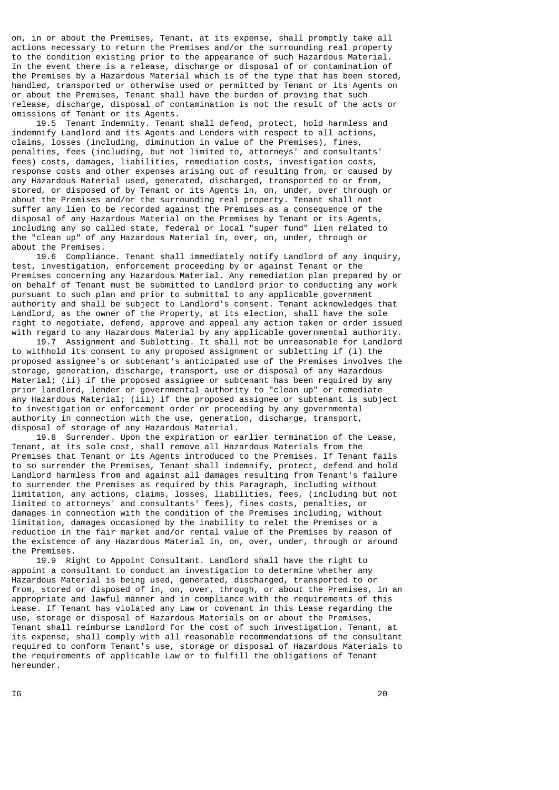on, in or about the Premises, Tenant, at its expense, shall promptly take all actions necessary to return the Premises and/or the surrounding real property to the condition existing prior to the appearance of such Hazardous Material. In the event there is a release, discharge or disposal of or contamination of the Premises by a Hazardous Material which is of the type that has been stored, handled, transported or otherwise used or permitted by Tenant or its Agents on or about the Premises, Tenant shall have the burden of proving that such release, discharge, disposal of contamination is not the result of the acts or omissions of Tenant or its Agents.

 19.5 Tenant Indemnity. Tenant shall defend, protect, hold harmless and indemnify Landlord and its Agents and Lenders with respect to all actions, claims, losses (including, diminution in value of the Premises), fines, penalties, fees (including, but not limited to, attorneys' and consultants' fees) costs, damages, liabilities, remediation costs, investigation costs, response costs and other expenses arising out of resulting from, or caused by any Hazardous Material used, generated, discharged, transported to or from, stored, or disposed of by Tenant or its Agents in, on, under, over through or about the Premises and/or the surrounding real property. Tenant shall not suffer any lien to be recorded against the Premises as a consequence of the disposal of any Hazardous Material on the Premises by Tenant or its Agents, including any so called state, federal or local "super fund" lien related to the "clean up" of any Hazardous Material in, over, on, under, through or about the Premises.

 19.6 Compliance. Tenant shall immediately notify Landlord of any inquiry, test, investigation, enforcement proceeding by or against Tenant or the Premises concerning any Hazardous Material. Any remediation plan prepared by or on behalf of Tenant must be submitted to Landlord prior to conducting any work pursuant to such plan and prior to submittal to any applicable government authority and shall be subject to Landlord's consent. Tenant acknowledges that Landlord, as the owner of the Property, at its election, shall have the sole right to negotiate, defend, approve and appeal any action taken or order issued with regard to any Hazardous Material by any applicable governmental authority.

 19.7 Assignment and Subletting. It shall not be unreasonable for Landlord to withhold its consent to any proposed assignment or subletting if (i) the proposed assignee's or subtenant's anticipated use of the Premises involves the storage, generation, discharge, transport, use or disposal of any Hazardous Material; (ii) if the proposed assignee or subtenant has been required by any prior landlord, lender or governmental authority to "clean up" or remediate any Hazardous Material; (iii) if the proposed assignee or subtenant is subject to investigation or enforcement order or proceeding by any governmental authority in connection with the use, generation, discharge, transport, disposal of storage of any Hazardous Material.

 19.8 Surrender. Upon the expiration or earlier termination of the Lease, Tenant, at its sole cost, shall remove all Hazardous Materials from the Premises that Tenant or its Agents introduced to the Premises. If Tenant fails to so surrender the Premises, Tenant shall indemnify, protect, defend and hold Landlord harmless from and against all damages resulting from Tenant's failure to surrender the Premises as required by this Paragraph, including without limitation, any actions, claims, losses, liabilities, fees, (including but not limited to attorneys' and consultants' fees), fines costs, penalties, or damages in connection with the condition of the Premises including, without limitation, damages occasioned by the inability to relet the Premises or a reduction in the fair market and/or rental value of the Premises by reason of the existence of any Hazardous Material in, on, over, under, through or around the Premises.

 19.9 Right to Appoint Consultant. Landlord shall have the right to appoint a consultant to conduct an investigation to determine whether any Hazardous Material is being used, generated, discharged, transported to or from, stored or disposed of in, on, over, through, or about the Premises, in an appropriate and lawful manner and in compliance with the requirements of this Lease. If Tenant has violated any Law or covenant in this Lease regarding the use, storage or disposal of Hazardous Materials on or about the Premises, Tenant shall reimburse Landlord for the cost of such investigation. Tenant, at its expense, shall comply with all reasonable recommendations of the consultant required to conform Tenant's use, storage or disposal of Hazardous Materials to the requirements of applicable Law or to fulfill the obligations of Tenant hereunder.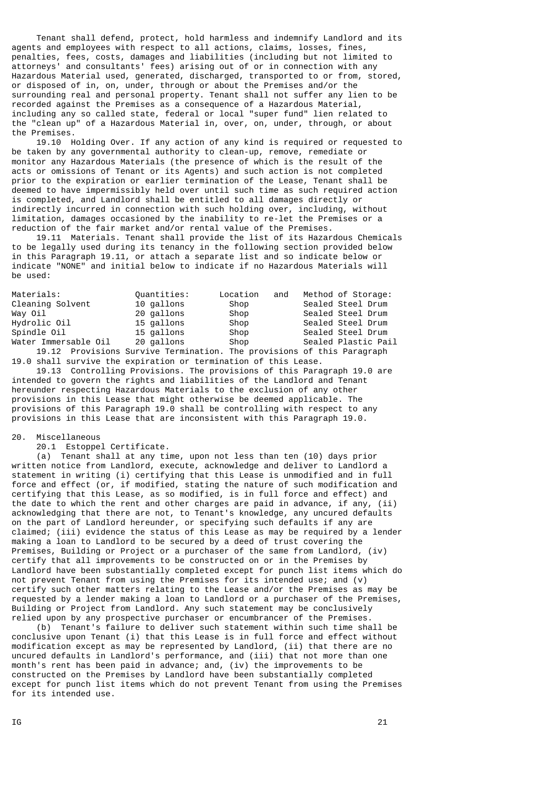Tenant shall defend, protect, hold harmless and indemnify Landlord and its agents and employees with respect to all actions, claims, losses, fines, penalties, fees, costs, damages and liabilities (including but not limited to attorneys' and consultants' fees) arising out of or in connection with any Hazardous Material used, generated, discharged, transported to or from, stored, or disposed of in, on, under, through or about the Premises and/or the surrounding real and personal property. Tenant shall not suffer any lien to be recorded against the Premises as a consequence of a Hazardous Material, including any so called state, federal or local "super fund" lien related to the "clean up" of a Hazardous Material in, over, on, under, through, or about the Premises.

 19.10 Holding Over. If any action of any kind is required or requested to be taken by any governmental authority to clean-up, remove, remediate or monitor any Hazardous Materials (the presence of which is the result of the acts or omissions of Tenant or its Agents) and such action is not completed prior to the expiration or earlier termination of the Lease, Tenant shall be deemed to have impermissibly held over until such time as such required action is completed, and Landlord shall be entitled to all damages directly or indirectly incurred in connection with such holding over, including, without limitation, damages occasioned by the inability to re-let the Premises or a reduction of the fair market and/or rental value of the Premises.

 19.11 Materials. Tenant shall provide the list of its Hazardous Chemicals to be legally used during its tenancy in the following section provided below in this Paragraph 19.11, or attach a separate list and so indicate below or indicate "NONE" and initial below to indicate if no Hazardous Materials will be used:

| Materials:           | Ouantities:                                                            | Location<br>and | Method of Storage:  |
|----------------------|------------------------------------------------------------------------|-----------------|---------------------|
| Cleaning Solvent     | 10 gallons                                                             | Shop            | Sealed Steel Drum   |
| Way Oil              | 20 gallons                                                             | Shop            | Sealed Steel Drum   |
| Hydrolic Oil         | 15 gallons                                                             | Shop            | Sealed Steel Drum   |
| Spindle Oil          | 15 gallons                                                             | Shop            | Sealed Steel Drum   |
| Water Immersable Oil | 20 gallons                                                             | Shop            | Sealed Plastic Pail |
|                      | 19.12 Provisions Survive Termination. The provisions of this Paragraph |                 |                     |

19.0 shall survive the expiration or termination of this Lease.

 19.13 Controlling Provisions. The provisions of this Paragraph 19.0 are intended to govern the rights and liabilities of the Landlord and Tenant hereunder respecting Hazardous Materials to the exclusion of any other provisions in this Lease that might otherwise be deemed applicable. The provisions of this Paragraph 19.0 shall be controlling with respect to any provisions in this Lease that are inconsistent with this Paragraph 19.0.

20. Miscellaneous

20.1 Estoppel Certificate.

 (a) Tenant shall at any time, upon not less than ten (10) days prior written notice from Landlord, execute, acknowledge and deliver to Landlord a statement in writing (i) certifying that this Lease is unmodified and in full force and effect (or, if modified, stating the nature of such modification and certifying that this Lease, as so modified, is in full force and effect) and the date to which the rent and other charges are paid in advance, if any, (ii) acknowledging that there are not, to Tenant's knowledge, any uncured defaults on the part of Landlord hereunder, or specifying such defaults if any are claimed; (iii) evidence the status of this Lease as may be required by a lender making a loan to Landlord to be secured by a deed of trust covering the Premises, Building or Project or a purchaser of the same from Landlord, (iv) certify that all improvements to be constructed on or in the Premises by Landlord have been substantially completed except for punch list items which do not prevent Tenant from using the Premises for its intended use; and (v) certify such other matters relating to the Lease and/or the Premises as may be requested by a lender making a loan to Landlord or a purchaser of the Premises, Building or Project from Landlord. Any such statement may be conclusively relied upon by any prospective purchaser or encumbrancer of the Premises.

 (b) Tenant's failure to deliver such statement within such time shall be conclusive upon Tenant (i) that this Lease is in full force and effect without modification except as may be represented by Landlord, (ii) that there are no uncured defaults in Landlord's performance, and (iii) that not more than one month's rent has been paid in advance; and, (iv) the improvements to be constructed on the Premises by Landlord have been substantially completed except for punch list items which do not prevent Tenant from using the Premises for its intended use.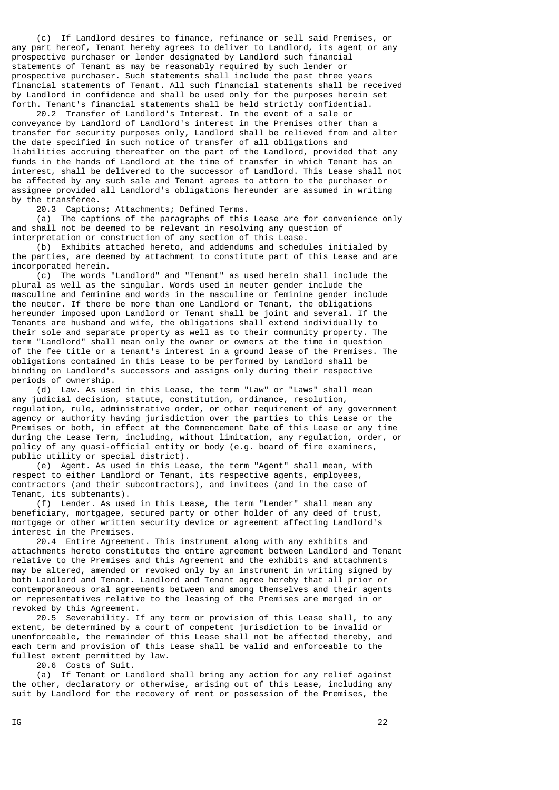(c) If Landlord desires to finance, refinance or sell said Premises, or any part hereof, Tenant hereby agrees to deliver to Landlord, its agent or any prospective purchaser or lender designated by Landlord such financial statements of Tenant as may be reasonably required by such lender or prospective purchaser. Such statements shall include the past three years financial statements of Tenant. All such financial statements shall be received by Landlord in confidence and shall be used only for the purposes herein set forth. Tenant's financial statements shall be held strictly confidential.

 20.2 Transfer of Landlord's Interest. In the event of a sale or conveyance by Landlord of Landlord's interest in the Premises other than a transfer for security purposes only, Landlord shall be relieved from and alter the date specified in such notice of transfer of all obligations and liabilities accruing thereafter on the part of the Landlord, provided that any funds in the hands of Landlord at the time of transfer in which Tenant has an interest, shall be delivered to the successor of Landlord. This Lease shall not be affected by any such sale and Tenant agrees to attorn to the purchaser or assignee provided all Landlord's obligations hereunder are assumed in writing by the transferee.

20.3 Captions; Attachments; Defined Terms.

 (a) The captions of the paragraphs of this Lease are for convenience only and shall not be deemed to be relevant in resolving any question of interpretation or construction of any section of this Lease.

 (b) Exhibits attached hereto, and addendums and schedules initialed by the parties, are deemed by attachment to constitute part of this Lease and are incorporated herein.

 (c) The words "Landlord" and "Tenant" as used herein shall include the plural as well as the singular. Words used in neuter gender include the masculine and feminine and words in the masculine or feminine gender include the neuter. If there be more than one Landlord or Tenant, the obligations hereunder imposed upon Landlord or Tenant shall be joint and several. If the Tenants are husband and wife, the obligations shall extend individually to their sole and separate property as well as to their community property. The term "Landlord" shall mean only the owner or owners at the time in question of the fee title or a tenant's interest in a ground lease of the Premises. The obligations contained in this Lease to be performed by Landlord shall be binding on Landlord's successors and assigns only during their respective periods of ownership.

 (d) Law. As used in this Lease, the term "Law" or "Laws" shall mean any judicial decision, statute, constitution, ordinance, resolution, regulation, rule, administrative order, or other requirement of any government agency or authority having jurisdiction over the parties to this Lease or the Premises or both, in effect at the Commencement Date of this Lease or any time during the Lease Term, including, without limitation, any regulation, order, or policy of any quasi-official entity or body (e.g. board of fire examiners, public utility or special district).

 (e) Agent. As used in this Lease, the term "Agent" shall mean, with respect to either Landlord or Tenant, its respective agents, employees, contractors (and their subcontractors), and invitees (and in the case of Tenant, its subtenants).

 (f) Lender. As used in this Lease, the term "Lender" shall mean any beneficiary, mortgagee, secured party or other holder of any deed of trust, mortgage or other written security device or agreement affecting Landlord's interest in the Premises.

 20.4 Entire Agreement. This instrument along with any exhibits and attachments hereto constitutes the entire agreement between Landlord and Tenant relative to the Premises and this Agreement and the exhibits and attachments may be altered, amended or revoked only by an instrument in writing signed by both Landlord and Tenant. Landlord and Tenant agree hereby that all prior or contemporaneous oral agreements between and among themselves and their agents or representatives relative to the leasing of the Premises are merged in or revoked by this Agreement.

 20.5 Severability. If any term or provision of this Lease shall, to any extent, be determined by a court of competent jurisdiction to be invalid or unenforceable, the remainder of this Lease shall not be affected thereby, and each term and provision of this Lease shall be valid and enforceable to the fullest extent permitted by law.

20.6 Costs of Suit.

 (a) If Tenant or Landlord shall bring any action for any relief against the other, declaratory or otherwise, arising out of this Lease, including any suit by Landlord for the recovery of rent or possession of the Premises, the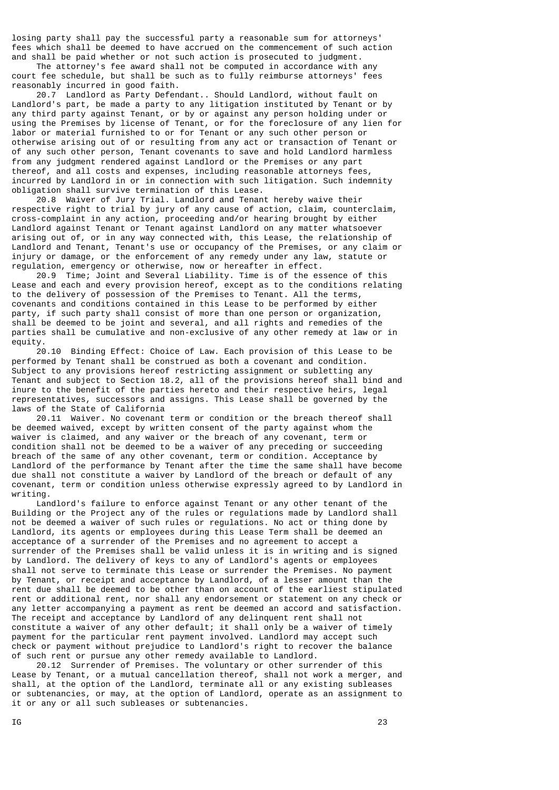losing party shall pay the successful party a reasonable sum for attorneys' fees which shall be deemed to have accrued on the commencement of such action and shall be paid whether or not such action is prosecuted to judgment.

 The attorney's fee award shall not be computed in accordance with any court fee schedule, but shall be such as to fully reimburse attorneys' fees reasonably incurred in good faith.

 20.7 Landlord as Party Defendant.. Should Landlord, without fault on Landlord's part, be made a party to any litigation instituted by Tenant or by any third party against Tenant, or by or against any person holding under or using the Premises by license of Tenant, or for the foreclosure of any lien for labor or material furnished to or for Tenant or any such other person or otherwise arising out of or resulting from any act or transaction of Tenant or of any such other person, Tenant covenants to save and hold Landlord harmless from any judgment rendered against Landlord or the Premises or any part thereof, and all costs and expenses, including reasonable attorneys fees, incurred by Landlord in or in connection with such litigation. Such indemnity obligation shall survive termination of this Lease.

 20.8 Waiver of Jury Trial. Landlord and Tenant hereby waive their respective right to trial by jury of any cause of action, claim, counterclaim, cross-complaint in any action, proceeding and/or hearing brought by either Landlord against Tenant or Tenant against Landlord on any matter whatsoever arising out of, or in any way connected with, this Lease, the relationship of Landlord and Tenant, Tenant's use or occupancy of the Premises, or any claim or injury or damage, or the enforcement of any remedy under any law, statute or regulation, emergency or otherwise, now or hereafter in effect.

 20.9 Time; Joint and Several Liability. Time is of the essence of this Lease and each and every provision hereof, except as to the conditions relating to the delivery of possession of the Premises to Tenant. All the terms, covenants and conditions contained in this Lease to be performed by either party, if such party shall consist of more than one person or organization, shall be deemed to be joint and several, and all rights and remedies of the parties shall be cumulative and non-exclusive of any other remedy at law or in equity.

 20.10 Binding Effect: Choice of Law. Each provision of this Lease to be performed by Tenant shall be construed as both a covenant and condition. Subject to any provisions hereof restricting assignment or subletting any Tenant and subject to Section 18.2, all of the provisions hereof shall bind and inure to the benefit of the parties hereto and their respective heirs, legal representatives, successors and assigns. This Lease shall be governed by the laws of the State of California

 20.11 Waiver. No covenant term or condition or the breach thereof shall be deemed waived, except by written consent of the party against whom the waiver is claimed, and any waiver or the breach of any covenant, term or condition shall not be deemed to be a waiver of any preceding or succeeding breach of the same of any other covenant, term or condition. Acceptance by Landlord of the performance by Tenant after the time the same shall have become due shall not constitute a waiver by Landlord of the breach or default of any covenant, term or condition unless otherwise expressly agreed to by Landlord in writing.

 Landlord's failure to enforce against Tenant or any other tenant of the Building or the Project any of the rules or regulations made by Landlord shall not be deemed a waiver of such rules or regulations. No act or thing done by Landlord, its agents or employees during this Lease Term shall be deemed an acceptance of a surrender of the Premises and no agreement to accept a surrender of the Premises shall be valid unless it is in writing and is signed by Landlord. The delivery of keys to any of Landlord's agents or employees shall not serve to terminate this Lease or surrender the Premises. No payment by Tenant, or receipt and acceptance by Landlord, of a lesser amount than the rent due shall be deemed to be other than on account of the earliest stipulated rent or additional rent, nor shall any endorsement or statement on any check or any letter accompanying a payment as rent be deemed an accord and satisfaction. The receipt and acceptance by Landlord of any delinquent rent shall not constitute a waiver of any other default; it shall only be a waiver of timely payment for the particular rent payment involved. Landlord may accept such check or payment without prejudice to Landlord's right to recover the balance of such rent or pursue any other remedy available to Landlord.

 20.12 Surrender of Premises. The voluntary or other surrender of this Lease by Tenant, or a mutual cancellation thereof, shall not work a merger, and shall, at the option of the Landlord, terminate all or any existing subleases or subtenancies, or may, at the option of Landlord, operate as an assignment to it or any or all such subleases or subtenancies.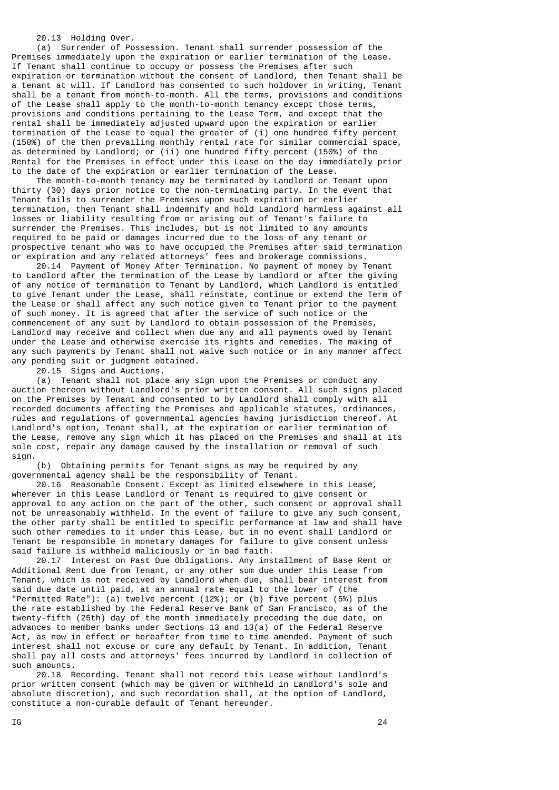20.13 Holding Over.

 (a) Surrender of Possession. Tenant shall surrender possession of the Premises immediately upon the expiration or earlier termination of the Lease. If Tenant shall continue to occupy or possess the Premises after such expiration or termination without the consent of Landlord, then Tenant shall be a tenant at will. If Landlord has consented to such holdover in writing, Tenant shall be a tenant from month-to-month. All the terms, provisions and conditions of the Lease shall apply to the month-to-month tenancy except those terms, provisions and conditions pertaining to the Lease Term, and except that the rental shall be immediately adjusted upward upon the expiration or earlier termination of the Lease to equal the greater of (i) one hundred fifty percent (150%) of the then prevailing monthly rental rate for similar commercial space, as determined by Landlord; or (ii) one hundred fifty percent (150%) of the Rental for the Premises in effect under this Lease on the day immediately prior to the date of the expiration or earlier termination of the Lease.

 The month-to-month tenancy may be terminated by Landlord or Tenant upon thirty (30) days prior notice to the non-terminating party. In the event that Tenant fails to surrender the Premises upon such expiration or earlier termination, then Tenant shall indemnify and hold Landlord harmless against all losses or liability resulting from or arising out of Tenant's failure to surrender the Premises. This includes, but is not limited to any amounts required to be paid or damages incurred due to the loss of any tenant or prospective tenant who was to have occupied the Premises after said termination or expiration and any related attorneys' fees and brokerage commissions.

 20.14 Payment of Money After Termination. No payment of money by Tenant to Landlord after the termination of the Lease by Landlord or after the giving of any notice of termination to Tenant by Landlord, which Landlord is entitled to give Tenant under the Lease, shall reinstate, continue or extend the Term of the Lease or shall affect any such notice given to Tenant prior to the payment of such money. It is agreed that after the service of such notice or the commencement of any suit by Landlord to obtain possession of the Premises, Landlord may receive and collect when due any and all payments owed by Tenant under the Lease and otherwise exercise its rights and remedies. The making of any such payments by Tenant shall not waive such notice or in any manner affect any pending suit or judgment obtained.

20.15 Signs and Auctions.

 (a) Tenant shall not place any sign upon the Premises or conduct any auction thereon without Landlord's prior written consent. All such signs placed on the Premises by Tenant and consented to by Landlord shall comply with all recorded documents affecting the Premises and applicable statutes, ordinances, rules and regulations of governmental agencies having jurisdiction thereof. At Landlord's option, Tenant shall, at the expiration or earlier termination of the Lease, remove any sign which it has placed on the Premises and shall at its sole cost, repair any damage caused by the installation or removal of such sign.

 (b) Obtaining permits for Tenant signs as may be required by any governmental agency shall be the responsibility of Tenant.

 20.16 Reasonable Consent. Except as limited elsewhere in this Lease, wherever in this Lease Landlord or Tenant is required to give consent or approval to any action on the part of the other, such consent or approval shall not be unreasonably withheld. In the event of failure to give any such consent, the other party shall be entitled to specific performance at law and shall have such other remedies to it under this Lease, but in no event shall Landlord or Tenant be responsible in monetary damages for failure to give consent unless said failure is withheld maliciously or in bad faith.

 20.17 Interest on Past Due Obligations. Any installment of Base Rent or Additional Rent due from Tenant, or any other sum due under this Lease from Tenant, which is not received by Landlord when due, shall bear interest from said due date until paid, at an annual rate equal to the lower of (the "Permitted Rate"): (a) twelve percent (12%); or (b) five percent (5%) plus the rate established by the Federal Reserve Bank of San Francisco, as of the twenty-fifth (25th) day of the month immediately preceding the due date, on advances to member banks under Sections 13 and 13(a) of the Federal Reserve Act, as now in effect or hereafter from time to time amended. Payment of such interest shall not excuse or cure any default by Tenant. In addition, Tenant shall pay all costs and attorneys' fees incurred by Landlord in collection of such amounts.

 20.18 Recording. Tenant shall not record this Lease without Landlord's prior written consent (which may be given or withheld in Landlord's sole and absolute discretion), and such recordation shall, at the option of Landlord, constitute a non-curable default of Tenant hereunder.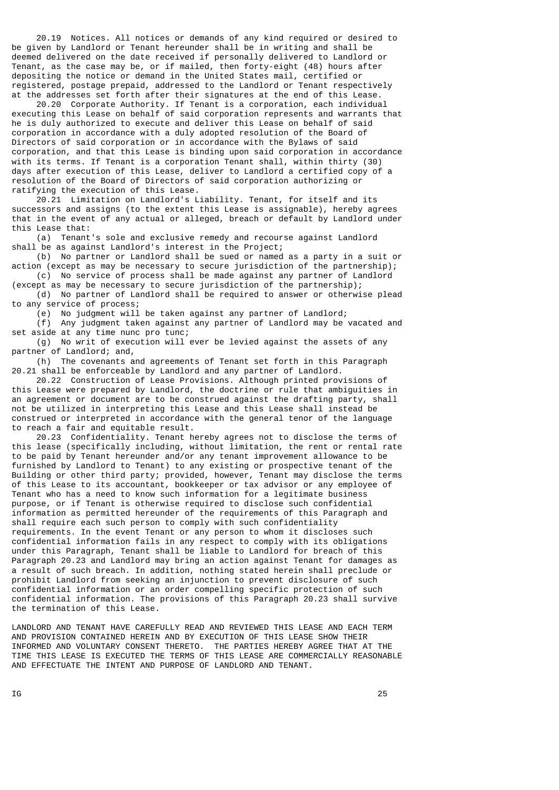20.19 Notices. All notices or demands of any kind required or desired to be given by Landlord or Tenant hereunder shall be in writing and shall be deemed delivered on the date received if personally delivered to Landlord or Tenant, as the case may be, or if mailed, then forty-eight (48) hours after depositing the notice or demand in the United States mail, certified or registered, postage prepaid, addressed to the Landlord or Tenant respectively at the addresses set forth after their signatures at the end of this Lease.

 20.20 Corporate Authority. If Tenant is a corporation, each individual executing this Lease on behalf of said corporation represents and warrants that he is duly authorized to execute and deliver this Lease on behalf of said corporation in accordance with a duly adopted resolution of the Board of Directors of said corporation or in accordance with the Bylaws of said corporation, and that this Lease is binding upon said corporation in accordance with its terms. If Tenant is a corporation Tenant shall, within thirty (30) days after execution of this Lease, deliver to Landlord a certified copy of a resolution of the Board of Directors of said corporation authorizing or ratifying the execution of this Lease.

 20.21 Limitation on Landlord's Liability. Tenant, for itself and its successors and assigns (to the extent this Lease is assignable), hereby agrees that in the event of any actual or alleged, breach or default by Landlord under this Lease that:

 (a) Tenant's sole and exclusive remedy and recourse against Landlord shall be as against Landlord's interest in the Project;

 (b) No partner or Landlord shall be sued or named as a party in a suit or action (except as may be necessary to secure jurisdiction of the partnership);

 (c) No service of process shall be made against any partner of Landlord (except as may be necessary to secure jurisdiction of the partnership);

 (d) No partner of Landlord shall be required to answer or otherwise plead to any service of process;

(e) No judgment will be taken against any partner of Landlord;

 (f) Any judgment taken against any partner of Landlord may be vacated and set aside at any time nunc pro tunc;

 (g) No writ of execution will ever be levied against the assets of any partner of Landlord; and,

 (h) The covenants and agreements of Tenant set forth in this Paragraph 20.21 shall be enforceable by Landlord and any partner of Landlord.

 20.22 Construction of Lease Provisions. Although printed provisions of this Lease were prepared by Landlord, the doctrine or rule that ambiguities in an agreement or document are to be construed against the drafting party, shall not be utilized in interpreting this Lease and this Lease shall instead be construed or interpreted in accordance with the general tenor of the language to reach a fair and equitable result.

 20.23 Confidentiality. Tenant hereby agrees not to disclose the terms of this lease (specifically including, without limitation, the rent or rental rate to be paid by Tenant hereunder and/or any tenant improvement allowance to be furnished by Landlord to Tenant) to any existing or prospective tenant of the Building or other third party; provided, however, Tenant may disclose the terms of this Lease to its accountant, bookkeeper or tax advisor or any employee of Tenant who has a need to know such information for a legitimate business purpose, or if Tenant is otherwise required to disclose such confidential information as permitted hereunder of the requirements of this Paragraph and shall require each such person to comply with such confidentiality requirements. In the event Tenant or any person to whom it discloses such confidential information fails in any respect to comply with its obligations under this Paragraph, Tenant shall be liable to Landlord for breach of this Paragraph 20.23 and Landlord may bring an action against Tenant for damages as a result of such breach. In addition, nothing stated herein shall preclude or prohibit Landlord from seeking an injunction to prevent disclosure of such confidential information or an order compelling specific protection of such confidential information. The provisions of this Paragraph 20.23 shall survive the termination of this Lease.

LANDLORD AND TENANT HAVE CAREFULLY READ AND REVIEWED THIS LEASE AND EACH TERM AND PROVISION CONTAINED HEREIN AND BY EXECUTION OF THIS LEASE SHOW THEIR INFORMED AND VOLUNTARY CONSENT THERETO. THE PARTIES HEREBY AGREE THAT AT THE TIME THIS LEASE IS EXECUTED THE TERMS OF THIS LEASE ARE COMMERCIALLY REASONABLE AND EFFECTUATE THE INTENT AND PURPOSE OF LANDLORD AND TENANT.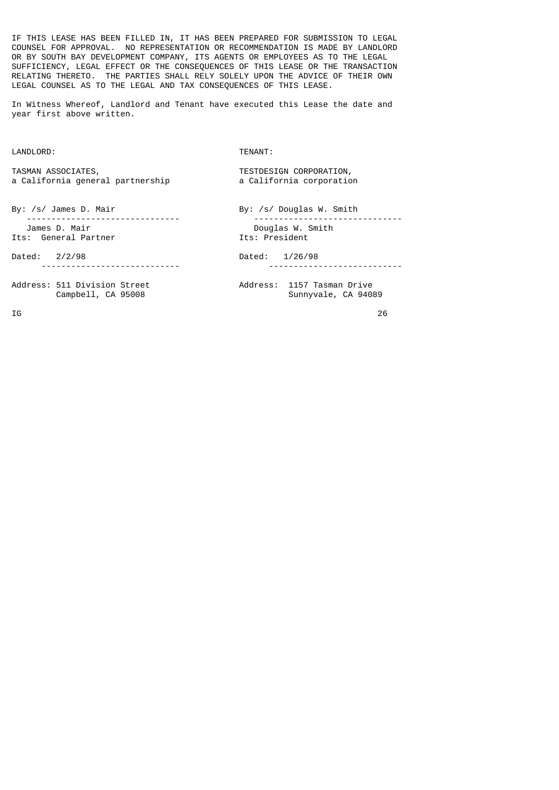IF THIS LEASE HAS BEEN FILLED IN, IT HAS BEEN PREPARED FOR SUBMISSION TO LEGAL COUNSEL FOR APPROVAL. NO REPRESENTATION OR RECOMMENDATION IS MADE BY LANDLORD OR BY SOUTH BAY DEVELOPMENT COMPANY, ITS AGENTS OR EMPLOYEES AS TO THE LEGAL SUFFICIENCY, LEGAL EFFECT OR THE CONSEQUENCES OF THIS LEASE OR THE TRANSACTION RELATING THERETO. THE PARTIES SHALL RELY SOLELY UPON THE ADVICE OF THEIR OWN LEGAL COUNSEL AS TO THE LEGAL AND TAX CONSEQUENCES OF THIS LEASE.

In Witness Whereof, Landlord and Tenant have executed this Lease the date and year first above written.

LANDLORD: TENANT:

TASMAN ASSOCIATES,<br>
a California general partnership<br>
a California corporation a California general partnership

By: /s/ James D. Mair By: /s/ Douglas W. Smith ------------------------------- ------------------------------ James D. Mair Douglas W. Smith Its: General Partner

Sunnyvale, CA 94089

Dated: 2/2/98 Dated: 1/26/98 ---------------------------- ---------------------------

Address: 511 Division Street (Address: 1157 Tasman Drive<br>Campbell, CA 95008 (Address: 1157 Tasman Drive

 $\overline{16}$  26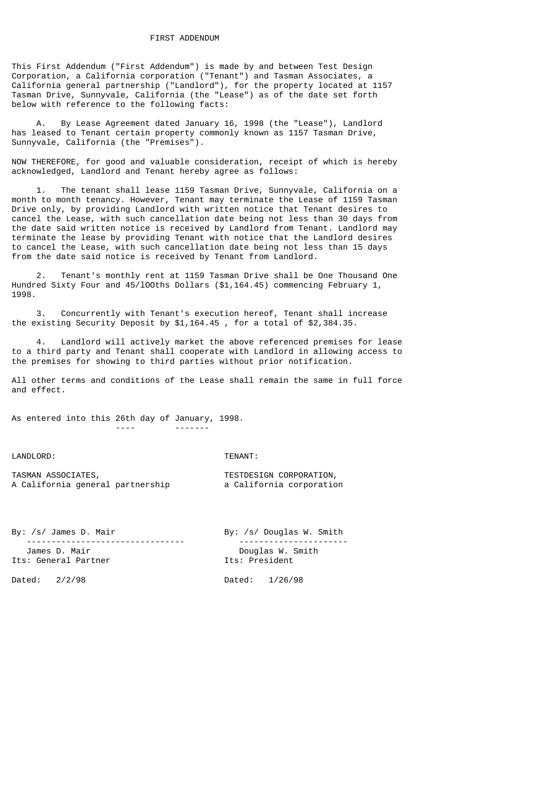This First Addendum ("First Addendum") is made by and between Test Design Corporation, a California corporation ("Tenant") and Tasman Associates, a California general partnership ("Landlord"), for the property located at 1157 Tasman Drive, Sunnyvale, California (the "Lease") as of the date set forth below with reference to the following facts:

 A. By Lease Agreement dated January 16, 1998 (the "Lease"), Landlord has leased to Tenant certain property commonly known as 1157 Tasman Drive, Sunnyvale, California (the "Premises").

NOW THEREFORE, for good and valuable consideration, receipt of which is hereby acknowledged, Landlord and Tenant hereby agree as follows:

 1. The tenant shall lease 1159 Tasman Drive, Sunnyvale, California on a month to month tenancy. However, Tenant may terminate the Lease of 1159 Tasman Drive only, by providing Landlord with written notice that Tenant desires to cancel the Lease, with such cancellation date being not less than 30 days from the date said written notice is received by Landlord from Tenant. Landlord may terminate the lease by providing Tenant with notice that the Landlord desires to cancel the Lease, with such cancellation date being not less than 15 days from the date said notice is received by Tenant from Landlord.

 2. Tenant's monthly rent at 1159 Tasman Drive shall be One Thousand One Hundred Sixty Four and 45/lOOths Dollars (\$1,164.45) commencing February 1, 1998.

 3. Concurrently with Tenant's execution hereof, Tenant shall increase the existing Security Deposit by \$1,164.45 , for a total of \$2,384.35.

Landlord will actively market the above referenced premises for lease to a third party and Tenant shall cooperate with Landlord in allowing access to the premises for showing to third parties without prior notification.

All other terms and conditions of the Lease shall remain the same in full force and effect.

As entered into this 26th day of January, 1998.

---- -------

LANDLORD: TENANT:

| TASMAN ASSOCIATES,               | TESTDESIGN CORPORATION,  |
|----------------------------------|--------------------------|
| A California general partnership | a California corporation |

| By: /s/ James D. Mair                 | By: /s/ Douglas W. Smith           |  |
|---------------------------------------|------------------------------------|--|
| James D. Mair<br>Its: General Partner | Douglas W. Smith<br>Its: President |  |
| Dated: $2/2/98$                       | Dated: 1/26/98                     |  |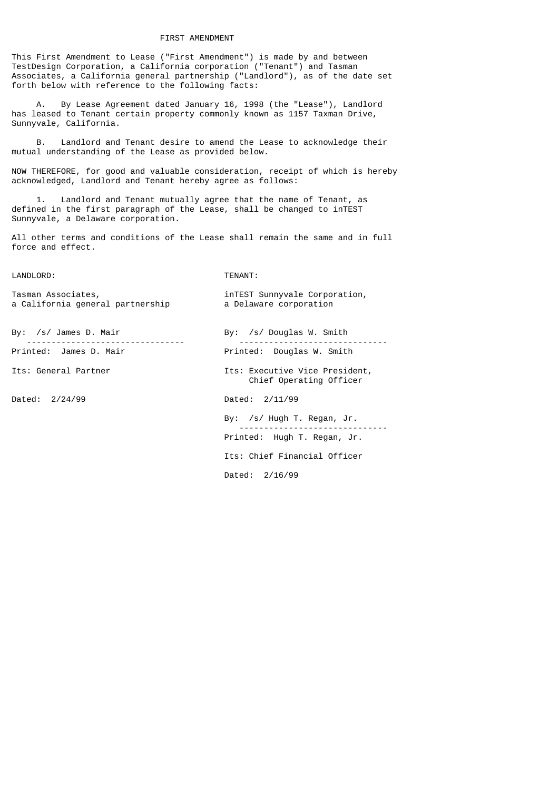#### FIRST AMENDMENT

This First Amendment to Lease ("First Amendment") is made by and between TestDesign Corporation, a California corporation ("Tenant") and Tasman Associates, a California general partnership ("Landlord"), as of the date set forth below with reference to the following facts:

By Lease Agreement dated January 16, 1998 (the "Lease"), Landlord has leased to Tenant certain property commonly known as 1157 Taxman Drive, Sunnyvale, California.

 B. Landlord and Tenant desire to amend the Lease to acknowledge their mutual understanding of the Lease as provided below.

NOW THEREFORE, for good and valuable consideration, receipt of which is hereby acknowledged, Landlord and Tenant hereby agree as follows:

 1. Landlord and Tenant mutually agree that the name of Tenant, as defined in the first paragraph of the Lease, shall be changed to inTEST Sunnyvale, a Delaware corporation.

All other terms and conditions of the Lease shall remain the same and in full force and effect.

#### LANDLORD: TENANT:

| Tasman Associates, |                                  |
|--------------------|----------------------------------|
|                    | a California general partnership |

By: /s/ James D. Mair By: /s/ Douglas W. Smith

Dated: 2/24/99 Dated: 2/11/99

 -------------------------------- ------------------------------ Printed: Douglas W. Smith

Its: General Partner The Manuschillis: Executive Vice President, Chief Operating Officer

inTEST Sunnyvale Corporation, a Delaware corporation

 By: /s/ Hugh T. Regan, Jr. ------------------------------ Printed: Hugh T. Regan, Jr.

Its: Chief Financial Officer

Dated: 2/16/99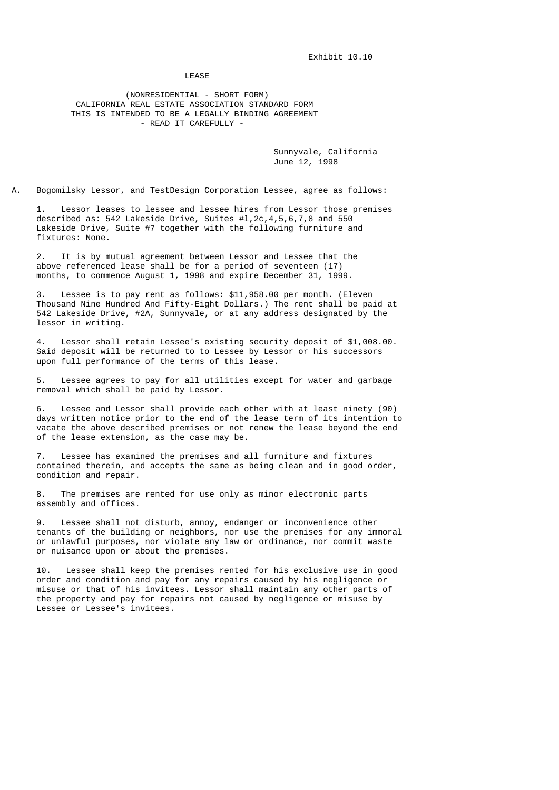LEASE

 (NONRESIDENTIAL - SHORT FORM) CALIFORNIA REAL ESTATE ASSOCIATION STANDARD FORM THIS IS INTENDED TO BE A LEGALLY BINDING AGREEMENT - READ IT CAREFULLY -

> Sunnyvale, California June 12, 1998

A. Bogomilsky Lessor, and TestDesign Corporation Lessee, agree as follows:

 1. Lessor leases to lessee and lessee hires from Lessor those premises described as: 542 Lakeside Drive, Suites #l,2c,4,5,6,7,8 and 550 Lakeside Drive, Suite #7 together with the following furniture and fixtures: None.

 2. It is by mutual agreement between Lessor and Lessee that the above referenced lease shall be for a period of seventeen (17) months, to commence August 1, 1998 and expire December 31, 1999.

Lessee is to pay rent as follows: \$11,958.00 per month. (Eleven Thousand Nine Hundred And Fifty-Eight Dollars.) The rent shall be paid at 542 Lakeside Drive, #2A, Sunnyvale, or at any address designated by the lessor in writing.

Lessor shall retain Lessee's existing security deposit of \$1,008.00. Said deposit will be returned to to Lessee by Lessor or his successors upon full performance of the terms of this lease.

 5. Lessee agrees to pay for all utilities except for water and garbage removal which shall be paid by Lessor.

 6. Lessee and Lessor shall provide each other with at least ninety (90) days written notice prior to the end of the lease term of its intention to vacate the above described premises or not renew the lease beyond the end of the lease extension, as the case may be.

 7. Lessee has examined the premises and all furniture and fixtures contained therein, and accepts the same as being clean and in good order, condition and repair.

 8. The premises are rented for use only as minor electronic parts assembly and offices.

 9. Lessee shall not disturb, annoy, endanger or inconvenience other tenants of the building or neighbors, nor use the premises for any immoral or unlawful purposes, nor violate any law or ordinance, nor commit waste or nuisance upon or about the premises.

 10. Lessee shall keep the premises rented for his exclusive use in good order and condition and pay for any repairs caused by his negligence or misuse or that of his invitees. Lessor shall maintain any other parts of the property and pay for repairs not caused by negligence or misuse by Lessee or Lessee's invitees.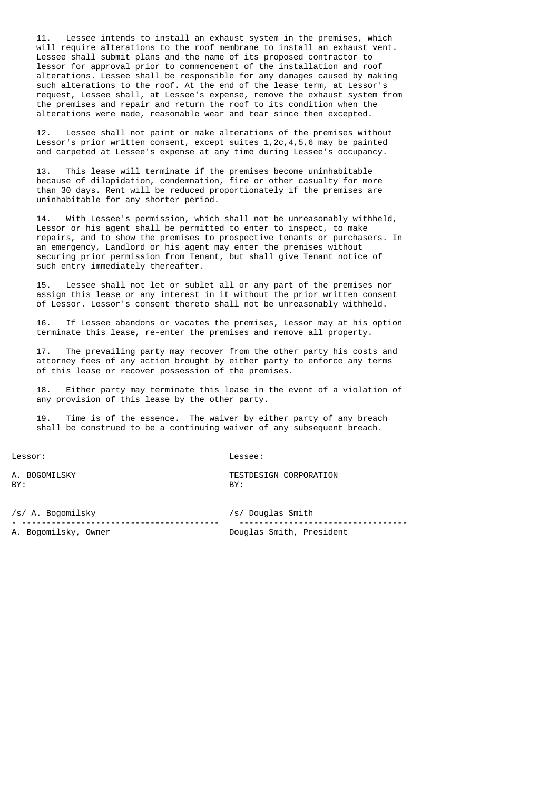11. Lessee intends to install an exhaust system in the premises, which will require alterations to the roof membrane to install an exhaust vent. Lessee shall submit plans and the name of its proposed contractor to lessor for approval prior to commencement of the installation and roof alterations. Lessee shall be responsible for any damages caused by making such alterations to the roof. At the end of the lease term, at Lessor's request, Lessee shall, at Lessee's expense, remove the exhaust system from the premises and repair and return the roof to its condition when the alterations were made, reasonable wear and tear since then excepted.

 12. Lessee shall not paint or make alterations of the premises without Lessor's prior written consent, except suites 1,2c,4,5,6 may be painted and carpeted at Lessee's expense at any time during Lessee's occupancy.

 13. This lease will terminate if the premises become uninhabitable because of dilapidation, condemnation, fire or other casualty for more than 30 days. Rent will be reduced proportionately if the premises are uninhabitable for any shorter period.

 14. With Lessee's permission, which shall not be unreasonably withheld, Lessor or his agent shall be permitted to enter to inspect, to make repairs, and to show the premises to prospective tenants or purchasers. In an emergency, Landlord or his agent may enter the premises without securing prior permission from Tenant, but shall give Tenant notice of such entry immediately thereafter.

 15. Lessee shall not let or sublet all or any part of the premises nor assign this lease or any interest in it without the prior written consent of Lessor. Lessor's consent thereto shall not be unreasonably withheld.

 16. If Lessee abandons or vacates the premises, Lessor may at his option terminate this lease, re-enter the premises and remove all property.

 17. The prevailing party may recover from the other party his costs and attorney fees of any action brought by either party to enforce any terms of this lease or recover possession of the premises.

 18. Either party may terminate this lease in the event of a violation of any provision of this lease by the other party.

 19. Time is of the essence. The waiver by either party of any breach shall be construed to be a continuing waiver of any subsequent breach.

Lessor: Lessee:

BY: BY:

A. BOGOMILSKY TESTDESIGN CORPORATION

/s/ A. Bogomilsky /s/ Douglas Smith - ---------------------------------------- ---------------------------------- A. Bogomilsky, Owner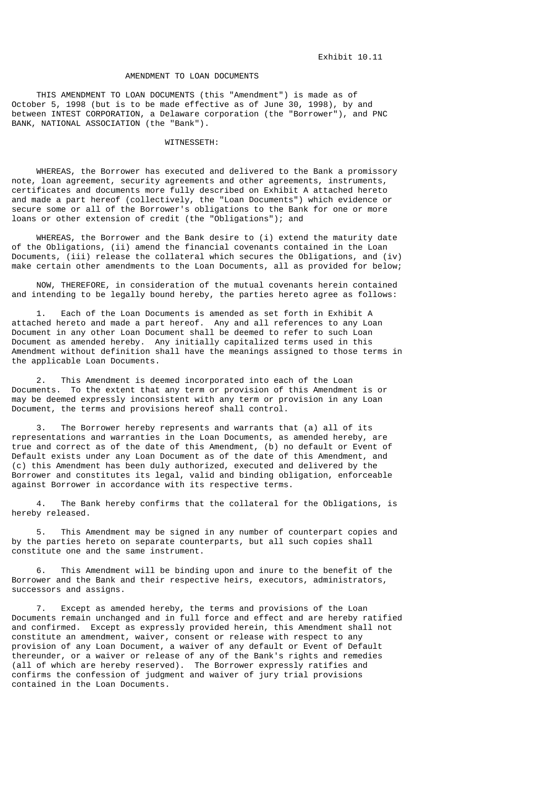#### AMENDMENT TO LOAN DOCUMENTS

 THIS AMENDMENT TO LOAN DOCUMENTS (this "Amendment") is made as of October 5, 1998 (but is to be made effective as of June 30, 1998), by and between INTEST CORPORATION, a Delaware corporation (the "Borrower"), and PNC BANK, NATIONAL ASSOCIATION (the "Bank").

### WITNESSETH:

 WHEREAS, the Borrower has executed and delivered to the Bank a promissory note, loan agreement, security agreements and other agreements, instruments, certificates and documents more fully described on Exhibit A attached hereto and made a part hereof (collectively, the "Loan Documents") which evidence or secure some or all of the Borrower's obligations to the Bank for one or more loans or other extension of credit (the "Obligations"); and

 WHEREAS, the Borrower and the Bank desire to (i) extend the maturity date of the Obligations, (ii) amend the financial covenants contained in the Loan Documents, (iii) release the collateral which secures the Obligations, and (iv) make certain other amendments to the Loan Documents, all as provided for below;

 NOW, THEREFORE, in consideration of the mutual covenants herein contained and intending to be legally bound hereby, the parties hereto agree as follows:

Each of the Loan Documents is amended as set forth in Exhibit A attached hereto and made a part hereof. Any and all references to any Loan Document in any other Loan Document shall be deemed to refer to such Loan Document as amended hereby. Any initially capitalized terms used in this Amendment without definition shall have the meanings assigned to those terms in the applicable Loan Documents.

 2. This Amendment is deemed incorporated into each of the Loan Documents. To the extent that any term or provision of this Amendment is or may be deemed expressly inconsistent with any term or provision in any Loan Document, the terms and provisions hereof shall control.

 3. The Borrower hereby represents and warrants that (a) all of its representations and warranties in the Loan Documents, as amended hereby, are true and correct as of the date of this Amendment, (b) no default or Event of Default exists under any Loan Document as of the date of this Amendment, and (c) this Amendment has been duly authorized, executed and delivered by the Borrower and constitutes its legal, valid and binding obligation, enforceable against Borrower in accordance with its respective terms.

 4. The Bank hereby confirms that the collateral for the Obligations, is hereby released.

 5. This Amendment may be signed in any number of counterpart copies and by the parties hereto on separate counterparts, but all such copies shall constitute one and the same instrument.

 6. This Amendment will be binding upon and inure to the benefit of the Borrower and the Bank and their respective heirs, executors, administrators, successors and assigns.

 7. Except as amended hereby, the terms and provisions of the Loan Documents remain unchanged and in full force and effect and are hereby ratified and confirmed. Except as expressly provided herein, this Amendment shall not constitute an amendment, waiver, consent or release with respect to any provision of any Loan Document, a waiver of any default or Event of Default thereunder, or a waiver or release of any of the Bank's rights and remedies (all of which are hereby reserved). The Borrower expressly ratifies and confirms the confession of judgment and waiver of jury trial provisions contained in the Loan Documents.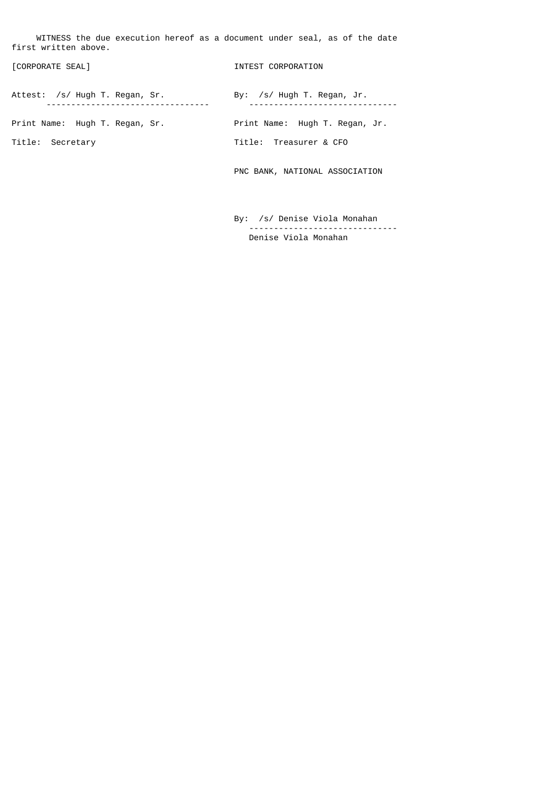WITNESS the due execution hereof as a document under seal, as of the date first written above.

| [CORPORATE SEAL]               | INTEST CORPORATION             |
|--------------------------------|--------------------------------|
| Attest: /s/ Hugh T. Regan, Sr. | By: $/s/$ Hugh T. Regan, Jr.   |
| Print Name: Hugh T. Regan, Sr. | Print Name: Hugh T. Regan, Jr. |
| Title: Secretary               | Title: Treasurer & CFO         |
|                                | PNC BANK, NATIONAL ASSOCIATION |
|                                |                                |

 By: /s/ Denise Viola Monahan ------------------------------ Denise Viola Monahan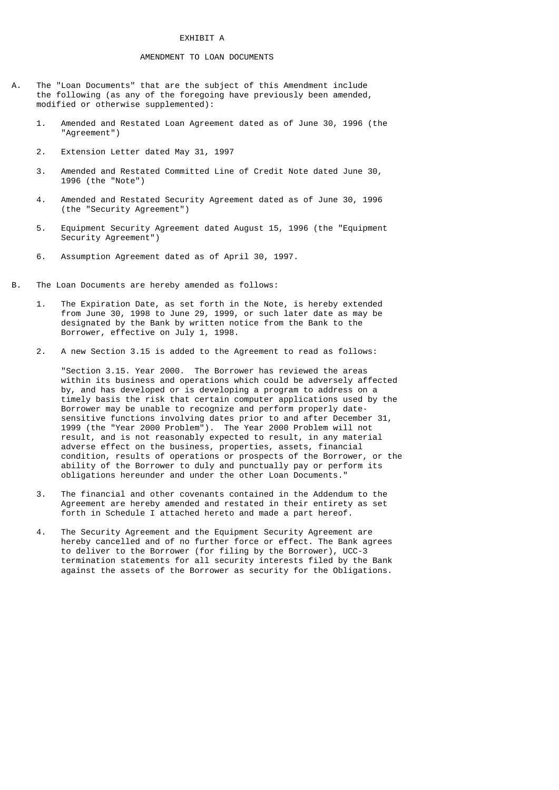## EXHIBIT A

### AMENDMENT TO LOAN DOCUMENTS

- A. The "Loan Documents" that are the subject of this Amendment include the following (as any of the foregoing have previously been amended, modified or otherwise supplemented):
	- 1. Amended and Restated Loan Agreement dated as of June 30, 1996 (the "Agreement")
	- 2. Extension Letter dated May 31, 1997
	- 3. Amended and Restated Committed Line of Credit Note dated June 30, 1996 (the "Note")
	- 4. Amended and Restated Security Agreement dated as of June 30, 1996 (the "Security Agreement")
	- 5. Equipment Security Agreement dated August 15, 1996 (the "Equipment Security Agreement")
	- 6. Assumption Agreement dated as of April 30, 1997.
- B. The Loan Documents are hereby amended as follows:
	- 1. The Expiration Date, as set forth in the Note, is hereby extended from June 30, 1998 to June 29, 1999, or such later date as may be designated by the Bank by written notice from the Bank to the Borrower, effective on July 1, 1998.
	- 2. A new Section 3.15 is added to the Agreement to read as follows:

 "Section 3.15. Year 2000. The Borrower has reviewed the areas within its business and operations which could be adversely affected by, and has developed or is developing a program to address on a timely basis the risk that certain computer applications used by the Borrower may be unable to recognize and perform properly date sensitive functions involving dates prior to and after December 31, 1999 (the "Year 2000 Problem"). The Year 2000 Problem will not result, and is not reasonably expected to result, in any material adverse effect on the business, properties, assets, financial condition, results of operations or prospects of the Borrower, or the ability of the Borrower to duly and punctually pay or perform its obligations hereunder and under the other Loan Documents."

- 3. The financial and other covenants contained in the Addendum to the Agreement are hereby amended and restated in their entirety as set forth in Schedule I attached hereto and made a part hereof.
- 4. The Security Agreement and the Equipment Security Agreement are hereby cancelled and of no further force or effect. The Bank agrees to deliver to the Borrower (for filing by the Borrower), UCC-3 termination statements for all security interests filed by the Bank against the assets of the Borrower as security for the Obligations.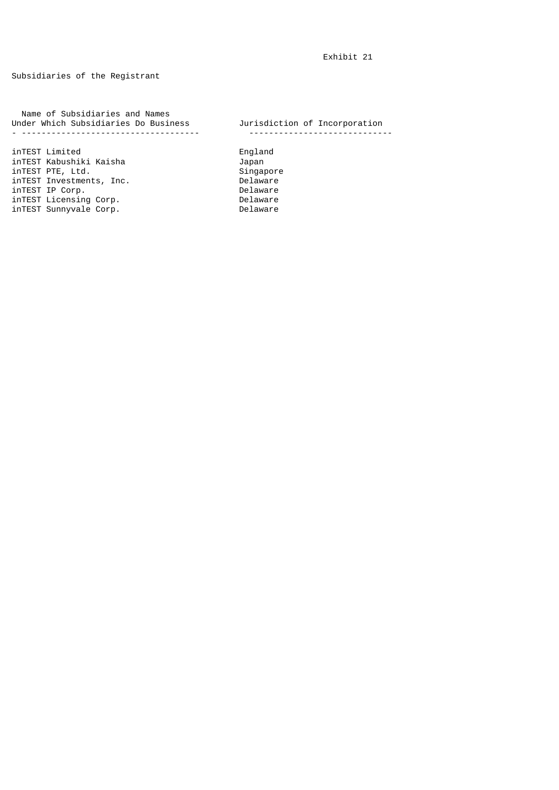# Subsidiaries of the Registrant

 Name of Subsidiaries and Names Under Which Subsidiaries Do Business Jurisdiction of Incorporation - ------------------------------------ -----------------------------

inTEST Limited England inTEST Kabushiki Kaisha Japan<br>inTEST PTE, Ltd. Singapore inTEST PTE, Ltd. Singapore inTEST Investments, Inc. Delaware inTEST IP Corp. Delaware inTEST Licensing Corp. Delaware inTEST Sunnyvale Corp. Delaware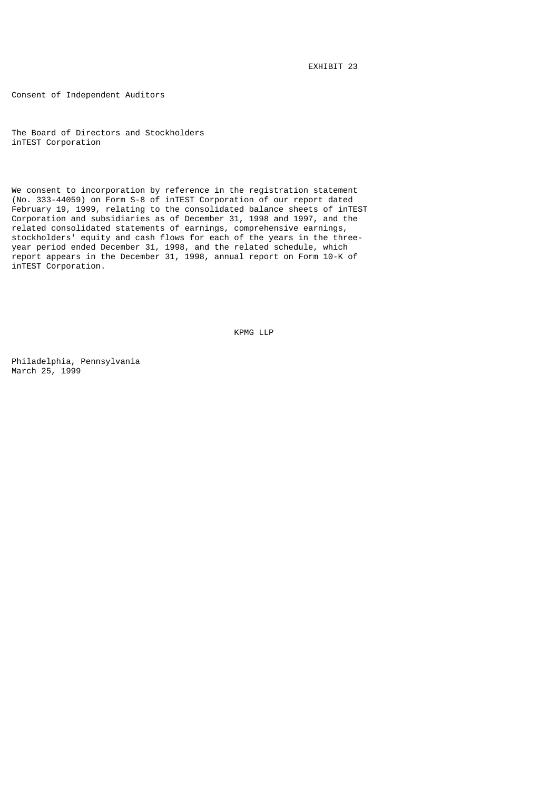EXHIBIT 23

Consent of Independent Auditors

The Board of Directors and Stockholders inTEST Corporation

We consent to incorporation by reference in the registration statement (No. 333-44059) on Form S-8 of inTEST Corporation of our report dated February 19, 1999, relating to the consolidated balance sheets of inTEST Corporation and subsidiaries as of December 31, 1998 and 1997, and the related consolidated statements of earnings, comprehensive earnings, stockholders' equity and cash flows for each of the years in the threeyear period ended December 31, 1998, and the related schedule, which report appears in the December 31, 1998, annual report on Form 10-K of inTEST Corporation.

KPMG LLP

Philadelphia, Pennsylvania March 25, 1999